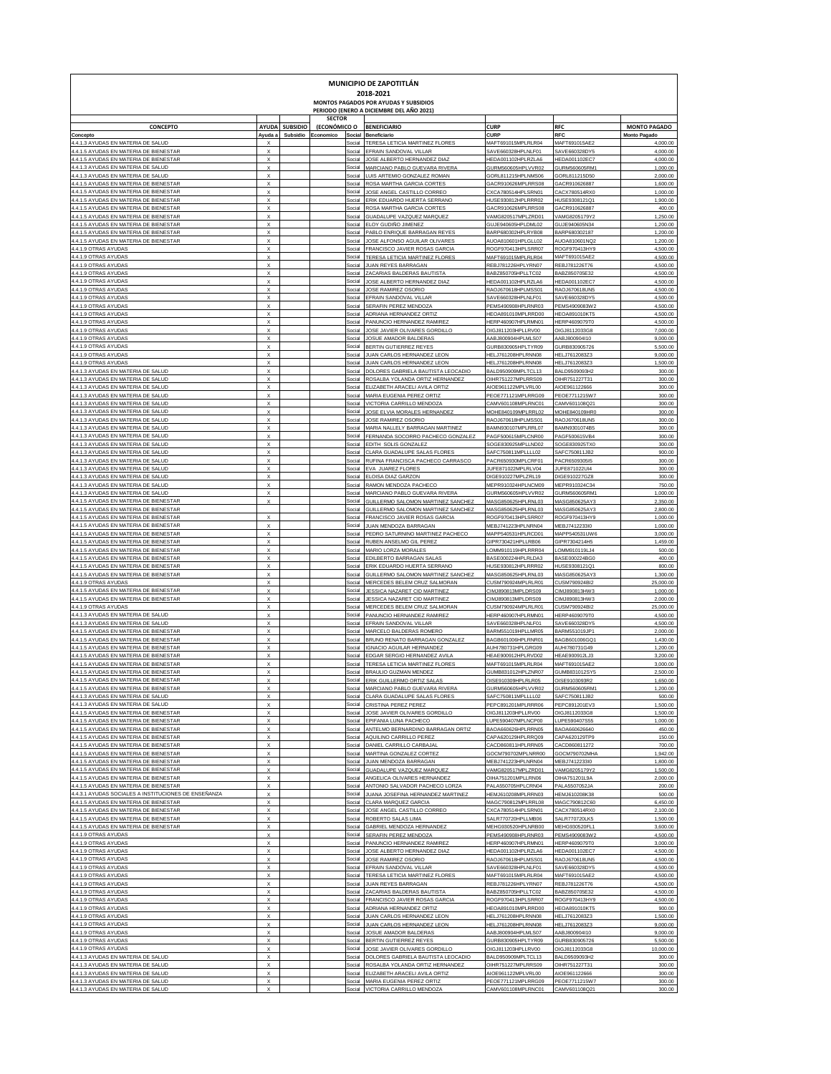| MUNICIPIO DE ZAPOTITLÁN<br>2018-2021<br>MONTOS PAGADOS POR AYUDAS Y SUBSIDIOS<br>PERIODO (ENERO A DICIEMBRE DEL AÑO 2021) |                                                        |                |               |                  |                                                                       |                                                 |                                       |                                |  |  |  |  |
|---------------------------------------------------------------------------------------------------------------------------|--------------------------------------------------------|----------------|---------------|------------------|-----------------------------------------------------------------------|-------------------------------------------------|---------------------------------------|--------------------------------|--|--|--|--|
|                                                                                                                           |                                                        |                | <b>SECTOR</b> |                  |                                                                       |                                                 |                                       |                                |  |  |  |  |
| <b>CONCEPTO</b>                                                                                                           |                                                        | AYUDA SUBSIDIO | (ECONÓMICO O  |                  | <b>BENEFICIARIO</b>                                                   | <b>CURP</b>                                     | <b>RFC</b>                            | <b>MONTO PAGADO</b>            |  |  |  |  |
| Concepto<br>4.4.1.3 AYUDAS EN MATERIA DE SALUD                                                                            | Ayuda a                                                | Subsidio       | Economico     | Social<br>Social | Beneficiario<br>TERESA LETICIA MARTINEZ FLORES                        | <b>CURI</b><br>MAFT691015MPLRLR04               | RFC<br>MAFT691015AE2                  | <b>Monto Pagad</b><br>4,000.00 |  |  |  |  |
| 4.4.1.5 AYUDAS EN MATERIA DE BIENESTAR                                                                                    | $\boldsymbol{\mathsf{x}}$                              |                |               | Social           | EFRAIN SANDOVAL VILLAR                                                | SAVE660328HPLNLF01                              | SAVE660328DY5                         | 4,000.00                       |  |  |  |  |
| 4.4.1.5 AYUDAS EN MATERIA DE BIENESTAR<br>4.4.1.3 AYUDAS EN MATERIA DE SALUD                                              | $\boldsymbol{\mathsf{x}}$<br>$\boldsymbol{\mathsf{x}}$ |                |               | Social<br>Social | JOSE ALBERTO HERNANDEZ DIAZ<br>MARCIANO PABLO GUEVARA RIVERA          | HEDA001102HPLRZLA6<br>GURM560605HPLVVR02        | HEDA001102EC7<br>GURM560605RM1        | 4,000.00<br>1,000.00           |  |  |  |  |
| 4.4.1.3 AYUDAS EN MATERIA DE SALUD                                                                                        | $\boldsymbol{\mathsf{x}}$                              |                |               | Social           | LUIS ARTEMIO GONZALEZ ROMAN                                           | GORL811215HPLNMS06                              | GORL811215D50                         | 2,000.00                       |  |  |  |  |
| 4.4.1.5 AYUDAS EN MATERIA DE BIENESTAR<br>4.4.1.5 AYUDAS EN MATERIA DE BIENESTAR                                          | $\boldsymbol{\mathsf{x}}$<br>$\boldsymbol{\mathsf{x}}$ |                |               | Social<br>Social | ROSA MARTHA GARCIA CORTES<br>JOSE ANGEL CASTILLO CORREO               | GACR910626MPLRRS08<br>CXCA780514HPLSRN01        | GACR910626887<br>CACX780514RX0        | 1,600.00<br>1,000.00           |  |  |  |  |
| 4.4.1.5 AYUDAS EN MATERIA DE BIENESTAR                                                                                    | $\boldsymbol{\mathsf{x}}$                              |                |               | Social           | ERIK EDUARDO HUERTA SERRANO                                           | HUSE930812HPLRRR02                              | HUSE9308121Q1                         | 1,900.00                       |  |  |  |  |
| 4.4.1.5 AYUDAS EN MATERIA DE BIENESTAR<br>4.4.1.5 AYUDAS EN MATERIA DE BIENESTAR                                          | $\boldsymbol{\mathsf{x}}$<br>$\boldsymbol{\mathsf{x}}$ |                |               | Social<br>Social | ROSA MARTHA GARCIA CORTES<br>GUADALUPE VAZQUEZ MARQUEZ                | GACR910626MPLRRS08<br>VAMG820517MPLZRD01        | GACR910626887<br>VAMG8205179Y2        | 400.00<br>1,250.00             |  |  |  |  |
| 4.4.1.5 AYUDAS EN MATERIA DE BIENESTAR                                                                                    | $\boldsymbol{\mathsf{x}}$                              |                |               | Social           | ELOY GUDIÑO JIMENEZ                                                   | GUJE940605HPLDML02                              | GUJE940605N34                         | 1,200.00                       |  |  |  |  |
| 4.4.1.5 AYUDAS EN MATERIA DE BIENESTAR                                                                                    | $\boldsymbol{\mathsf{x}}$                              |                |               | Social           | PABLO ENRIQUE BARRAGAN REYES                                          | BARP680302HPLRYB08                              | BARP680302187                         | 1,200.00                       |  |  |  |  |
| 4.4.1.5 AYUDAS EN MATERIA DE BIENESTAR<br>4.4.1.9 OTRAS AYUDAS                                                            | $\boldsymbol{\mathsf{x}}$<br>$\boldsymbol{\mathsf{x}}$ |                |               | Social<br>Social | JOSE ALFONSO AGUILAR OLIVARES<br>FRANCISCO JAVIER ROSAS GARCIA        | AUOA810601HPLGLL02<br>ROGF970413HPLSRR07        | AUOA810601NQ2<br>ROGF970413HY9        | 1,200.00<br>4,500.00           |  |  |  |  |
| 4.4.1.9 OTRAS AYUDAS                                                                                                      | $\boldsymbol{\mathsf{x}}$                              |                |               | Social           | TERESA LETICIA MARTINEZ FLORES                                        | MAFT691015MPLRLR04                              | MAFT691015AE2                         | 4,500.00                       |  |  |  |  |
| 4.4.1.9 OTRAS AYUDAS<br>4.4.1.9 OTRAS AYUDAS                                                                              | $\boldsymbol{\mathsf{x}}$<br>$\boldsymbol{\mathsf{x}}$ |                |               | Social<br>Social | <b>JUAN REYES BARRAGAN</b><br>ZACARIAS BALDERAS BAUTISTA              | REBJ781226HPLYRN07<br>BABZ850705HPLLTC02        | REBJ781226T76<br>BABZ850705E32        | 4,500.00<br>4,500.00           |  |  |  |  |
| 4.4.1.9 OTRAS AYUDAS                                                                                                      | $\boldsymbol{\mathsf{x}}$                              |                |               | Social           | JOSE ALBERTO HERNANDEZ DIAZ                                           | HEDA001102HPLRZLA6                              | HEDA001102EC7                         | 4,500.00                       |  |  |  |  |
| 4.4.1.9 OTRAS AYUDAS<br>4.4.1.9 OTRAS AYUDAS                                                                              | $\boldsymbol{\mathsf{x}}$<br>$\boldsymbol{\mathsf{x}}$ |                |               | Social<br>Social | JOSE RAMIREZ OSORIO<br>EFRAIN SANDOVAL VILLAR                         | RAOJ670618HPLMSS01<br>SAVE660328HPLNLF01        | RAOJ670618UN5<br>SAVE660328DY5        | 4,500.00<br>4,500.00           |  |  |  |  |
| 4.4.1.9 OTRAS AYUDAS                                                                                                      | $\boldsymbol{\mathsf{x}}$                              |                |               | Social           | SERAFIN PEREZ MENDOZA                                                 | PEMS490908HPLRNR03                              | PEMS4909083W2                         | 4,500.00                       |  |  |  |  |
| 4.4.1.9 OTRAS AYUDAS                                                                                                      | $\boldsymbol{\mathsf{x}}$                              |                |               | Social           | ADRIANA HERNANDEZ ORTIZ                                               | HEOA891010MPLRRD00                              | <b>HEOA891010KT5</b>                  | 4,500.00                       |  |  |  |  |
| 4.4.1.9 OTRAS AYUDAS<br>4.4.1.9 OTRAS AYUDAS                                                                              | $\boldsymbol{\mathsf{x}}$<br>$\boldsymbol{\mathsf{x}}$ |                |               | Social<br>Social | PANUNCIO HERNANDEZ RAMIREZ<br>JOSE JAVIER OLIVARES GORDILLO           | HERP460907HPLRMN01<br>OIGJ811203HPLLRV00        | HERP4609079T0<br>OIGJ8112033G8        | 4,500.00<br>7,000.00           |  |  |  |  |
| 4.4.1.9 OTRAS AYUDAS                                                                                                      | $\boldsymbol{\mathsf{x}}$                              |                |               | Social           | JOSUE AMADOR BALDERAS                                                 | AABJ800904HPLMLS07                              | AABJ800904I10                         | 9,000.00                       |  |  |  |  |
| 4.4.1.9 OTRAS AYUDAS<br>4.4.1.9 OTRAS AYUDAS                                                                              | $\boldsymbol{\mathsf{x}}$<br>$\boldsymbol{\mathsf{x}}$ |                |               | Social<br>Social | BERTIN GUTIERREZ REYES<br>JUAN CARLOS HERNANDEZ LEON                  | GURB830905HPLTYR09<br>HELJ761208HPLRNN08        | GURB830905726<br>HELJ7612083Z3        | 5,500.00<br>9,000.00           |  |  |  |  |
| 4.4.1.9 OTRAS AYUDAS                                                                                                      | $\boldsymbol{\mathsf{x}}$                              |                |               | Social           | JUAN CARLOS HERNANDEZ LEON                                            | HELJ761208HPLRNN08                              | HELJ7612083Z3                         | 1,500.00                       |  |  |  |  |
| 4.4.1.3 AYUDAS EN MATERIA DE SALUD                                                                                        | $\boldsymbol{\mathsf{x}}$<br>$\boldsymbol{\mathsf{x}}$ |                |               | Social           | DOLORES GABRIELA BAUTISTA LEOCADIO                                    | BALD950909MPLTCL13                              | BALD9509093H2                         | 300.00                         |  |  |  |  |
| 4.4.1.3 AYUDAS EN MATERIA DE SALUD<br>4.4.1.3 AYUDAS EN MATERIA DE SALUD                                                  | $\boldsymbol{\mathsf{x}}$                              |                |               | Social<br>Social | ROSALBA YOLANDA ORTIZ HERNANDEZ<br>ELIZABETH ARACELI AVILA ORTIZ      | OIHR751227MPLRRS09<br>AIOE961122MPLVRL00        | OIHR751227T31<br>AIOE961122666        | 300.00<br>300.00               |  |  |  |  |
| 4.4.1.3 AYUDAS EN MATERIA DE SALUD                                                                                        | $\boldsymbol{\mathsf{x}}$                              |                |               | Social           | MARIA EUGENIA PEREZ ORTIZ                                             | PEOE771121MPLRRG09                              | PEOE7711215W7                         | 300.00                         |  |  |  |  |
| 4.4.1.3 AYUDAS EN MATERIA DE SALUD<br>4.4.1.3 AYUDAS EN MATERIA DE SALUD                                                  | $\boldsymbol{\mathsf{x}}$<br>$\boldsymbol{\mathsf{x}}$ |                |               | Social<br>Social | VICTORIA CARRILLO MENDOZA<br>JOSE ELVIA MORALES HERNANDEZ             | CAMV601108MPLRNC01<br>MOHE840109MPLRRL02        | CAMV601108Q21<br>MOHE840109HR0        | 300.00<br>300.00               |  |  |  |  |
| 4.4.1.3 AYUDAS EN MATERIA DE SALUD                                                                                        | $\boldsymbol{\mathsf{x}}$                              |                |               | Social           | <b>JOSE RAMIREZ OSORIC</b>                                            | RAOJ670618HPLMSS01                              | RAOJ670618UN5                         | 300.00                         |  |  |  |  |
| 4.4.1.3 AYUDAS EN MATERIA DE SALUD                                                                                        | $\boldsymbol{\mathsf{x}}$<br>$\boldsymbol{\mathsf{x}}$ |                |               | Social           | MARIA NALLELY BARRAGAN MARTINEZ                                       | BAMN930107MPLRRL07                              | BAMN9301074B5                         | 300.00                         |  |  |  |  |
| 4.4.1.3 AYUDAS EN MATERIA DE SALUD<br>4.4.1.3 AYUDAS EN MATERIA DE SALUD                                                  | $\boldsymbol{\mathsf{x}}$                              |                |               | Social<br>Social | FERNANDA SOCORRO PACHECO GONZALEZ<br>EDITH SOLIS GONZALEZ             | PAGF500615MPLCNR00<br>SOGE830925MPLLND02        | PAGF500615VB4<br>SOGE830925TX0        | 300.00<br>300.00               |  |  |  |  |
| 4.4.1.3 AYUDAS EN MATERIA DE SALUD                                                                                        | $\boldsymbol{\mathsf{x}}$                              |                |               | Social           | CLARA GUADALUPE SALAS FLORES                                          | SAFC750811MPLLLL02                              | SAFC750811JB2                         | 900.00                         |  |  |  |  |
| 4.4.1.3 AYUDAS EN MATERIA DE SALUD<br>4.4.1.3 AYUDAS EN MATERIA DE SALUD                                                  | $\boldsymbol{\mathsf{x}}$<br>$\boldsymbol{\mathsf{x}}$ |                |               | Social<br>Social | RUFINA FRANCISCA PACHECO CARRASCO<br>EVA JUAREZ FLORES                | PACR650930MPLCRF01<br>JUFE871022MPLRLV04        | PACR6509305I5<br>JUFE871022UI4        | 300.00<br>300.00               |  |  |  |  |
| 4.4.1.3 AYUDAS EN MATERIA DE SALUD                                                                                        | $\boldsymbol{\mathsf{x}}$                              |                |               | Social           | ELOISA DIAZ GARZON                                                    | DIGE910227MPLZRL19                              | DIGE910227GZ8                         | 300.00                         |  |  |  |  |
| 4.4.1.3 AYUDAS EN MATERIA DE SALUD<br>4.4.1.3 AYUDAS EN MATERIA DE SALUD                                                  | $\boldsymbol{\mathsf{x}}$<br>$\boldsymbol{\mathsf{x}}$ |                |               | Social<br>Social | RAMON MENDOZA PACHECO<br>MARCIANO PABLO GUEVARA RIVERA                | MEPR910324HPLNCM09<br>GURM560605HPLVVR02        | MEPR910324C34<br>GURM560605RM1        | 750.00<br>1,000.00             |  |  |  |  |
| 4.4.1.5 AYUDAS EN MATERIA DE BIENESTAR                                                                                    | X                                                      |                |               | Social           | GUILLERMO SALOMON MARTINEZ SANCHEZ                                    | MASG850625HPLRNL03                              | MASG850625AY3                         | 2,350.00                       |  |  |  |  |
| 4.4.1.5 AYUDAS EN MATERIA DE BIENESTAR                                                                                    |                                                        |                |               | Social           | GUILLERMO SALOMON MARTINEZ SANCHEZ                                    | MASG850625HPLRNL03                              | MASG850625AY3                         | 2,800.00                       |  |  |  |  |
| 4.4.1.5 AYUDAS EN MATERIA DE BIENESTAR<br>4.4.1.5 AYUDAS EN MATERIA DE BIENESTAR                                          | $\boldsymbol{\mathsf{x}}$<br>$\boldsymbol{\mathsf{x}}$ |                |               | Social<br>Social | FRANCISCO JAVIER ROSAS GARCIA<br>JUAN MENDOZA BARRAGAN                | ROGF970413HPLSRR07<br>MEBJ741223HPLNRN04        | ROGF970413HY9<br>MEBJ7412233I0        | 1,000.00<br>1,000.00           |  |  |  |  |
| 4.4.1.5 AYUDAS EN MATERIA DE BIENESTAR                                                                                    | $\boldsymbol{\mathsf{x}}$                              |                |               | Social           | PEDRO SATURNINO MARTINEZ PACHECO                                      | MAPP540531HPLRCD01                              | MAPP540531UW6                         | 3,000.00                       |  |  |  |  |
| 4.4.1.5 AYUDAS EN MATERIA DE BIENESTAR<br>4.4.1.5 AYUDAS EN MATERIA DE BIENESTAR                                          | $\boldsymbol{\mathsf{x}}$<br>$\boldsymbol{\mathsf{x}}$ |                |               | Social<br>Social | RUBEN ANSELMO GIL PEREZ<br>MARIO LORZA MORALES                        | GIPR730421HPLLRB06<br>OMM910119HPLRRR04         | GIPR7304214H5<br>LOMM910119LJ4        | 1,459.00<br>500.00             |  |  |  |  |
| 4.4.1.5 AYUDAS EN MATERIA DE BIENESTAR                                                                                    | $\boldsymbol{\mathsf{x}}$                              |                |               | Social           | EDILBERTO BARRAGAN SALAS                                              | BASE000224HPLRLDA3                              | BASE000224BG0                         | 400.00                         |  |  |  |  |
| 4.4.1.5 AYUDAS EN MATERIA DE BIENESTAR                                                                                    | $\boldsymbol{\mathsf{x}}$<br>$\boldsymbol{\mathsf{x}}$ |                |               | Social           | ERIK EDUARDO HUERTA SERRANC                                           | HUSE930812HPLRRR02                              | HUSE9308121Q1                         | 800.00                         |  |  |  |  |
| 4.4.1.5 AYUDAS EN MATERIA DE BIENESTAR<br>4.4.1.9 OTRAS AYUDAS                                                            | $\boldsymbol{\mathsf{x}}$                              |                |               | Social<br>Social | GUILLERMO SALOMON MARTINEZ SANCHEZ<br>MERCEDES BELEM CRUZ SALMORAN    | MASG850625HPLRNL03<br>CUSM790924MPLRLR01        | MASG850625AY3<br>CUSM790924BI2        | 1,300.00<br>25,000.00          |  |  |  |  |
| 4.4.1.5 AYUDAS EN MATERIA DE BIENESTAR                                                                                    | $\boldsymbol{\mathsf{x}}$                              |                |               | Social           | JESSICA NAZARET CID MARTINEZ                                          | CIMJ890813MPLDRS09                              | CIMJ890813HW3                         | 1,000.00                       |  |  |  |  |
| 4.4.1.5 AYUDAS EN MATERIA DE BIENESTAR<br>4.4.1.9 OTRAS AYUDAS                                                            | $\boldsymbol{\mathsf{x}}$<br>$\boldsymbol{\mathsf{x}}$ |                |               | Social<br>Social | JESSICA NAZARET CID MARTINEZ<br>MERCEDES BELEM CRUZ SALMORAN          | CIMJ890813MPLDRS09<br>CUSM790924MPLRLR01        | CIMJ890813HW3<br>CUSM790924BI2        | 2,000.00<br>25,000.00          |  |  |  |  |
| 4.4.1.3 AYUDAS EN MATERIA DE SALUD                                                                                        | $\boldsymbol{\mathsf{x}}$                              |                |               | Social           | PANUNCIO HERNANDEZ RAMIREZ                                            | HERP460907HPLRMN01                              | HERP4609079T0                         | 4,500.00                       |  |  |  |  |
| 4.4.1.3 AYUDAS EN MATERIA DE SALUD<br>4.4.1.5 AYUDAS EN MATERIA DE BIENESTAR                                              | $\boldsymbol{\mathsf{x}}$<br>$\boldsymbol{\mathsf{x}}$ |                |               | Social<br>Social | EFRAIN SANDOVAL VILLAI<br>MARCELO BALDERAS ROMERO                     | SAVE660328HPLNLF01<br>BARM551019HPLLMR05        | SAVE660328DY5<br>BARM551019JP1        | 4,500.00<br>2,000.00           |  |  |  |  |
| 4.4.1.5 AYUDAS EN MATERIA DE BIENESTAR                                                                                    | $\boldsymbol{\mathsf{x}}$                              |                |               | Social           | BRUNO RENATO BARRAGAN GONZALEZ                                        | BAGB601006HPLRNR01                              | BAGB601006GQ1                         | 1,430.00                       |  |  |  |  |
| 4.4.1.5 AYUDAS EN MATERIA DE BIENESTAR<br>4.4.1.5 AYUDAS EN MATERIA DE BIENESTAR                                          | $\boldsymbol{\mathsf{x}}$<br>$\boldsymbol{\mathsf{x}}$ |                |               | Social           | <b>GNACIO AGUILAR HERNANDEZ</b>                                       | AUHI780731HPLGRG09<br>EAE900912HPLRVD02         | AUHI780731G49                         | 1,200.00                       |  |  |  |  |
| 4.4.1.5 AYUDAS EN MATERIA DE BIENESTAR                                                                                    | $\boldsymbol{\mathsf{x}}$                              |                |               | Social<br>Social | EDGAR SERGIO HERNANDEZ AVILA<br>TERESA LETICIA MARTINEZ FLORES        | MAFT691015MPLRLR04                              | HEAE900912LJ3<br>MAFT691015AE2        | 3,200.00<br>3,000.00           |  |  |  |  |
| 4.4.1.5 AYUDAS EN MATERIA DE BIENESTAR                                                                                    | x                                                      |                |               | Social           | BRAULIO GUZMAN MENDEZ<br>DIV CUILLEDMO O                              | GUMB831012HPLZNR07<br><b>DICEOSODOLIDI DI D</b> | GUMB831012SY5                         | 2,500.00                       |  |  |  |  |
| <b>A 1 5 AVIIDAS EN MATERIA D</b><br>4.4.1.5 AYUDAS EN MATERIA DE BIENESTAR                                               | X                                                      |                |               | Social           | MARCIANO PABLO GUEVARA RIVERA                                         | GURM560605HPLVVR02                              | GURM560605RM1                         | 1.650.00<br>1,200.00           |  |  |  |  |
| 4.4.1.3 AYUDAS EN MATERIA DE SALUD                                                                                        | X                                                      |                |               | Social           | CLARA GUADALUPE SALAS FLORES                                          | SAFC750811MPLLLL02                              | SAFC750811JB2                         | 500.00                         |  |  |  |  |
| 4.4.1.3 AYUDAS EN MATERIA DE SALUD<br>4.4.1.5 AYUDAS EN MATERIA DE BIENESTAR                                              | X<br>X                                                 |                |               | Social<br>Social | CRISTINA PEREZ PEREZ<br>JOSE JAVIER OLIVARES GORDILLO                 | PEPC891201MPLRRR06<br>OIGJ811203HPLLRV00        | PEPC891201EV3<br>OIGJ8112033G8        | 1,500.00<br>1,500.00           |  |  |  |  |
| 4.4.1.5 AYUDAS EN MATERIA DE BIENESTAR                                                                                    | X                                                      |                |               | Social           | EPIFANIA LUNA PACHECO                                                 | LUPE590407MPLNCP00                              | LUPE590407S55                         | 1,000.00                       |  |  |  |  |
| 4.4.1.5 AYUDAS EN MATERIA DE BIENESTAR<br>4.4.1.5 AYUDAS EN MATERIA DE BIENESTAR                                          | X<br>X                                                 |                |               | Social<br>Social | ANTELMO BERNARDINO BARRAGAN ORTIZ<br>AQUILINO CARRILLO PEREZ          | BAOA660626HPLRRN05<br>CAPA620129HPLRRQ09        | BAOA660626640<br>CAPA620129TP9        | 450.00<br>150.00               |  |  |  |  |
| 4.4.1.5 AYUDAS EN MATERIA DE BIENESTAR                                                                                    | X                                                      |                |               | Social           | DANIEL CARRILLO CARBAJAL                                              | CACD860811HPLRRN05                              | CACD860811272                         | 700.00                         |  |  |  |  |
| 4.4.1.5 AYUDAS EN MATERIA DE BIENESTAR<br>4.4.1.5 AYUDAS EN MATERIA DE BIENESTAR                                          | X<br>X                                                 |                |               | Social           | MARTINA GONZALEZ CORTEZ                                               | GOCM790702MPLNRR00                              | GOCM790702MH/                         | 1,942.00                       |  |  |  |  |
| 4.4.1.5 AYUDAS EN MATERIA DE BIENESTAR                                                                                    | X                                                      |                |               | Social<br>Social | JUAN MENDOZA BARRAGAN<br>GUADALUPE VAZQUEZ MARQUEZ                    | MEBJ741223HPLNRN04<br>VAMG820517MPLZRD01        | MEBJ7412233I0<br>VAMG8205179Y2        | 1,800.00<br>1,500.00           |  |  |  |  |
| 4.4.1.5 AYUDAS EN MATERIA DE BIENESTAR                                                                                    | X                                                      |                |               | Social           | ANGELICA OLIVARES HERNANDEZ                                           | OIHA751201MPLLRN06                              | OIHA751201L9A                         | 2,000.00                       |  |  |  |  |
| 4.4.1.5 AYUDAS EN MATERIA DE BIENESTAR<br>4.4.3.1 AYUDAS SOCIALES A INSTITUCIONES DE ENSEÑANZA                            | X<br>X                                                 |                |               | Social<br>Social | ANTONIO SALVADOR PACHECO LORZA<br>JUANA JOSEFINA HERNANDEZ MARTINEZ   | PALA550705HPLCRN04<br>HEMJ610208MPLRRN03        | PALA5507052JA<br>HEMJ610208K38        | 200.00<br>500.00               |  |  |  |  |
| 4.4.1.5 AYUDAS EN MATERIA DE BIENESTAR                                                                                    | X                                                      |                |               | Social           | CLARA MARQUEZ GARCIA                                                  | MAGC790812MPLRRL08                              | MAGC790812C60                         | 6,450.00                       |  |  |  |  |
| 4.4.1.5 AYUDAS EN MATERIA DE BIENESTAR                                                                                    | X<br>X                                                 |                |               | Social           | JOSE ANGEL CASTILLO CORREO                                            | CXCA780514HPLSRN01                              | CACX780514RX0                         | 2,100.00                       |  |  |  |  |
| 4.4.1.5 AYUDAS EN MATERIA DE BIENESTAR<br>4.4.1.5 AYUDAS EN MATERIA DE BIENESTAR                                          | X                                                      |                |               | Social<br>Social | ROBERTO SALAS LIMA<br>GABRIEL MENDOZA HERNANDEZ                       | SALR770720HPLLMB06<br>MEHG930520HPLNRB00        | SALR770720LK5<br>MEHG930520FL1        | 1,500.00<br>3,600.00           |  |  |  |  |
| 4.4.1.9 OTRAS AYUDAS                                                                                                      | X                                                      |                |               | Social           | SERAFIN PEREZ MENDOZA                                                 | PEMS490908HPLRNR03                              | PEMS4909083W2                         | 4,500.00                       |  |  |  |  |
| 4.4.1.9 OTRAS AYUDAS<br>4.4.1.9 OTRAS AYUDAS                                                                              | X<br>X                                                 |                |               | Social<br>Social | PANUNCIO HERNANDEZ RAMIREZ<br>JOSE ALBERTO HERNANDEZ DIAZ             | HERP460907HPLRMN01<br>HEDA001102HPLRZLA6        | HERP4609079T0<br>HEDA001102EC7        | 3,000.00<br>4,500.00           |  |  |  |  |
| 4.4.1.9 OTRAS AYUDAS                                                                                                      | X                                                      |                |               | Social           | <b>JOSE RAMIREZ OSORIC</b>                                            | RAOJ670618HPLMSS01                              | RAOJ670618UN5                         | 4,500.00                       |  |  |  |  |
| 4.4.1.9 OTRAS AYUDAS                                                                                                      | X<br>X                                                 |                |               | Social           | EFRAIN SANDOVAL VILLAR                                                | SAVE660328HPLNLF01                              | SAVE660328DY5                         | 4,500.00                       |  |  |  |  |
| 4.4.1.9 OTRAS AYUDAS<br>4.4.1.9 OTRAS AYUDAS                                                                              | X                                                      |                |               | Social<br>Social | TERESA LETICIA MARTINEZ FLORES<br>JUAN REYES BARRAGAN                 | MAFT691015MPLRLR04<br>REBJ781226HPLYRN07        | MAFT691015AE2<br>REBJ781226T76        | 4,500.00<br>4,500.00           |  |  |  |  |
| 4.4.1.9 OTRAS AYUDAS                                                                                                      | X                                                      |                |               | Social           | ZACARIAS BALDERAS BAUTISTA                                            | BABZ850705HPLLTC02                              | BABZ850705E32                         | 4,500.00                       |  |  |  |  |
| 4.4.1.9 OTRAS AYUDAS<br>4.4.1.9 OTRAS AYUDAS                                                                              | X<br>X                                                 |                |               | Social<br>Social | FRANCISCO JAVIER ROSAS GARCIA<br>ADRIANA HERNANDEZ ORTIZ              | ROGF970413HPLSRR07<br>HEOA891010MPLRRD00        | ROGF970413HY9<br><b>HEOA891010KT5</b> | 4,500.00<br>900.00             |  |  |  |  |
| 4.4.1.9 OTRAS AYUDAS                                                                                                      | X                                                      |                |               | Social           | JUAN CARLOS HERNANDEZ LEON                                            | HELJ761208HPLRNN08                              | HELJ7612083Z3                         | 1,500.00                       |  |  |  |  |
| 4.4.1.9 OTRAS AYUDAS<br>4.4.1.9 OTRAS AYUDAS                                                                              | X<br>X                                                 |                |               | Social<br>Social | JUAN CARLOS HERNANDEZ LEON<br>JOSUE AMADOR BALDERAS                   | HELJ761208HPLRNN08<br>AABJ800904HPLMLS07        | HELJ7612083Z3<br>AABJ800904I10        | 9,000.00<br>9,000.00           |  |  |  |  |
| 4.4.1.9 OTRAS AYUDAS                                                                                                      | X                                                      |                |               | Social           | BERTIN GUTIERREZ REYES                                                | GURB830905HPLTYR09                              | GURB830905726                         | 5,500.00                       |  |  |  |  |
| 4.4.1.9 OTRAS AYUDAS                                                                                                      | X                                                      |                |               | Social           | JOSE JAVIER OLIVARES GORDILLO                                         | OIGJ811203HPLLRV00                              | OIGJ8112033G8                         | 10,000.00                      |  |  |  |  |
| 4.4.1.3 AYUDAS EN MATERIA DE SALUD<br>4.4.1.3 AYUDAS EN MATERIA DE SALUD                                                  | X<br>X                                                 |                |               | Social<br>Social | DOLORES GABRIELA BAUTISTA LEOCADIO<br>ROSALBA YOLANDA ORTIZ HERNANDEZ | BALD950909MPLTCL13<br>OIHR751227MPLRRS09        | BALD9509093H2<br>OIHR751227T31        | 300.00<br>300.00               |  |  |  |  |
| 4.4.1.3 AYUDAS EN MATERIA DE SALUD                                                                                        | X                                                      |                |               | Social           | ELIZABETH ARACELI AVILA ORTIZ                                         | AIOE961122MPLVRL00                              | AIOE961122666                         | 300.00                         |  |  |  |  |
| 4.4.1.3 AYUDAS EN MATERIA DE SALUD<br>4.4.1.3 AYUDAS EN MATERIA DE SALUD                                                  | X<br>X                                                 |                |               | Social<br>Social | MARIA EUGENIA PEREZ ORTIZ<br>VICTORIA CARRILLO MENDOZA                | PEOE771121MPLRRG09<br>CAMV601108MPLRNC01        | PEOE7711215W7<br>CAMV601108Q21        | 300.00<br>300.00               |  |  |  |  |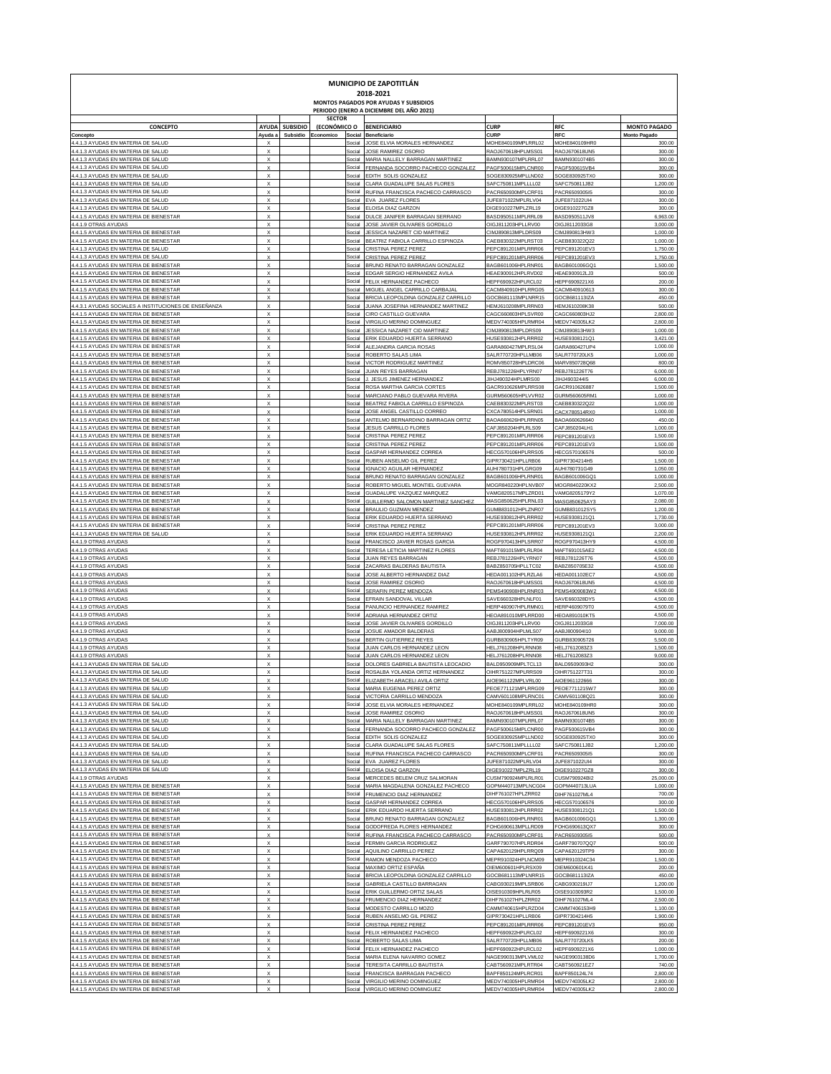|                                                                                                |                                                        |                 |                               |                  | MUNICIPIO DE ZAPOTITLÁN<br>2018-2021                                                     |                                          |                                |                      |
|------------------------------------------------------------------------------------------------|--------------------------------------------------------|-----------------|-------------------------------|------------------|------------------------------------------------------------------------------------------|------------------------------------------|--------------------------------|----------------------|
|                                                                                                |                                                        |                 |                               |                  | <b>MONTOS PAGADOS POR AYUDAS Y SUBSIDIOS</b><br>PERIODO (ENERO A DICIEMBRE DEL AÑO 2021) |                                          |                                |                      |
| <b>CONCEPTO</b>                                                                                | <b>AYUDA</b>                                           | <b>SUBSIDIO</b> | <b>SECTOR</b><br>(ECONÓMICO O |                  | <b>BENEFICIARIO</b>                                                                      | <b>CURP</b>                              | <b>RFC</b>                     | <b>MONTO PAGADO</b>  |
| Concepto<br>4.4.1.3 AYUDAS EN MATERIA DE SALUD                                                 | Ayuda a                                                | Subsidio        | Economico                     | Social           | Social Beneficiario                                                                      | <b>CURP</b>                              | RFC                            | <b>Monto Pagado</b>  |
| 4.4.1.3 AYUDAS EN MATERIA DE SALUD                                                             | X<br>$\boldsymbol{\mathsf{x}}$                         |                 |                               | Social           | JOSE ELVIA MORALES HERNANDEZ<br>JOSE RAMIREZ OSORIO                                      | MOHE840109MPLRRL02<br>RAOJ670618HPLMSS01 | MOHE840109HR0<br>RAOJ670618UN5 | 300.00<br>300.00     |
| 4.4.1.3 AYUDAS EN MATERIA DE SALUD                                                             | X                                                      |                 |                               | Social           | MARIA NALLELY BARRAGAN MARTINEZ                                                          | BAMN930107MPLRRL07                       | BAMN9301074B5                  | 300.00               |
| 4.4.1.3 AYUDAS EN MATERIA DE SALUD<br>4.4.1.3 AYUDAS EN MATERIA DE SALUD                       | x<br>x                                                 |                 |                               | Social<br>Social | FERNANDA SOCORRO PACHECO GONZALEZ<br>EDITH SOLIS GONZALEZ                                | PAGF500615MPLCNR00<br>SOGE830925MPLLND02 | PAGF500615VB4<br>SOGE830925TX0 | 300.00<br>300.00     |
| 4.4.1.3 AYUDAS EN MATERIA DE SALUD                                                             | x                                                      |                 |                               | Social           | CLARA GUADALUPE SALAS FLORES                                                             | SAFC750811MPLLLL02                       | SAFC750811JB2                  | 1,200.00             |
| 4.4.1.3 AYUDAS EN MATERIA DE SALUD<br>4.4.1.3 AYUDAS EN MATERIA DE SALUD                       | x<br>x                                                 |                 |                               | Social<br>Social | RUFINA FRANCISCA PACHECO CARRASCO<br>EVA JUAREZ FLORES                                   | PACR650930MPLCRF01<br>JUFE871022MPLRLV04 | PACR6509305I5<br>JUFE871022UI4 | 300.00<br>300.00     |
| 4.4.1.3 AYUDAS EN MATERIA DE SALUD                                                             | x                                                      |                 |                               | Social           | ELOISA DIAZ GARZON                                                                       | DIGE910227MPLZRL19                       | DIGE910227GZ8                  | 300.00               |
| 4.4.1.5 AYUDAS EN MATERIA DE BIENESTAR<br>4.4.1.9 OTRAS AYUDAS                                 | x<br>x                                                 |                 |                               | Social           | Social DULCE JANIFER BARRAGAN SERRANO<br>JOSE JAVIER OLIVARES GORDILLO                   | BASD950511MPLRRL09<br>OIGJ811203HPLLRV00 | BASD950511JV8<br>OIGJ8112033G8 | 6,963.00<br>3,000.00 |
| 4.4.1.5 AYUDAS EN MATERIA DE BIENESTAR                                                         | x                                                      |                 |                               | Social           | JESSICA NAZARET CID MARTINEZ                                                             | CIMJ890813MPLDRS09                       | CIMJ890813HW3                  | 1,000.00             |
| 4.4.1.5 AYUDAS EN MATERIA DE BIENESTAR<br>4.4.1.3 AYUDAS EN MATERIA DE SALUD                   | x<br>x                                                 |                 |                               | Social<br>Social | BEATRIZ FABIOLA CARRILLO ESPINOZA<br>CRISTINA PEREZ PEREZ                                | CAEB830322MPLRST03<br>PEPC891201MPLRRR06 | CAEB830322Q22<br>PEPC891201EV3 | 1,000.00<br>1,750.00 |
| 4.4.1.3 AYUDAS EN MATERIA DE SALUD                                                             | x                                                      |                 |                               | Social           | CRISTINA PEREZ PEREZ                                                                     | PEPC891201MPLRRR06                       | PEPC891201EV3                  | 1,750.00             |
| 4.4.1.5 AYUDAS EN MATERIA DE BIENESTAR<br>4.4.1.5 AYUDAS EN MATERIA DE BIENESTAR               | x<br>x                                                 |                 |                               | Social           | Social BRUNO RENATO BARRAGAN GONZALEZ                                                    | BAGB601006HPLRNR01                       | BAGB601006GQ1                  | 1,500.00             |
| 4.4.1.5 AYUDAS EN MATERIA DE BIENESTAR                                                         | x                                                      |                 |                               | Social           | EDGAR SERGIO HERNANDEZ AVILA<br>FELIX HERNANDEZ PACHECO                                  | HEAE900912HPLRVD02<br>HEPF690922HPLRCL02 | HEAE900912LJ3<br>HEPF6909221X6 | 500.00<br>200.00     |
| 4.4.1.5 AYUDAS EN MATERIA DE BIENESTAR                                                         | x                                                      |                 |                               | Social           | MIGUEL ANGEL CARRILLO CARBAJAI                                                           | CACM840910HPLRRG05                       | CACM840910613                  | 300.00               |
| 4.4.1.5 AYUDAS EN MATERIA DE BIENESTAR<br>4.4.3.1 AYUDAS SOCIALES A INSTITUCIONES DE ENSEÑANZA | x<br>x                                                 |                 |                               | Social<br>Social | BRICIA LEOPOLDINA GONZALEZ CARRILLO<br>JUANA JOSEFINA HERNANDEZ MARTINEZ                 | GOCB681113MPLNRR15<br>HEMJ610208MPLRRN03 | GOCB681113IZA<br>HEMJ610208K38 | 450.00<br>500.00     |
| 4.4.1.5 AYUDAS EN MATERIA DE BIENESTAR                                                         | x                                                      |                 |                               | Social           | CIRO CASTILLO GUEVARA                                                                    | CAGC660803HPLSVR00                       | CAGC660803HJ2                  | 2,800.00             |
| 4.4.1.5 AYUDAS EN MATERIA DE BIENESTAR<br>4.4.1.5 AYUDAS EN MATERIA DE BIENESTAR               | x<br>x                                                 |                 |                               | Social<br>Social | VIRGILIO MERINO DOMINGUEZ<br>JESSICA NAZARET CID MARTINEZ                                | MEDV740305HPLRMR04<br>CIMJ890813MPLDRS09 | MEDV740305LK2<br>CIMJ890813HW3 | 2,800.00<br>1,000.00 |
| 4.4.1.5 AYUDAS EN MATERIA DE BIENESTAR                                                         | x                                                      |                 |                               |                  | Social ERIK EDUARDO HUERTA SERRANO                                                       | HUSE930812HPLRRR02                       | HUSE9308121Q1                  | 3,421.00             |
| 4.4.1.5 AYUDAS EN MATERIA DE BIENESTAR<br>4.4.1.5 AYUDAS EN MATERIA DE BIENESTAR               | x<br>x                                                 |                 |                               | Social<br>Social | ALEJANDRA GARCIA ROSAS<br>ROBERTO SALAS LIMA                                             | GARA860427MPLRSL04<br>SALR770720HPLLMB06 | GARA860427UP4<br>SALR770720LK5 | 1,000.00<br>1,000.00 |
| 4.4.1.5 AYUDAS EN MATERIA DE BIENESTAR                                                         | x                                                      |                 |                               | Social           | VICTOR RODRIGUEZ MARTINEZ                                                                | ROMV850728HPLDRC06                       | MARV850728Q68                  | 800.00               |
| 4.4.1.5 AYUDAS EN MATERIA DE BIENESTAR                                                         | x<br>x                                                 |                 |                               | Social           | Social JUAN REYES BARRAGAN                                                               | REBJ781226HPLYRN07                       | REBJ781226T76                  | 6,000.00             |
| 4.4.1.5 AYUDAS EN MATERIA DE BIENESTAR<br>4.4.1.5 AYUDAS EN MATERIA DE BIENESTAR               | x                                                      |                 |                               |                  | J. JESUS JIMENEZ HERNANDEZ<br>Social ROSA MARTHA GARCIA CORTE                            | JIHJ490324HPLMRS00<br>GACR910626MPLRRS08 | JIHJ490324415<br>GACR910626887 | 6,000.00<br>1,500.00 |
| 4.4.1.5 AYUDAS EN MATERIA DE BIENESTAR                                                         | x                                                      |                 |                               |                  | Social MARCIANO PABLO GUEVARA RIVERA                                                     | GURM560605HPLVVR02                       | GURM560605RM1                  | 1,000.00             |
| 4.4.1.5 AYUDAS EN MATERIA DE BIENESTAR<br>4.4.1.5 AYUDAS EN MATERIA DE BIENESTAR               | x<br>x                                                 |                 |                               | Social           | Social BEATRIZ FABIOLA CARRILLO ESPINOZA<br>JOSE ANGEL CASTILLO CORREO                   | CAEB830322MPLRST03<br>CXCA780514HPLSRN01 | CAEB830322Q22<br>CACX780514RX0 | 1,000.00<br>1,000.00 |
| 4.4.1.5 AYUDAS EN MATERIA DE BIENESTAR                                                         | x                                                      |                 |                               | Social           | ANTELMO BERNARDINO BARRAGAN ORTIZ                                                        | BAOA660626HPLRRN05                       | BAOA660626640                  | 450.00               |
| 4.4.1.5 AYUDAS EN MATERIA DE BIENESTAR<br>4.4.1.5 AYUDAS EN MATERIA DE BIENESTAR               | x<br>x                                                 |                 |                               | Social<br>Social | JESUS CARRILLO FLORES<br>CRISTINA PEREZ PEREZ                                            | CAFJ850204HPLRLS09<br>PEPC891201MPLRRR06 | CAFJ850204LH1<br>PEPC891201EV3 | 1,000.00<br>1,500.00 |
| 4.4.1.5 AYUDAS EN MATERIA DE BIENESTAR                                                         | x                                                      |                 |                               |                  | Social CRISTINA PEREZ PEREZ                                                              | PEPC891201MPLRRR06                       | PEPC891201EV3                  | 1,500.00             |
| 4.4.1.5 AYUDAS EN MATERIA DE BIENESTAR<br>4.4.1.5 AYUDAS EN MATERIA DE BIENESTAR               | x<br>x                                                 |                 |                               |                  | Social GASPAR HERNANDEZ CORREA<br>Social RUBEN ANSELMO GIL PEREZ                         | HECG570106HPLRRS05<br>GIPR730421HPLLRB06 | HECG570106576<br>GIPR7304214H5 | 500.00<br>1,500.00   |
| 4.4.1.5 AYUDAS EN MATERIA DE BIENESTAR                                                         | x                                                      |                 |                               |                  | Social IGNACIO AGUILAR HERNANDEZ                                                         | AUHI780731HPLGRG09                       | AUHI780731G49                  | 1,050.00             |
| 4.4.1.5 AYUDAS EN MATERIA DE BIENESTAR<br>4.4.1.5 AYUDAS EN MATERIA DE BIENESTAR               | x<br>x                                                 |                 |                               |                  | Social BRUNO RENATO BARRAGAN GONZALEZ<br>Social ROBERTO MIGUEL MONTIEL GUEVARA           | BAGB601006HPLRNR01<br>MOGR840220HPLNVB07 | BAGB601006GQ1<br>MOGR840220KX2 | 1,000.00<br>2,500.00 |
| 4.4.1.5 AYUDAS EN MATERIA DE BIENESTAR                                                         | x                                                      |                 |                               |                  | Social GUADALUPE VAZQUEZ MARQUEZ                                                         | VAMG820517MPLZRD01                       | VAMG8205179Y2                  | 1,070.00             |
| 4.4.1.5 AYUDAS EN MATERIA DE BIENESTAR                                                         | x                                                      |                 |                               |                  | Social GUILLERMO SALOMON MARTINEZ SANCHEZ                                                | MASG850625HPLRNL03                       | MASG850625AY3                  | 2,080.00             |
| 4.4.1.5 AYUDAS EN MATERIA DE BIENESTAR<br>4.4.1.5 AYUDAS EN MATERIA DE BIENESTAR               | x<br>x                                                 |                 |                               |                  | Social BRAULIO GUZMAN MENDEZ<br>Social ERIK EDUARDO HUERTA SERRANO                       | GUMB831012HPLZNR07<br>HUSE930812HPLRRR02 | GUMB831012SY5<br>HUSE9308121Q1 | 1,200.00<br>1,730.00 |
| 4.4.1.5 AYUDAS EN MATERIA DE BIENESTAR                                                         | x                                                      |                 |                               |                  | Social CRISTINA PEREZ PEREZ                                                              | PEPC891201MPLRRR06                       | PEPC891201EV3                  | 3,000.00             |
| 4.4.1.3 AYUDAS EN MATERIA DE SALUD<br>4.4.1.9 OTRAS AYUDAS                                     | x<br>x                                                 |                 |                               |                  | Social ERIK EDUARDO HUERTA SERRANO<br>Social FRANCISCO JAVIER ROSAS GARCIA               | HUSE930812HPLRRR02<br>ROGF970413HPLSRR07 | HUSE9308121Q1<br>ROGF970413HY9 | 2,200.00<br>4,500.00 |
| 4.4.1.9 OTRAS AYUDAS                                                                           | x                                                      |                 |                               | Social           | TERESA LETICIA MARTINEZ FLORES                                                           | MAFT691015MPLRLR04                       | MAFT691015AE2                  | 4,500.00             |
| 4.4.1.9 OTRAS AYUDAS<br>4.4.1.9 OTRAS AYUDAS                                                   | x<br>x                                                 |                 |                               | Social           | JUAN REYES BARRAGAN<br>Social ZACARIAS BALDERAS BAUTISTA                                 | REBJ781226HPLYRN07<br>BABZ850705HPLLTC02 | REBJ781226T76<br>BABZ850705E32 | 4,500.00<br>4,500.00 |
| 4.4.1.9 OTRAS AYUDAS                                                                           | x                                                      |                 |                               | Social           | JOSE ALBERTO HERNANDEZ DIAZ                                                              | HEDA001102HPLRZLA6                       | HEDA001102EC7                  | 4,500.00             |
| 4.4.1.9 OTRAS AYUDAS                                                                           | x                                                      |                 |                               | Social           | JOSE RAMIREZ OSORIO                                                                      | RAOJ670618HPLMSS01                       | RAOJ670618UN5                  | 4,500.00             |
| 4.4.1.9 OTRAS AYUDAS<br>4.4.1.9 OTRAS AYUDAS                                                   | x<br>x                                                 |                 |                               |                  | Social SERAFIN PEREZ MENDOZA<br>Social EFRAIN SANDOVAL VILLAR                            | PEMS490908HPLRNR03<br>SAVE660328HPLNLF01 | PEMS4909083W2<br>SAVE660328DY5 | 4,500.00<br>4,500.00 |
| 4.4.1.9 OTRAS AYUDAS                                                                           | x                                                      |                 |                               |                  | Social PANUNCIO HERNANDEZ RAMIREZ                                                        | HERP460907HPLRMN01                       | HERP4609079T0                  | 4,500.00             |
| 4.4.1.9 OTRAS AYUDAS<br>4.4.1.9 OTRAS AYUDA!                                                   | x<br>x                                                 |                 |                               | Social<br>Social | ADRIANA HERNANDEZ ORTIZ<br>JOSE JAVIER OLIVARES GORDILLO                                 | HEOA891010MPLRRD00<br>OIGJ811203HPLLRV00 | HEOA891010KT5<br>OIGJ8112033G8 | 4,500.00<br>7,000.00 |
| 4.4.1.9 OTRAS AYUDAS                                                                           | x                                                      |                 |                               | Social           | JOSUE AMADOR BALDERAS                                                                    | AABJ800904HPLMLS07                       | AABJ800904I10                  | 9,000.00             |
| 4.4.1.9 OTRAS AYUDAS<br>4.4.1.9 OTRAS AYUDAS                                                   | $\boldsymbol{\mathsf{x}}$<br>$\boldsymbol{\mathsf{x}}$ |                 |                               | Social           | Social BERTIN GUTIERREZ REYES<br>JUAN CARLOS HERNANDEZ LEON                              | GURB830905HPLTYR09<br>HELJ761208HPLRNN08 | GURB830905726<br>HELJ7612083Z3 | 5,500.00<br>1,500.00 |
| 4.4.1.9 OTRAS AYUDAS                                                                           | $\boldsymbol{\mathsf{x}}$                              |                 |                               | Social           | JUAN CARLOS HERNANDEZ LEON                                                               | HELJ761208HPLRNN08                       | HELJ7612083Z3                  | 9,000.00             |
| 4.4.1.3 AYUDAS EN MATERIA DE SALUD<br>4.4.1.3 AYUDAS EN MATERIA DE SALUD                       | X<br>X                                                 |                 |                               |                  | Social DOLORES GABRIELA BAUTISTA LEOCADIO<br>Social ROSALBA YOLANDA ORTIZ HERNANDEZ      | BALD950909MPLTCL13<br>OIHR751227MPLRRS09 | BALD9509093H2<br>OIHR751227T31 | 300.00<br>300.00     |
| 4.4.1.3 AYUDAS EN MATERIA DE                                                                   |                                                        |                 |                               | social           | FI IZABETH ARACELI AVII                                                                  | :961122MPL                               | AIOE9611:                      |                      |
| 4.4.1.3 AYUDAS EN MATERIA DE SALUD                                                             | $\boldsymbol{\mathsf{x}}$                              |                 |                               |                  | Social MARIA EUGENIA PEREZ ORTIZ                                                         | PEOE771121MPLRRG09                       | PEOE7711215W7                  | 300.00               |
| 4.4.1.3 AYUDAS EN MATERIA DE SALUD<br>4.4.1.3 AYUDAS EN MATERIA DE SALUD                       | $\boldsymbol{\mathsf{x}}$<br>$\boldsymbol{\mathsf{x}}$ |                 |                               |                  | Social VICTORIA CARRILLO MENDOZA<br>Social JOSE ELVIA MORALES HERNANDEZ                  | CAMV601108MPLRNC01<br>MOHE840109MPLRRL02 | CAMV601108Q21<br>MOHE840109HR0 | 300.00<br>300.00     |
| 4.4.1.3 AYUDAS EN MATERIA DE SALUD                                                             | x                                                      |                 |                               |                  | Social JOSE RAMIREZ OSORIO                                                               | RAOJ670618HPLMSS01                       | RAOJ670618UN5                  | 300.00               |
| 4.4.1.3 AYUDAS EN MATERIA DE SALUD<br>4.4.1.3 AYUDAS EN MATERIA DE SALUD                       | x<br>x                                                 |                 |                               |                  | Social MARIA NALLELY BARRAGAN MARTINEZ<br>Social FERNANDA SOCORRO PACHECO GONZALEZ       | BAMN930107MPLRRL07<br>PAGF500615MPLCNR00 | BAMN9301074B5<br>PAGF500615VB4 | 300.00<br>300.00     |
| 4.4.1.3 AYUDAS EN MATERIA DE SALUD                                                             | x                                                      |                 |                               |                  | Social EDITH SOLIS GONZALEZ                                                              | SOGE830925MPLLND02                       | SOGE830925TX0                  | 300.00               |
| 4.4.1.3 AYUDAS EN MATERIA DE SALUD<br>4.4.1.3 AYUDAS EN MATERIA DE SALUD                       | x<br>x                                                 |                 |                               |                  | Social CLARA GUADALUPE SALAS FLORES<br>Social RUFINA FRANCISCA PACHECO CARRASCO          | SAFC750811MPLLLL02<br>PACR650930MPLCRF01 | SAFC750811JB2<br>PACR6509305I5 | 1,200.00<br>300.00   |
| 4.4.1.3 AYUDAS EN MATERIA DE SALUD                                                             | x                                                      |                 |                               |                  | Social EVA JUAREZ FLORES                                                                 | JUFE871022MPLRLV04                       | JUFE871022U14                  | 300.00               |
| 4.4.1.3 AYUDAS EN MATERIA DE SALUD<br>4.4.1.9 OTRAS AYUDAS                                     | x<br>x                                                 |                 |                               |                  | Social ELOISA DIAZ GARZON<br>Social MERCEDES BELEM CRUZ SALMORAN                         | DIGE910227MPLZRL19<br>CUSM790924MPLRLR01 | DIGE910227GZ8<br>CUSM790924BI2 | 300.00<br>25,000.00  |
| 4.4.1.5 AYUDAS EN MATERIA DE BIENESTAR                                                         | x                                                      |                 |                               |                  | Social MARIA MAGDALENA GONZALEZ PACHECO                                                  | GOPM440713MPLNCG04                       | GOPM440713LUA                  | 1,000.00             |
| 4.4.1.5 AYUDAS EN MATERIA DE BIENESTAR                                                         | x                                                      |                 |                               |                  | Social FRUMENCIO DIAZ HERNANDEZ                                                          | DIHF761027HPLZRR02                       | DIHF761027ML4                  | 700.00               |
| 4.4.1.5 AYUDAS EN MATERIA DE BIENESTAR<br>4.4.1.5 AYUDAS EN MATERIA DE BIENESTAR               | x<br>x                                                 |                 |                               |                  | Social GASPAR HERNANDEZ CORREA<br>Social ERIK EDUARDO HUERTA SERRANO                     | HECG570106HPLRRS05<br>HUSE930812HPLRRR02 | HECG570106576<br>HUSE9308121Q1 | 300.00<br>1,500.00   |
| 4.4.1.5 AYUDAS EN MATERIA DE BIENESTAR                                                         | x                                                      |                 |                               |                  | Social BRUNO RENATO BARRAGAN GONZALEZ                                                    | BAGB601006HPLRNR01                       | BAGB601006GQ1                  | 1,300.00             |
| 4.4.1.5 AYUDAS EN MATERIA DE BIENESTAR<br>4.4.1.5 AYUDAS EN MATERIA DE BIENESTAR               | x<br>x                                                 |                 |                               |                  | Social GODOFREDA FLORES HERNANDEZ<br>Social RUFINA FRANCISCA PACHECO CARRASCO            | FOHG690613MPLLRD09<br>PACR650930MPLCRF01 | FOHG690613QX7<br>PACR6509305I5 | 300.00<br>500.00     |
| 4.4.1.5 AYUDAS EN MATERIA DE BIENESTAR                                                         | x                                                      |                 |                               |                  | Social FERMIN GARCIA RODRIGUEZ                                                           | GARF790707HPLRDR04                       | GARF790707QQ7                  | 500.00               |
| 4.4.1.5 AYUDAS EN MATERIA DE BIENESTAR<br>4.4.1.5 AYUDAS EN MATERIA DE BIENESTAR               | x<br>x                                                 |                 |                               |                  | Social AQUILINO CARRILLO PEREZ<br>Social RAMON MENDOZA PACHECO                           | CAPA620129HPLRRQ09<br>MEPR910324HPLNCM09 | CAPA620129TP9<br>MEPR910324C34 | 300.00<br>1,500.00   |
| 4.4.1.5 AYUDAS EN MATERIA DE BIENESTAR                                                         | x                                                      |                 |                               |                  | Social MAXIMO ORTIZ ESPAÑA                                                               | OIEM600601HPLRSX09                       | OIEM600601K41                  | 200.00               |
| 4.4.1.5 AYUDAS EN MATERIA DE BIENESTAR                                                         | x                                                      |                 |                               |                  | Social BRICIA LEOPOLDINA GONZALEZ CARRILLO                                               | GOCB681113MPLNRR15                       | GOCB681113IZA                  | 450.00               |
| 4.4.1.5 AYUDAS EN MATERIA DE BIENESTAR<br>4.4.1.5 AYUDAS EN MATERIA DE BIENESTAR               | x<br>x                                                 |                 |                               |                  | Social GABRIELA CASTILLO BARRAGAN<br>Social ERIK GUILLERMO ORTIZ SALAS                   | CABG930219MPLSRB06<br>OISE910309HPLRLR05 | CABG930219IJ7<br>OISE9103093R2 | 1,200.00<br>1,500.00 |
| 4.4.1.5 AYUDAS EN MATERIA DE BIENESTAR                                                         | x                                                      |                 |                               |                  | Social FRUMENCIO DIAZ HERNANDEZ                                                          | DIHF761027HPLZRR02                       | DIHF761027ML4                  | 2,500.00             |
| 4.4.1.5 AYUDAS EN MATERIA DE BIENESTAR<br>4.4.1.5 AYUDAS EN MATERIA DE BIENESTAR               | x<br>x                                                 |                 |                               |                  | Social MODESTO CARRILLO MOZO<br>Social RUBEN ANSELMO GIL PEREZ                           | CAMM740615HPLRZD04<br>GIPR730421HPLLRB06 | CAMM7406153H9<br>GIPR7304214H5 | 1,100.00<br>1,900.00 |
| 4.4.1.5 AYUDAS EN MATERIA DE BIENESTAR                                                         | x                                                      |                 |                               |                  | Social CRISTINA PEREZ PEREZ                                                              | PEPC891201MPLRRR06                       | PEPC891201EV3                  | 950.00               |
| 4.4.1.5 AYUDAS EN MATERIA DE BIENESTAR                                                         | x                                                      |                 |                               |                  | Social FELIX HERNANDEZ PACHECO                                                           | HEPF690922HPLRCL02                       | HEPF6909221X6                  | 300.00               |
| 4.4.1.5 AYUDAS EN MATERIA DE BIENESTAR<br>4.4.1.5 AYUDAS EN MATERIA DE BIENESTAR               | x<br>Х                                                 |                 |                               |                  | Social ROBERTO SALAS LIMA<br>Social FELIX HERNANDEZ PACHECO                              | SALR770720HPLLMB06<br>HEPF690922HPLRCL02 | SALR770720LK5<br>HEPF6909221X6 | 200.00<br>1,000.00   |
| 4.4.1.5 AYUDAS EN MATERIA DE BIENESTAR                                                         | Х                                                      |                 |                               |                  | Social MARIA ELENA NAVARRO GOMEZ                                                         | NAGE990313MPLVML02                       | NAGE9903138D6                  | 1,700.00             |
| 4.4.1.5 AYUDAS EN MATERIA DE BIENESTAR<br>4.4.1.5 AYUDAS EN MATERIA DE BIENESTAR               | Х<br>Х                                                 |                 |                               |                  | Social TERESITA CARRILLO BAUTISTA<br>Social FRANCISCA BARRAGAN PACHECO                   | CABT560921MPLRTR04<br>BAPF850124MPLRCR01 | CABT560921EZ7<br>BAPF850124L74 | 740.00<br>2,800.00   |
| 4.4.1.5 AYUDAS EN MATERIA DE BIENESTAR                                                         | X                                                      |                 |                               |                  | Social VIRGILIO MERINO DOMINGUEZ                                                         | MEDV740305HPLRMR04                       | MEDV740305LK2                  | 2,800.00             |
| 4.4.1.5 AYUDAS EN MATERIA DE BIENESTAR                                                         | $\boldsymbol{\mathsf{x}}$                              |                 |                               |                  | Social VIRGILIO MERINO DOMINGUEZ                                                         | MEDV740305HPLRMR04                       | MEDV740305LK2                  | 2,800.00             |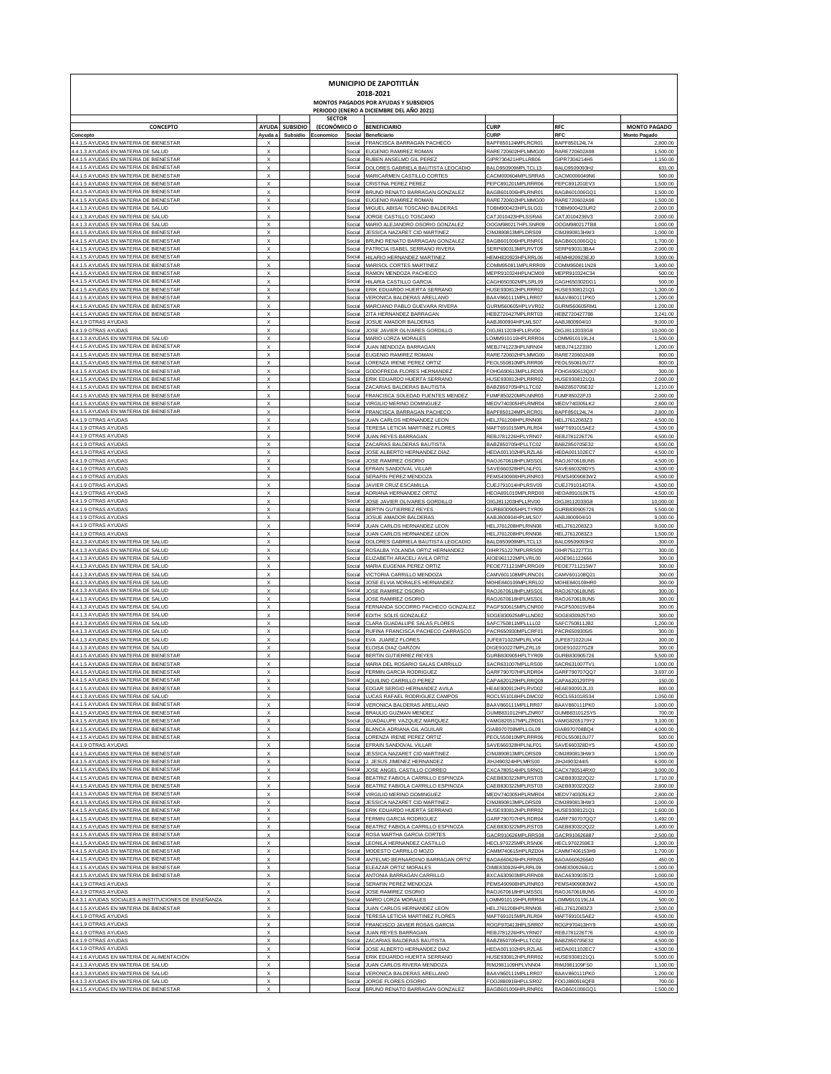| MUNICIPIO DE ZAPOTITLÁN<br>2018-2021                                                           |                                                        |                 |               |                  |                                                                                      |                                          |                                |                                 |  |  |  |  |
|------------------------------------------------------------------------------------------------|--------------------------------------------------------|-----------------|---------------|------------------|--------------------------------------------------------------------------------------|------------------------------------------|--------------------------------|---------------------------------|--|--|--|--|
|                                                                                                |                                                        |                 | <b>SECTOR</b> |                  | MONTOS PAGADOS POR AYUDAS Y SUBSIDIOS<br>PERIODO (ENERO A DICIEMBRE DEL AÑO 2021)    |                                          |                                |                                 |  |  |  |  |
| CONCEPTO                                                                                       | <b>AYUDA</b>                                           | <b>SUBSIDIO</b> | (ECONÓMICO O  |                  | <b>BENEFICIARIO</b>                                                                  | <b>CURP</b>                              | <b>RFC</b>                     | <b>MONTO PAGADO</b>             |  |  |  |  |
| Concepto<br>4.4.1.5 AYUDAS EN MATERIA DE BIENESTAR                                             | Ayuda a<br>X                                           | Subsidio        | Economico     | Social<br>Social | Beneficiario<br>FRANCISCA BARRAGAN PACHECO                                           | CURP<br>BAPF850124MPLRCR01               | <b>RFC</b><br>BAPF850124L74    | <b>Monto Pagado</b><br>2,800.00 |  |  |  |  |
| 4.4.1.3 AYUDAS EN MATERIA DE SALUD<br>4.4.1.5 AYUDAS EN MATERIA DE BIENESTAR                   | $\boldsymbol{\mathsf{x}}$                              |                 |               |                  | Social EUGENIO RAMIREZ ROMAN                                                         | RARE720602HPLMMG00                       | RARE720602A98                  | 1,500.00                        |  |  |  |  |
| 4.4.1.5 AYUDAS EN MATERIA DE BIENESTAR                                                         | $\boldsymbol{\mathsf{x}}$<br>$\boldsymbol{\mathsf{x}}$ |                 |               | Social<br>Social | RUBEN ANSELMO GIL PEREZ<br>DOLORES GABRIELA BAUTISTA LEOCADIO                        | GIPR730421HPLLRB06<br>BALD950909MPLTCL13 | GIPR7304214H5<br>BALD9509093H2 | 1,150.00<br>631.00              |  |  |  |  |
| 4.4.1.5 AYUDAS EN MATERIA DE BIENESTAR<br>4.4.1.5 AYUDAS EN MATERIA DE BIENESTAR               | $\boldsymbol{\mathsf{x}}$<br>$\boldsymbol{\mathsf{x}}$ |                 |               | Social<br>Social | MARICARMEN CASTILLO CORTES<br>CRISTINA PEREZ PEREZ                                   | CACM000604MPLSRRA5<br>PEPC891201MPLRRR06 | CACM0006049N6<br>PEPC891201EV3 | 500.00<br>1,500.00              |  |  |  |  |
| 4.4.1.5 AYUDAS EN MATERIA DE BIENESTAR                                                         | $\boldsymbol{\mathsf{x}}$                              |                 |               | Social           | BRUNO RENATO BARRAGAN GONZALEZ                                                       | BAGB601006HPLRNR01                       | BAGB601006GQ1                  | 1,500.00                        |  |  |  |  |
| 4.4.1.5 AYUDAS EN MATERIA DE BIENESTAR<br>4.4.1.3 AYUDAS EN MATERIA DE SALUD                   | $\boldsymbol{\mathsf{x}}$<br>$\boldsymbol{\mathsf{x}}$ |                 |               | Social<br>Social | EUGENIO RAMIREZ ROMAN<br>MIGUEL ABISAI TOSCANO BALDERAS                              | RARE720602HPLMMG00<br>TOBM900423HPLSLG01 | RARE720602A98<br>TOBM900423UR2 | 1,500.00<br>2,000.00            |  |  |  |  |
| 4.4.1.3 AYUDAS EN MATERIA DE SALUD                                                             | $\boldsymbol{\mathsf{x}}$                              |                 |               | Social           | JORGE CASTILLO TOSCANO                                                               | CATJ010423HPLSSRA6                       | CATJ0104236V3                  | 2,000.00                        |  |  |  |  |
| 4.4.1.3 AYUDAS EN MATERIA DE SALUD<br>4.4.1.5 AYUDAS EN MATERIA DE BIENESTAR                   | $\boldsymbol{\mathsf{x}}$<br>$\boldsymbol{\mathsf{x}}$ |                 |               | Social<br>Social | MARIO ALEJANDRO OSORIO GONZALEZ<br>JESSICA NAZARET CID MARTINEZ                      | OOGM980217HPLSNR09<br>CIMJ890813MPLDRS09 | OOGM980217TB8<br>CIMJ890813HW3 | 1,000.00<br>1,000.00            |  |  |  |  |
| 4.4.1.5 AYUDAS EN MATERIA DE BIENESTAR                                                         | $\boldsymbol{\mathsf{x}}$                              |                 |               | Social           | BRUNO RENATO BARRAGAN GONZALEZ                                                       | BAGB601006HPLRNR01                       | BAGB601006GQ1                  | 1,700.00                        |  |  |  |  |
| 4.4.1.5 AYUDAS EN MATERIA DE BIENESTAR<br>4.4.1.5 AYUDAS EN MATERIA DE BIENESTAR               | $\boldsymbol{\mathsf{x}}$<br>$\boldsymbol{\mathsf{x}}$ |                 |               | Social<br>Social | PATRICIA ISABEL SERRANO RIVERA<br>HILARIO HERNANDEZ MARTINEZ                         | SERP690313MPLRVT09<br>HEMH820923HPLRRL06 | SERP690313BA4<br>HEMH820923EJ0 | 2,000.00<br>3,000.00            |  |  |  |  |
| 4.4.1.5 AYUDAS EN MATERIA DE BIENESTAR                                                         | $\boldsymbol{\mathsf{x}}$                              |                 |               | Social           | MARISOL CORTES MARTINEZ                                                              | COMM950811MPLRRR09                       | COMM950811N28                  | 3,400.00                        |  |  |  |  |
| 4.4.1.5 AYUDAS EN MATERIA DE BIENESTAR<br>4.4.1.5 AYUDAS EN MATERIA DE BIENESTAR               | $\boldsymbol{\mathsf{x}}$<br>$\boldsymbol{\mathsf{x}}$ |                 |               | Social<br>Social | RAMON MENDOZA PACHECO<br>HILARIA CASTILLO GARCIA                                     | MEPR910324HPLNCM09<br>CAGH650302MPLSRL09 | MEPR910324C34<br>CAGH650302DG1 | 500.00<br>500.00                |  |  |  |  |
| 4.4.1.5 AYUDAS EN MATERIA DE BIENESTAR                                                         | $\boldsymbol{\mathsf{x}}$                              |                 |               | Social           | ERIK EDUARDO HUERTA SERRANO                                                          | HUSE930812HPLRRR02                       | HUSE9308121Q1                  | 1,300.00                        |  |  |  |  |
| 4.4.1.5 AYUDAS EN MATERIA DE BIENESTAR<br>4.4.1.5 AYUDAS EN MATERIA DE BIENESTAR               | $\boldsymbol{\mathsf{x}}$<br>$\boldsymbol{\mathsf{x}}$ |                 |               | Social<br>Social | VERONICA BALDERAS ARELLANO<br>MARCIANO PABLO GUEVARA RIVERA                          | BAAV860111MPLLRR07<br>GURM560605HPLVVR02 | BAAV860111PK0<br>GURM560605RM1 | 1,200.00<br>1,200.00            |  |  |  |  |
| 4.4.1.5 AYUDAS EN MATERIA DE BIENESTAR                                                         | $\boldsymbol{\mathsf{x}}$                              |                 |               | Social           | ZITA HERNANDEZ BARRAGAN                                                              | HEBZ720427MPLRRT03                       | HEBZ720427788                  | 3,241.00                        |  |  |  |  |
| 4.4.1.9 OTRAS AYUDAS<br>4.4.1.9 OTRAS AYUDAS                                                   | $\boldsymbol{\mathsf{x}}$<br>$\boldsymbol{\mathsf{x}}$ |                 |               | Social<br>Social | JOSUE AMADOR BALDERAS<br>JOSE JAVIER OLIVARES GORDILLO                               | AABJ800904HPLMLS07<br>OIGJ811203HPLLRV00 | AABJ800904I10<br>OIGJ8112033G8 | 9,000.00<br>10,000.00           |  |  |  |  |
| 4.4.1.3 AYUDAS EN MATERIA DE SALUD                                                             | $\boldsymbol{\mathsf{x}}$                              |                 |               | Social           | MARIO LORZA MORALES                                                                  | LOMM910119HPLRRR04                       | LOMM910119LJ4                  | 1,500.00                        |  |  |  |  |
| 4.4.1.5 AYUDAS EN MATERIA DE BIENESTAR<br>4.4.1.5 AYUDAS EN MATERIA DE BIENESTAR               | $\boldsymbol{\mathsf{x}}$<br>$\boldsymbol{\mathsf{x}}$ |                 |               | Social<br>Social | JUAN MENDOZA BARRAGAN<br>EUGENIO RAMIREZ ROMAN                                       | MEBJ741223HPLNRN04<br>RARE720602HPLMMG00 | MEBJ7412233I0<br>RARE720602A98 | 1,200.00<br>800.00              |  |  |  |  |
| 4.4.1.5 AYUDAS EN MATERIA DE BIENESTAR                                                         | $\boldsymbol{\mathsf{x}}$                              |                 |               | Social           | LORENZA IRENE PEREZ ORTIZ                                                            | PEOL550810MPLRRR06                       | PEOL550810U77                  | 800.00                          |  |  |  |  |
| 4.4.1.5 AYUDAS EN MATERIA DE BIENESTAR<br>4.4.1.5 AYUDAS EN MATERIA DE BIENESTAR               | $\boldsymbol{\mathsf{x}}$<br>$\boldsymbol{\mathsf{x}}$ |                 |               | Social           | GODOFREDA FLORES HERNANDEZ<br>Social ERIK EDUARDO HUERTA SERRANO                     | FOHG690613MPLLRD09<br>HUSE930812HPLRRR02 | FOHG690613QX7<br>HUSE9308121Q1 | 300.00<br>2,000.00              |  |  |  |  |
| 4.4.1.5 AYUDAS EN MATERIA DE BIENESTAR                                                         | $\boldsymbol{\mathsf{x}}$                              |                 |               | Social           | ZACARIAS BALDERAS BAUTISTA                                                           | BABZ850705HPLLTC02                       | BABZ850705E32                  | 1,210.00                        |  |  |  |  |
| 4.4.1.5 AYUDAS EN MATERIA DE BIENESTAR<br>4.4.1.5 AYUDAS EN MATERIA DE BIENESTAR               | $\boldsymbol{\mathsf{x}}$<br>$\boldsymbol{\mathsf{x}}$ |                 |               | Social<br>Social | FRANCISCA SOLEDAD FUENTES MENDEZ<br>VIRGILIO MERINO DOMINGUEZ                        | FUMF850220MPLNNR03<br>MEDV740305HPLRMR04 | FUMF85022PJ3<br>MEDV740305LK2  | 2,000.00<br>2,800.00            |  |  |  |  |
| 4.4.1.5 AYUDAS EN MATERIA DE BIENESTAR                                                         | $\boldsymbol{\mathsf{x}}$                              |                 |               | Social           | FRANCISCA BARRAGAN PACHECO                                                           | BAPF850124MPLRCR01                       | BAPF850124L74                  | 2,800.00                        |  |  |  |  |
| 4.4.1.9 OTRAS AYUDAS<br>4.4.1.9 OTRAS AYUDAS                                                   | $\boldsymbol{\mathsf{x}}$<br>$\boldsymbol{\mathsf{x}}$ |                 |               | Social<br>Social | JUAN CARLOS HERNANDEZ LEON<br>TERESA LETICIA MARTINEZ FLORES                         | HELJ761208HPLRNN08<br>MAFT691015MPLRLR04 | HELJ7612083Z3<br>MAFT691015AE2 | 4,500.00<br>4,500.00            |  |  |  |  |
| 4.4.1.9 OTRAS AYUDA!                                                                           | $\boldsymbol{\mathsf{x}}$                              |                 |               | Social           | JUAN REYES BARRAGAN                                                                  | REBJ781226HPLYRN07                       | REBJ781226T76                  | 4,500.00                        |  |  |  |  |
| 4.4.1.9 OTRAS AYUDA!<br>4.4.1.9 OTRAS AYUDA!                                                   | $\boldsymbol{\mathsf{x}}$<br>$\boldsymbol{\mathsf{x}}$ |                 |               | Social           | Social ZACARIAS BALDERAS BAUTISTA<br>JOSE ALBERTO HERNANDEZ DIAZ                     | BABZ850705HPLLTC02<br>HEDA001102HPLRZLA6 | BABZ850705E32<br>HEDA001102EC7 | 4,500.00<br>4,500.00            |  |  |  |  |
| 4.4.1.9 OTRAS AYUDA!                                                                           | $\boldsymbol{\mathsf{x}}$                              |                 |               | Social           | JOSE RAMIREZ OSORIO                                                                  | RAOJ670618HPLMSS01                       | RAOJ670618UN5                  | 4,500.00                        |  |  |  |  |
| 4.4.1.9 OTRAS AYUDA!<br>4.4.1.9 OTRAS AYUDA!                                                   | $\boldsymbol{\mathsf{x}}$<br>$\boldsymbol{\mathsf{x}}$ |                 |               |                  | Social EFRAIN SANDOVAL VILLAR<br>Social SERAFIN PEREZ MENDOZA                        | SAVE660328HPLNLF01<br>PEMS490908HPLRNR03 | SAVE660328DY5<br>PEMS4909083W2 | 4,500.00<br>4,500.00            |  |  |  |  |
| 4.4.1.9 OTRAS AYUDA!                                                                           | $\boldsymbol{\mathsf{x}}$                              |                 |               | Social           | JAVIER CRUZ ESCAMILLA                                                                | CUEJ791014HPLRSV09                       | CUEJ791014DTA                  | 4,500.00                        |  |  |  |  |
| 4.4.1.9 OTRAS AYUDA!<br>4.4.1.9 OTRAS AYUDA!                                                   | $\boldsymbol{\mathsf{x}}$<br>$\boldsymbol{\mathsf{x}}$ |                 |               | Social<br>Social | ADRIANA HERNANDEZ ORTIZ<br>JOSE JAVIER OLIVARES GORDILLO                             | HEOA891010MPLRRD00<br>OIGJ811203HPLLRV00 | HEOA891010KT5<br>OIGJ8112033G8 | 4,500.00<br>10,000.00           |  |  |  |  |
| 4.4.1.9 OTRAS AYUDA!                                                                           | $\boldsymbol{\mathsf{x}}$                              |                 |               |                  | Social BERTIN GUTIERREZ REYES                                                        | GURB830905HPLTYR09                       | GURB830905726                  | 5,500.00                        |  |  |  |  |
| 4.4.1.9 OTRAS AYUDAS<br>4.4.1.9 OTRAS AYUDAS                                                   | $\boldsymbol{\mathsf{x}}$<br>$\boldsymbol{\mathsf{x}}$ |                 |               | Social<br>Social | JOSUE AMADOR BALDERAS<br>JUAN CARLOS HERNANDEZ LEON                                  | AABJ800904HPLMLS07<br>HELJ761208HPLRNN08 | AABJ800904I10<br>HELJ7612083Z3 | 9,000.00<br>9,000.00            |  |  |  |  |
| 4.4.1.9 OTRAS AYUDAS                                                                           | $\boldsymbol{\mathsf{x}}$<br>$\boldsymbol{\mathsf{x}}$ |                 |               | Social           | JUAN CARLOS HERNANDEZ LEON                                                           | HELJ761208HPLRNN08                       | HELJ7612083Z3                  | 1,500.00                        |  |  |  |  |
| 4.4.1.3 AYUDAS EN MATERIA DE SALUD<br>4.4.1.3 AYUDAS EN MATERIA DE SALUD                       | $\boldsymbol{\mathsf{x}}$                              |                 |               | Social           | Social DOLORES GABRIELA BAUTISTA LEOCADIO<br>ROSALBA YOLANDA ORTIZ HERNANDE.         | BALD950909MPLTCL13<br>OIHR751227MPLRRS09 | BALD9509093H2<br>OIHR751227T31 | 300.00<br>300.00                |  |  |  |  |
| 4.4.1.3 AYUDAS EN MATERIA DE SALUD                                                             | $\boldsymbol{\mathsf{x}}$<br>$\boldsymbol{\mathsf{x}}$ |                 |               |                  | Social ELIZABETH ARACELI AVILA ORTIZ                                                 | AIOE961122MPLVRL00                       | AIOE961122666                  | 300.00                          |  |  |  |  |
| 4.4.1.3 AYUDAS EN MATERIA DE SALUD<br>4.4.1.3 AYUDAS EN MATERIA DE SALUD                       | $\boldsymbol{\mathsf{x}}$                              |                 |               | Social           | Social MARIA EUGENIA PEREZ ORTIZ<br>VICTORIA CARRILLO MENDOZA                        | PEOE771121MPLRRG09<br>CAMV601108MPLRNC01 | PEOE7711215W7<br>CAMV601108Q21 | 300.00<br>300.00                |  |  |  |  |
| 4.4.1.3 AYUDAS EN MATERIA DE SALUD<br>4.4.1.3 AYUDAS EN MATERIA DE SALUD                       | $\boldsymbol{\mathsf{x}}$<br>$\boldsymbol{\mathsf{x}}$ |                 |               | Social<br>Social | JOSE ELVIA MORALES HERNANDEZ<br>JOSE RAMIREZ OSORIO                                  | MOHE840109MPLRRL02<br>RAOJ670618HPLMSS01 | MOHE840109HR0<br>RAOJ670618UN5 | 300.00<br>300.00                |  |  |  |  |
| 4.4.1.3 AYUDAS EN MATERIA DE SALUD                                                             | $\boldsymbol{\mathsf{x}}$                              |                 |               | Social           | JOSE RAMIREZ OSORIO                                                                  | RAOJ670618HPLMSS01                       | RAOJ670618UN5                  | 300.00                          |  |  |  |  |
| 4.4.1.3 AYUDAS EN MATERIA DE SALUD<br>4.4.1.3 AYUDAS EN MATERIA DE SALUD                       | $\boldsymbol{\mathsf{x}}$<br>$\boldsymbol{\mathsf{x}}$ |                 |               |                  | Social FERNANDA SOCORRO PACHECO GONZALEZ<br>Social EDITH SOLIS GONZALEZ              | PAGF500615MPLCNR00<br>SOGE830925MPLLND02 | PAGF500615VB4<br>SOGE830925TX0 | 300.00<br>300.00                |  |  |  |  |
| 4.4.1.3 AYUDAS EN MATERIA DE SALUD                                                             | $\boldsymbol{\mathsf{x}}$                              |                 |               | Social           | CLARA GUADALUPE SALAS FLORES                                                         | SAFC750811MPLLLL02                       | SAFC750811JB2                  | 1,200.00                        |  |  |  |  |
| 4.4.1.3 AYUDAS EN MATERIA DE SALUD<br>4.4.1.3 AYUDAS EN MATERIA DE SALUD                       | $\boldsymbol{\mathsf{x}}$<br>$\boldsymbol{\mathsf{x}}$ |                 |               | Social           | RUFINA FRANCISCA PACHECO CARRASCO<br>Social EVA JUAREZ FLORES                        | PACR650930MPLCRF01<br>JUFE871022MPLRLV04 | PACR6509305I5<br>JUFE871022UI4 | 300.00<br>300.00                |  |  |  |  |
| 4.4.1.3 AYUDAS EN MATERIA DE SALUD                                                             | $\boldsymbol{\mathsf{x}}$                              |                 |               |                  | Social ELOISA DIAZ GARZON                                                            | DIGE910227MPLZRL19                       | DIGE910227GZ8                  | 300.00                          |  |  |  |  |
| 4.4.1.5 AYUDAS EN MATERIA DE BIENESTAR<br>4.4.1.5 AYUDAS EN MATERIA DE BIENESTAR               | $\boldsymbol{\mathsf{x}}$<br>X                         |                 |               | Social<br>Social | BERTIN GUTIERREZ REYES<br>MARIA DEL ROSARIO SALAS CARRILLO                           | GURB830905HPLTYR09<br>SACR631007MPLLRS00 | GURB830905726<br>SACR631007TV1 | 5,500.00<br>1,000.00            |  |  |  |  |
| 4.4.1.5 AYUDAS EN MATERIA DE BIENESTAR                                                         | X                                                      |                 |               |                  | Social FERMIN GARCIA RODRIGUEZ                                                       | GARF790707HPLRDR04                       | GARF790707QQ7                  | 3,697.00                        |  |  |  |  |
| 14.4.1.5 AYUDAS EN MATERIA DE BIENESTA<br>4.4.1.5 AYUDAS EN MATERIA DE BIENESTAR               | $\boldsymbol{\mathsf{x}}$                              |                 |               | social           | AQUILINO CARRILI<br>Social EDGAR SERGIO HERNANDEZ AVILA                              | APA620129HPLRRC<br>HEAE900912HPLRVD02    | CAPA6201291P<br>HEAE900912LJ3  | 50.00<br>800.00                 |  |  |  |  |
| 4.4.1.3 AYUDAS EN MATERIA DE SALUD                                                             | $\boldsymbol{\mathsf{x}}$                              |                 |               |                  | Social LUCAS RAFAEL RODRIGUEZ CAMPOS                                                 | ROCL551018HPLDMC02                       | ROCL551018S34                  | 1,050.00                        |  |  |  |  |
| 4.4.1.5 AYUDAS EN MATERIA DE BIENESTAR<br>4.4.1.5 AYUDAS EN MATERIA DE BIENESTAR               | $\boldsymbol{\mathsf{x}}$<br>Х                         |                 |               |                  | Social VERONICA BALDERAS ARELLANO<br>Social BRAULIO GUZMAN MENDEZ                    | BAAV860111MPLLRR07<br>GUMB831012HPLZNR07 | BAAV860111PK0<br>GUMB831012SY5 | 1,000.00<br>700.00              |  |  |  |  |
| 4.4.1.5 AYUDAS EN MATERIA DE BIENESTAR                                                         | Х                                                      |                 |               |                  | Social GUADALUPE VAZQUEZ MARQUEZ                                                     | VAMG820517MPLZRD01                       | VAMG8205179Y2                  | 3,100.00                        |  |  |  |  |
| 4.4.1.5 AYUDAS EN MATERIA DE BIENESTAR<br>4.4.1.5 AYUDAS EN MATERIA DE BIENESTAR               | Х<br>Х                                                 |                 |               |                  | Social BLANCA ADRIANA GIL AGUILAR<br>Social LORENZA IRENE PEREZ ORTIZ                | GIAB970708MPLLGL09<br>PEOL550810MPLRRR06 | GIAB970708BQ4<br>PEOL550810U77 | 4,000.00<br>500.00              |  |  |  |  |
| 4.4.1.9 OTRAS AYUDAS                                                                           | Х                                                      |                 |               |                  | Social EFRAIN SANDOVAL VILLAR                                                        | SAVE660328HPLNLF01                       | SAVE660328DY5                  | 4,500.00                        |  |  |  |  |
| 4.4.1.5 AYUDAS EN MATERIA DE BIENESTAR<br>4.4.1.5 AYUDAS EN MATERIA DE BIENESTAR               | Х<br>Х                                                 |                 |               |                  | Social JESSICA NAZARET CID MARTINEZ<br>Social J. JESUS JIMENEZ HERNANDEZ             | CIMJ890813MPLDRS09<br>JIHJ490324HPLMRS00 | CIMJ890813HW3<br>JIHJ490324415 | 1,000.00<br>6,000.00            |  |  |  |  |
| 4.4.1.5 AYUDAS EN MATERIA DE BIENESTAR                                                         | Х                                                      |                 |               |                  | Social JOSE ANGEL CASTILLO CORREO                                                    | CXCA780514HPLSRN01                       | CACX780514RX0                  | 3,000.00                        |  |  |  |  |
| 4.4.1.5 AYUDAS EN MATERIA DE BIENESTAR<br>4.4.1.5 AYUDAS EN MATERIA DE BIENESTAR               | Х<br>Х                                                 |                 |               |                  | Social BEATRIZ FABIOLA CARRILLO ESPINOZA<br>Social BEATRIZ FABIOLA CARRILLO ESPINOZA | CAEB830322MPLRST03<br>CAEB830322MPLRST03 | CAEB830322Q22<br>CAEB830322Q22 | 1,710.00<br>2,800.00            |  |  |  |  |
| 4.4.1.5 AYUDAS EN MATERIA DE BIENESTAR                                                         | Х                                                      |                 |               |                  | Social VIRGILIO MERINO DOMINGUEZ                                                     | MEDV740305HPLRMR04                       | MEDV740305LK2                  | 2,800.00                        |  |  |  |  |
| 4.4.1.5 AYUDAS EN MATERIA DE BIENESTAR<br>4.4.1.5 AYUDAS EN MATERIA DE BIENESTAR               | Х<br>Х                                                 |                 |               |                  | Social JESSICA NAZARET CID MARTINEZ<br>Social ERIK EDUARDO HUERTA SERRANO            | CIMJ890813MPLDRS09<br>HUSE930812HPLRRR02 | CIMJ890813HW3<br>HUSE9308121Q1 | 1,000.00<br>1,600.00            |  |  |  |  |
| 4.4.1.5 AYUDAS EN MATERIA DE BIENESTAR                                                         | Х                                                      |                 |               |                  | Social FERMIN GARCIA RODRIGUEZ                                                       | GARF790707HPLRDR04<br>CAEB830322MPLRST03 | GARF790707QQ7                  | 1,492.00                        |  |  |  |  |
| 4.4.1.5 AYUDAS EN MATERIA DE BIENESTAR<br>4.4.1.5 AYUDAS EN MATERIA DE BIENESTAR               | Х<br>Х                                                 |                 |               |                  | Social BEATRIZ FABIOLA CARRILLO ESPINOZA<br>Social ROSA MARTHA GARCIA CORTES         | GACR910626MPLRRS08                       | CAEB830322Q22<br>GACR910626887 | 1,400.00<br>2,500.00            |  |  |  |  |
| 4.4.1.5 AYUDAS EN MATERIA DE BIENESTAR<br>4.4.1.5 AYUDAS EN MATERIA DE BIENESTAR               | Х                                                      |                 |               |                  | Social LEONILA HERNANDEZ CASTILLO<br>Social MODESTO CARRILLO MOZO                    | HECL970225MPLRSN06                       | HECL9702259E3                  | 1,300.00                        |  |  |  |  |
| 4.4.1.5 AYUDAS EN MATERIA DE BIENESTAR                                                         | Х<br>Х                                                 |                 |               |                  | Social ANTELMO BERNARDINO BARRAGAN ORTIZ                                             | CAMM740615HPLRZD04<br>BAOA660626HPLRRN05 | CAMM7406153H9<br>BAOA660626640 | 1,700.00<br>450.00              |  |  |  |  |
| 4.4.1.5 AYUDAS EN MATERIA DE BIENESTAR                                                         | Х                                                      |                 |               |                  | Social ELEAZAR ORTIZ MORALES                                                         | OIME830926HPLRRL09                       | OIME8309266U1                  | 1,000.00                        |  |  |  |  |
| 4.4.1.5 AYUDAS EN MATERIA DE BIENESTAR<br>4.4.1.9 OTRAS AYUDAS                                 | Х<br>Х                                                 |                 |               |                  | Social ANTONIA BARRAGAN CARRILLO<br>Social SERAFIN PEREZ MENDOZA                     | BXCA630903MPLRRN08<br>PEMS490908HPLRNR03 | BACA630903573<br>PEMS4909083W2 | 1,000.00<br>4,500.00            |  |  |  |  |
| 4.4.1.9 OTRAS AYUDAS                                                                           | x                                                      |                 |               |                  | Social JOSE RAMIREZ OSORIO                                                           | RAOJ670618HPLMSS01                       | RAOJ670618UN5                  | 4,500.00                        |  |  |  |  |
| 4.4.3.1 AYUDAS SOCIALES A INSTITUCIONES DE ENSEÑANZA<br>4.4.1.5 AYUDAS EN MATERIA DE BIENESTAR | x<br>x                                                 |                 |               |                  | Social MARIO LORZA MORALES<br>Social JUAN CARLOS HERNANDEZ LEON                      | LOMM910119HPLRRR04<br>HELJ761208HPLRNN08 | LOMM910119LJ4<br>HELJ7612083Z3 | 500.00<br>2,500.00              |  |  |  |  |
| 4.4.1.9 OTRAS AYUDAS                                                                           | Х                                                      |                 |               |                  | Social TERESA LETICIA MARTINEZ FLORES                                                | MAFT691015MPLRLR04                       | MAFT691015AE2                  | 4,500.00                        |  |  |  |  |
| 4.4.1.9 OTRAS AYUDAS<br>4.4.1.9 OTRAS AYUDAS                                                   | Х<br>Х                                                 |                 |               |                  | Social FRANCISCO JAVIER ROSAS GARCIA<br>Social JUAN REYES BARRAGAN                   | ROGF970413HPLSRR07<br>REBJ781226HPLYRN07 | ROGF970413HY9<br>REBJ781226T76 | 4,500.00<br>4,500.00            |  |  |  |  |
| 4.4.1.9 OTRAS AYUDAS                                                                           | Х                                                      |                 |               |                  | Social ZACARIAS BALDERAS BAUTISTA                                                    | BABZ850705HPLLTC02                       | BABZ850705E32                  | 4,500.00                        |  |  |  |  |
| 4.4.1.9 OTRAS AYUDAS<br>4.4.1.6 AYUDAS EN MATERIA DE ALIMENTACIÓN                              | Х<br>Х                                                 |                 |               |                  | Social JOSE ALBERTO HERNANDEZ DIAZ<br>Social ERIK EDUARDO HUERTA SERRANO             | HEDA001102HPLRZLA6<br>HUSE930812HPLRRR02 | HEDA001102EC7<br>HUSE9308121Q1 | 4,500.00<br>5,000.00            |  |  |  |  |
| 4.4.1.3 AYUDAS EN MATERIA DE SALUD<br>4.4.1.3 AYUDAS EN MATERIA DE SALUD                       | Х<br>Х                                                 |                 |               |                  | Social JUAN CARLOS RIVERA MENDOZA<br>Social VERONICA BALDERAS ARELLANO               | RIMJ981109HPLVNN04<br>BAAV860111MPLLRR07 | RIMJ981109FS0<br>BAAV860111PK0 | 1,100.00<br>1,200.00            |  |  |  |  |
| 4.4.1.3 AYUDAS EN MATERIA DE SALUD                                                             | х                                                      |                 |               |                  | Social JORGE FLORES OSORIO                                                           | FOOJ880916HPLLSR02                       | FOOJ880916QF8                  | 700.00                          |  |  |  |  |
| 4.4.1.5 AYUDAS EN MATERIA DE BIENESTAR                                                         | $\boldsymbol{\mathsf{x}}$                              |                 |               |                  | Social BRUNO RENATO BARRAGAN GONZALEZ                                                | BAGB601006HPLRNR01                       | BAGB601006GQ1                  | 1,500.00                        |  |  |  |  |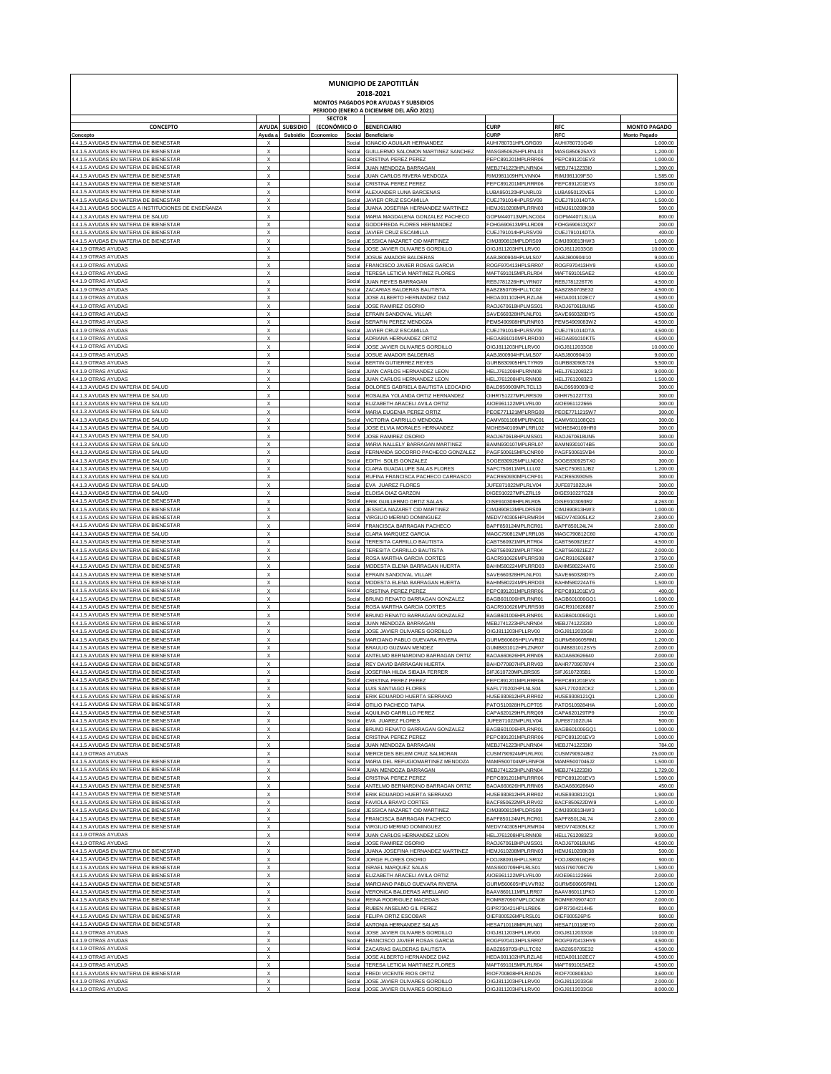| MUNICIPIO DE ZAPOTITLÁN<br>2018-2021<br>MONTOS PAGADOS POR AYUDAS Y SUBSIDIOS<br>PERIODO (ENERO A DICIEMBRE DEL AÑO 2021) |                                                        |                |               |                  |                                                                       |                                          |                                |                                 |  |  |  |  |
|---------------------------------------------------------------------------------------------------------------------------|--------------------------------------------------------|----------------|---------------|------------------|-----------------------------------------------------------------------|------------------------------------------|--------------------------------|---------------------------------|--|--|--|--|
|                                                                                                                           |                                                        |                | <b>SECTOR</b> |                  |                                                                       |                                          |                                |                                 |  |  |  |  |
| <b>CONCEPTO</b>                                                                                                           |                                                        | AYUDA SUBSIDIO | (ECONÓMICO O  |                  | <b>BENEFICIARIO</b>                                                   | <b>CURP</b>                              | <b>RFC</b>                     | <b>MONTO PAGADO</b>             |  |  |  |  |
| Concepto<br>4.4.1.5 AYUDAS EN MATERIA DE BIENESTAR                                                                        | Ayuda a                                                | Subsidio       | Economico     | Social<br>Social | Beneficiario<br><b>IGNACIO AGUILAR HERNANDEZ</b>                      | <b>CURI</b><br>AUHI780731HPLGRG09        | RFC<br>AUHI780731G49           | <b>Monto Pagade</b><br>1,000.00 |  |  |  |  |
| 4.4.1.5 AYUDAS EN MATERIA DE BIENESTAR                                                                                    | $\boldsymbol{\mathsf{x}}$                              |                |               | Social           | GUILLERMO SALOMON MARTINEZ SANCHEZ                                    | MASG850625HPLRNL03                       | MASG850625AY:                  | 1,200.00                        |  |  |  |  |
| 4.4.1.5 AYUDAS EN MATERIA DE BIENESTAR<br>4.4.1.5 AYUDAS EN MATERIA DE BIENESTAR                                          | $\boldsymbol{\mathsf{x}}$<br>$\boldsymbol{\mathsf{x}}$ |                |               | Social<br>Social | CRISTINA PEREZ PEREZ<br>JUAN MENDOZA BARRAGAN                         | PEPC891201MPLRRR06<br>MEBJ741223HPLNRN04 | PEPC891201EV3<br>MEBJ7412233I0 | 1,000.00<br>1,300.00            |  |  |  |  |
| 4.4.1.5 AYUDAS EN MATERIA DE BIENESTAR                                                                                    | $\boldsymbol{\mathsf{x}}$                              |                |               | Social           | JUAN CARLOS RIVERA MENDOZA                                            | RIMJ981109HPLVNN04                       | RIMJ981109FS0                  | 1,585.00                        |  |  |  |  |
| 4.4.1.5 AYUDAS EN MATERIA DE BIENESTAR<br>4.4.1.5 AYUDAS EN MATERIA DE BIENESTAR                                          | $\boldsymbol{\mathsf{x}}$<br>$\boldsymbol{\mathsf{x}}$ |                |               | Social<br>Social | CRISTINA PEREZ PEREZ<br>ALEXANDER LUNA BARCENAS                       | PEPC891201MPLRRR06<br>LUBA950120HPLNRL03 | PEPC891201EV3<br>LUBA950120VE6 | 3,050.00<br>1,300.00            |  |  |  |  |
| 4.4.1.5 AYUDAS EN MATERIA DE BIENESTAR                                                                                    | $\boldsymbol{\mathsf{x}}$                              |                |               | Social           | JAVIER CRUZ ESCAMILLA                                                 | CUEJ791014HPLRSV09                       | CUEJ791014DT/                  | 1,500.00                        |  |  |  |  |
| 4.4.3.1 AYUDAS SOCIALES A INSTITUCIONES DE ENSEÑANZA<br>4.4.1.3 AYUDAS EN MATERIA DE SALUD                                | $\boldsymbol{\mathsf{x}}$<br>$\boldsymbol{\mathsf{x}}$ |                |               | Social<br>Social | JUANA JOSEFINA HERNANDEZ MARTINE<br>MARIA MAGDALENA GONZALEZ PACHECO  | HEMJ610208MPLRRN03<br>GOPM440713MPLNCG04 | HEMJ610208K38<br>GOPM440713LUA | 500.00<br>800.00                |  |  |  |  |
| 4.4.1.5 AYUDAS EN MATERIA DE BIENESTAR                                                                                    | $\boldsymbol{\mathsf{x}}$                              |                |               | Social           | GODOFREDA FLORES HERNANDEZ                                            | FOHG690613MPLLRD09                       | FOHG690613QX7                  | 200.00                          |  |  |  |  |
| 4.4.1.5 AYUDAS EN MATERIA DE BIENESTAR                                                                                    | $\boldsymbol{\mathsf{x}}$                              |                |               | Social           | JAVIER CRUZ ESCAMILLA                                                 | CUEJ791014HPLRSV09                       | CUEJ791014DT/                  | 400.00                          |  |  |  |  |
| 4.4.1.5 AYUDAS EN MATERIA DE BIENESTAR<br>4.4.1.9 OTRAS AYUDAS                                                            | $\boldsymbol{\mathsf{x}}$<br>$\boldsymbol{\mathsf{x}}$ |                |               | Social<br>Social | JESSICA NAZARET CID MARTINEZ<br>JOSE JAVIER OLIVARES GORDILLO         | CIMJ890813MPLDRS09<br>OIGJ811203HPLLRV00 | CIMJ890813HW3<br>OIGJ8112033G8 | 1,000.00<br>10,000.00           |  |  |  |  |
| 4.4.1.9 OTRAS AYUDAS                                                                                                      | $\boldsymbol{\mathsf{x}}$                              |                |               | Social           | JOSUE AMADOR BALDERAS                                                 | AABJ800904HPLMLS07                       | AABJ800904I10                  | 9,000.00                        |  |  |  |  |
| 4.4.1.9 OTRAS AYUDAS<br>4.4.1.9 OTRAS AYUDAS                                                                              | $\boldsymbol{\mathsf{x}}$<br>$\boldsymbol{\mathsf{x}}$ |                |               | Social<br>Social | FRANCISCO JAVIER ROSAS GARCIA<br>TERESA LETICIA MARTINEZ FLORES       | ROGF970413HPLSRR07<br>MAFT691015MPLRLR04 | ROGF970413HY9<br>MAFT691015AE2 | 4,500.00<br>4,500.00            |  |  |  |  |
| 4.4.1.9 OTRAS AYUDAS                                                                                                      | $\boldsymbol{\mathsf{x}}$                              |                |               | Social           | <b>JUAN REYES BARRAGAM</b>                                            | REBJ781226HPLYRN07                       | REBJ781226T76                  | 4,500.00                        |  |  |  |  |
| 4.4.1.9 OTRAS AYUDAS<br>4.4.1.9 OTRAS AYUDAS                                                                              | $\boldsymbol{\mathsf{x}}$<br>$\boldsymbol{\mathsf{x}}$ |                |               | Social<br>Social | ZACARIAS BALDERAS BAUTISTA<br>JOSE ALBERTO HERNANDEZ DIAZ             | BABZ850705HPLLTC02<br>HEDA001102HPLRZLA6 | BABZ850705E32<br>HEDA001102EC7 | 4,500.00<br>4,500.00            |  |  |  |  |
| 4.4.1.9 OTRAS AYUDAS                                                                                                      | $\boldsymbol{\mathsf{x}}$                              |                |               | Social           | <b>JOSE RAMIREZ OSORIC</b>                                            | RAOJ670618HPLMSS01                       | RAOJ670618UN5                  | 4,500.00                        |  |  |  |  |
| 4.4.1.9 OTRAS AYUDAS                                                                                                      | $\boldsymbol{\mathsf{x}}$                              |                |               | Social           | EFRAIN SANDOVAL VILLAR                                                | SAVE660328HPLNLF01                       | SAVE660328DY5                  | 4,500.00                        |  |  |  |  |
| 4.4.1.9 OTRAS AYUDAS<br>4.4.1.9 OTRAS AYUDAS                                                                              | $\boldsymbol{\mathsf{x}}$<br>$\boldsymbol{\mathsf{x}}$ |                |               | Social<br>Social | SERAFIN PEREZ MENDOZA<br>JAVIER CRUZ ESCAMILLA                        | PEMS490908HPLRNR03<br>CUEJ791014HPLRSV09 | PEMS4909083W2<br>CUEJ791014DT/ | 4,500.00<br>4,500.00            |  |  |  |  |
| 4.4.1.9 OTRAS AYUDAS                                                                                                      | $\boldsymbol{\mathsf{x}}$                              |                |               | Social           | ADRIANA HERNANDEZ ORTIZ                                               | HEOA891010MPLRRD00                       | <b>HEOA891010KT5</b>           | 4,500.00                        |  |  |  |  |
| 4.4.1.9 OTRAS AYUDAS<br>4.4.1.9 OTRAS AYUDAS                                                                              | $\boldsymbol{\mathsf{x}}$<br>$\boldsymbol{\mathsf{x}}$ |                |               | Social<br>Social | JOSE JAVIER OLIVARES GORDILLO<br>JOSUE AMADOR BALDERAS                | OIGJ811203HPLLRV00<br>AABJ800904HPLMLS07 | OIGJ8112033G8<br>AABJ800904I10 | 10,000.00<br>9,000.00           |  |  |  |  |
| 4.4.1.9 OTRAS AYUDAS                                                                                                      | $\boldsymbol{\mathsf{x}}$                              |                |               | Social           | BERTIN GUTIERREZ REYES                                                | GURB830905HPLTYR09                       | GURB830905726                  | 5,500.00                        |  |  |  |  |
| 4.4.1.9 OTRAS AYUDAS                                                                                                      | $\boldsymbol{\mathsf{x}}$                              |                |               | Social           | JUAN CARLOS HERNANDEZ LEON                                            | HELJ761208HPLRNN08                       | HELJ7612083Z3                  | 9,000.00                        |  |  |  |  |
| 4.4.1.9 OTRAS AYUDAS<br>4.4.1.3 AYUDAS EN MATERIA DE SALUD                                                                | $\boldsymbol{\mathsf{x}}$<br>$\boldsymbol{\mathsf{x}}$ |                |               | Social<br>Social | JUAN CARLOS HERNANDEZ LEON<br>DOLORES GABRIELA BAUTISTA LEOCADIO      | HELJ761208HPLRNN08<br>BALD950909MPLTCL13 | HELJ7612083Z3<br>BALD9509093H2 | 1,500.00<br>300.00              |  |  |  |  |
| 4.4.1.3 AYUDAS EN MATERIA DE SALUD                                                                                        | $\boldsymbol{\mathsf{x}}$                              |                |               | Social           | ROSALBA YOLANDA ORTIZ HERNANDEZ                                       | OIHR751227MPLRRS09                       | OIHR751227T31                  | 300.00                          |  |  |  |  |
| 4.4.1.3 AYUDAS EN MATERIA DE SALUD<br>4.4.1.3 AYUDAS EN MATERIA DE SALUD                                                  | $\boldsymbol{\mathsf{x}}$<br>$\boldsymbol{\mathsf{x}}$ |                |               | Social<br>Social | ELIZABETH ARACELI AVILA ORTIZ<br>MARIA EUGENIA PEREZ ORTIZ            | AIOE961122MPLVRL00<br>PEOE771121MPLRRG09 | AIOE961122666<br>PEOE7711215W7 | 300.00<br>300.00                |  |  |  |  |
| 4.4.1.3 AYUDAS EN MATERIA DE SALUD                                                                                        | $\boldsymbol{\mathsf{x}}$                              |                |               | Social           | VICTORIA CARRILLO MENDOZA                                             | CAMV601108MPLRNC01                       | CAMV601108Q21                  | 300.00                          |  |  |  |  |
| 4.4.1.3 AYUDAS EN MATERIA DE SALUD                                                                                        | $\boldsymbol{\mathsf{x}}$                              |                |               | Social           | JOSE ELVIA MORALES HERNANDEZ                                          | MOHE840109MPLRRL02                       | MOHE840109HR0                  | 300.00                          |  |  |  |  |
| 4.4.1.3 AYUDAS EN MATERIA DE SALUD<br>4.4.1.3 AYUDAS EN MATERIA DE SALUD                                                  | $\boldsymbol{\mathsf{x}}$<br>$\boldsymbol{\mathsf{x}}$ |                |               | Social<br>Social | JOSE RAMIREZ OSORIO<br>MARIA NALLELY BARRAGAN MARTINEZ                | RAOJ670618HPLMSS01<br>BAMN930107MPLRRL07 | RAOJ670618UN5<br>BAMN9301074B5 | 300.00<br>300.00                |  |  |  |  |
| 4.4.1.3 AYUDAS EN MATERIA DE SALUD                                                                                        | $\boldsymbol{\mathsf{x}}$                              |                |               | Social           | FERNANDA SOCORRO PACHECO GONZALEZ                                     | PAGF500615MPLCNR00                       | PAGF500615VB4                  | 300.00                          |  |  |  |  |
| 4.4.1.3 AYUDAS EN MATERIA DE SALUD<br>4.4.1.3 AYUDAS EN MATERIA DE SALUD                                                  | $\boldsymbol{\mathsf{x}}$<br>$\boldsymbol{\mathsf{x}}$ |                |               | Social<br>Social | EDITH SOLIS GONZALEZ<br>CLARA GUADALUPE SALAS FLORES                  | SOGE830925MPLLND02<br>SAFC750811MPLLLL02 | SOGE830925TX0<br>SAEC750811JB2 | 300.00<br>1,200.00              |  |  |  |  |
| 4.4.1.3 AYUDAS EN MATERIA DE SALUD                                                                                        | $\boldsymbol{\mathsf{x}}$                              |                |               | Social           | RUFINA FRANCISCA PACHECO CARRASCO                                     | PACR650930MPLCRF01                       | PACR6509305I5                  | 300.00                          |  |  |  |  |
| 4.4.1.3 AYUDAS EN MATERIA DE SALUD                                                                                        | $\boldsymbol{\mathsf{x}}$                              |                |               | Social           | EVA JUAREZ FLORES                                                     | JUFE871022MPLRLV04                       | JUFE871022UI4                  | 300.00                          |  |  |  |  |
| 4.4.1.3 AYUDAS EN MATERIA DE SALUD<br>4.4.1.5 AYUDAS EN MATERIA DE BIENESTAR                                              | $\boldsymbol{\mathsf{x}}$<br>$\boldsymbol{\mathsf{x}}$ |                |               | Social<br>Social | ELOISA DIAZ GARZON<br>ERIK GUILLERMO ORTIZ SALAS                      | DIGE910227MPLZRL19<br>OISE910309HPLRLR05 | DIGE910227GZ8<br>OISE9103093R2 | 300.00<br>4,263.00              |  |  |  |  |
| 4.4.1.5 AYUDAS EN MATERIA DE BIENESTAR                                                                                    | $\boldsymbol{\mathsf{x}}$                              |                |               | Social           | JESSICA NAZARET CID MARTINEZ                                          | CIMJ890813MPLDRS09                       | CIMJ890813HW3                  | 1,000.00                        |  |  |  |  |
| 4.4.1.5 AYUDAS EN MATERIA DE BIENESTAR<br>4.4.1.5 AYUDAS EN MATERIA DE BIENESTAR                                          | $\boldsymbol{\mathsf{x}}$<br>$\boldsymbol{\mathsf{x}}$ |                |               | Social<br>Social | VIRGILIO MERINO DOMINGUEZ<br>FRANCISCA BARRAGAN PACHECO               | MEDV740305HPLRMR04<br>BAPF850124MPLRCR01 | MEDV740305LK2<br>BAPF850124L74 | 2,800.00<br>2,800.00            |  |  |  |  |
| 4.4.1.3 AYUDAS EN MATERIA DE SALUD                                                                                        | $\boldsymbol{\mathsf{x}}$                              |                |               | Social           | CLARA MARQUEZ GARCI/                                                  | MAGC790812MPLRRL08                       | MAGC790812C60                  | 4,700.00                        |  |  |  |  |
| 4.4.1.5 AYUDAS EN MATERIA DE BIENESTAR                                                                                    | $\boldsymbol{\mathsf{x}}$                              |                |               | Social           | TERESITA CARRILLO BAUTISTA                                            | CABT560921MPLRTR04                       | CABT560921EZ7                  | 4,500.00                        |  |  |  |  |
| 4.4.1.5 AYUDAS EN MATERIA DE BIENESTAR<br>4.4.1.5 AYUDAS EN MATERIA DE BIENESTAR                                          | $\boldsymbol{\mathsf{x}}$<br>$\boldsymbol{\mathsf{x}}$ |                |               | Social<br>Social | TERESITA CARRILLO BAUTISTA<br>ROSA MARTHA GARCIA CORTE:               | CABT560921MPLRTR04<br>GACR910626MPLRRS08 | CABT560921EZ7<br>GACR910626887 | 2,000.00<br>3,750.00            |  |  |  |  |
| 4.4.1.5 AYUDAS EN MATERIA DE BIENESTAR                                                                                    | $\boldsymbol{\mathsf{x}}$                              |                |               | Social           | MODESTA ELENA BARRAGAN HUERTA                                         | BAHM580224MPLRRD03                       | BAHM580224AT6                  | 2,500.00                        |  |  |  |  |
| 4.4.1.5 AYUDAS EN MATERIA DE BIENESTAR<br>4.4.1.5 AYUDAS EN MATERIA DE BIENESTAR                                          | $\boldsymbol{\mathsf{x}}$<br>$\boldsymbol{\mathsf{x}}$ |                |               | Social<br>Social | EFRAIN SANDOVAL VILLAR<br>MODESTA ELENA BARRAGAN HUERTA               | SAVE660328HPLNLF01<br>BAHM580224MPLRRD03 | SAVE660328DY5<br>BAHM580224AT6 | 2,400.00<br>1,500.00            |  |  |  |  |
| 4.4.1.5 AYUDAS EN MATERIA DE BIENESTAR                                                                                    | $\boldsymbol{\mathsf{x}}$                              |                |               | Social           | CRISTINA PEREZ PEREZ                                                  | PEPC891201MPLRRR06                       | PEPC891201EV3                  | 400.00                          |  |  |  |  |
| 4.4.1.5 AYUDAS EN MATERIA DE BIENESTAR                                                                                    | $\boldsymbol{\mathsf{x}}$<br>$\boldsymbol{\mathsf{x}}$ |                |               | Social           | BRUNO RENATO BARRAGAN GONZALEZ                                        | BAGB601006HPLRNR01                       | BAGB601006GQ1                  | 1,600.00                        |  |  |  |  |
| 4.4.1.5 AYUDAS EN MATERIA DE BIENESTAR<br>4.4.1.5 AYUDAS EN MATERIA DE BIENESTAR                                          | $\boldsymbol{\mathsf{x}}$                              |                |               | Social<br>Social | ROSA MARTHA GARCIA CORTES<br>BRUNO RENATO BARRAGAN GONZALEZ           | GACR910626MPLRRS08<br>BAGB601006HPLRNR01 | GACR910626887<br>BAGB601006GQ1 | 2,500.00<br>1,600.00            |  |  |  |  |
| 4.4.1.5 AYUDAS EN MATERIA DE BIENESTAR                                                                                    | $\boldsymbol{\mathsf{x}}$                              |                |               | Social           | JUAN MENDOZA BARRAGAN                                                 | MEBJ741223HPLNRN04                       | MEBJ7412233I0                  | 1,000.00                        |  |  |  |  |
| 4.4.1.5 AYUDAS EN MATERIA DE BIENESTAR<br>4.4.1.5 AYUDAS EN MATERIA DE BIENESTAR                                          | $\boldsymbol{\mathsf{x}}$<br>$\boldsymbol{\mathsf{x}}$ |                |               | Social<br>Social | JOSE JAVIER OLIVARES GORDILLO<br>MARCIANO PABLO GUEVARA RIVERA        | OIGJ811203HPLLRV00<br>GURM560605HPLVVR02 | OIGJ8112033G8<br>GURM560605RM1 | 2,000.00<br>1,200.00            |  |  |  |  |
| 4.4.1.5 AYUDAS EN MATERIA DE BIENESTAR                                                                                    | $\boldsymbol{\mathsf{x}}$                              |                |               | Social           | BRAULIO GUZMAN MENDEZ                                                 | GUMB831012HPLZNR07                       | GUMB831012SY5                  | 2,000.00                        |  |  |  |  |
| 4.4.1.5 AYUDAS EN MATERIA DE BIENESTAR<br>4.4.1.5 AYUDAS EN MATERIA DE BIENESTAR                                          | $\boldsymbol{\mathsf{x}}$<br>$\boldsymbol{\mathsf{x}}$ |                |               | Social<br>Social | <b>INTELMO BERNARDINO BARRAGAN ORTIZ</b><br>REY DAVID BARRAGAN HUERTA | BAOA660626HPLRRN05<br>BAHD770807HPLRRV03 | BAOA660626640<br>BAHR7709078V4 | 2,000.00<br>2,100.00            |  |  |  |  |
| 4.4.1.5 AYUDAS EN MATERIA DE BIENESTAR                                                                                    | х                                                      |                |               | Social           | JOSEFINA HILDA SIBAJA FERRER                                          | SIFJ610720MPLBRS05                       | SIFJ6107205B1                  | 1,500.00                        |  |  |  |  |
| <b>A 1 5 AVIIDAS EN MATERIA D</b>                                                                                         |                                                        |                |               |                  | <b>PRISTINA DED</b>                                                   | 012011401000                             |                                | 1.100.00                        |  |  |  |  |
| 4.4.1.5 AYUDAS EN MATERIA DE BIENESTAR<br>4.4.1.5 AYUDAS EN MATERIA DE BIENESTAR                                          | X<br>X                                                 |                |               | Social<br>Social | LUIS SANTIAGO FLORES<br>ERIK EDUARDO HUERTA SERRANO                   | SAFL770202HPLNLS04<br>HUSE930812HPLRRR02 | SAFL770202CK2<br>HUSE9308121Q1 | 1,200.00<br>1,200.00            |  |  |  |  |
| 4.4.1.5 AYUDAS EN MATERIA DE BIENESTAR                                                                                    | X                                                      |                |               | Social           | OTILIO PACHECO TAPIA                                                  | PATO510928HPLCPT05                       | PATO5109284HA                  | 1,000.00                        |  |  |  |  |
| 4.4.1.5 AYUDAS EN MATERIA DE BIENESTAR<br>4.4.1.5 AYUDAS EN MATERIA DE BIENESTAR                                          | X<br>X                                                 |                |               | Social<br>Social | AQUILINO CARRILLO PEREZ<br>EVA JUAREZ FLORES                          | CAPA620129HPLRRQ09<br>JUFE871022MPLRLV04 | CAPA620129TP9<br>JUFE871022UI4 | 150.00<br>500.00                |  |  |  |  |
| 4.4.1.5 AYUDAS EN MATERIA DE BIENESTAR                                                                                    | X                                                      |                |               | Social           | BRUNO RENATO BARRAGAN GONZALEZ                                        | BAGB601006HPLRNR01                       | BAGB601006GQ1                  | 1,000.00                        |  |  |  |  |
| 4.4.1.5 AYUDAS EN MATERIA DE BIENESTAR                                                                                    | X<br>X                                                 |                |               | Social           | CRISTINA PEREZ PEREZ                                                  | PEPC891201MPLRRR06                       | PEPC891201EV3<br>MEBJ7412233I0 | 1,000.00                        |  |  |  |  |
| 4.4.1.5 AYUDAS EN MATERIA DE BIENESTAR<br>4.4.1.9 OTRAS AYUDAS                                                            | X                                                      |                |               | Social<br>Social | JUAN MENDOZA BARRAGAN<br>MERCEDES BELEM CRUZ SALMORAN                 | MEBJ741223HPLNRN04<br>CUSM790924MPLRLR01 | CUSM790924BI2                  | 784.00<br>25,000.00             |  |  |  |  |
| 4.4.1.5 AYUDAS EN MATERIA DE BIENESTAR                                                                                    | X                                                      |                |               | Social           | MARIA DEL REFUGIOMARTINEZ MENDOZA                                     | MAMR500704MPLRNF08                       | MAMR5007046J2                  | 1,500.00                        |  |  |  |  |
| 4.4.1.5 AYUDAS EN MATERIA DE BIENESTAR<br>4.4.1.5 AYUDAS EN MATERIA DE BIENESTAR                                          | X<br>X                                                 |                |               | Social<br>Social | JUAN MENDOZA BARRAGAN<br>CRISTINA PEREZ PEREZ                         | MEBJ741223HPLNRN04<br>PEPC891201MPLRRR06 | MEBJ7412233I0<br>PEPC891201EV3 | 1,729.00<br>1,500.00            |  |  |  |  |
| 4.4.1.5 AYUDAS EN MATERIA DE BIENESTAR                                                                                    | X                                                      |                |               | Social           | ANTELMO BERNARDINO BARRAGAN ORTIZ                                     | BAOA660626HPLRRN05                       | BAOA660626640                  | 450.00                          |  |  |  |  |
| 4.4.1.5 AYUDAS EN MATERIA DE BIENESTAR<br>4.4.1.5 AYUDAS EN MATERIA DE BIENESTAR                                          | X<br>X                                                 |                |               | Social<br>Social | ERIK EDUARDO HUERTA SERRANO<br>FAVIOLA BRAVO CORTES                   | HUSE930812HPLRRR02<br>BACF850622MPLRRV02 | HUSE9308121Q1<br>BACF850622DW9 | 1,900.00<br>1,400.00            |  |  |  |  |
| 4.4.1.5 AYUDAS EN MATERIA DE BIENESTAR                                                                                    | X                                                      |                |               | Social           | JESSICA NAZARET CID MARTINEZ                                          | CIMJ890813MPLDRS09                       | CIMJ890813HW3                  | 1,000.00                        |  |  |  |  |
| 4.4.1.5 AYUDAS EN MATERIA DE BIENESTAR                                                                                    | X                                                      |                |               | Social           | FRANCISCA BARRAGAN PACHECO                                            | BAPF850124MPLRCR01                       | BAPF850124L74                  | 2,800.00                        |  |  |  |  |
| 4.4.1.5 AYUDAS EN MATERIA DE BIENESTAR<br>4.4.1.9 OTRAS AYUDAS                                                            | X<br>X                                                 |                |               | Social<br>Social | VIRGILIO MERINO DOMINGUEZ<br>JUAN CARLOS HERNANDEZ LEON               | MEDV740305HPLRMR04<br>HELJ761208HPLRNN08 | MEDV740305LK2<br>HELL7612083Z3 | 1,700.00<br>9,000.00            |  |  |  |  |
| 4.4.1.9 OTRAS AYUDAS                                                                                                      | X                                                      |                |               | Social           | JOSE RAMIREZ OSORIO                                                   | RAOJ670618HPLMSS01                       | RAOJ670618UN5                  | 4,500.00                        |  |  |  |  |
| 4.4.1.5 AYUDAS EN MATERIA DE BIENESTAR<br>4.4.1.5 AYUDAS EN MATERIA DE BIENESTAR                                          | X<br>X                                                 |                |               | Social<br>Social | JUANA JOSEFINA HERNANDEZ MARTINEZ<br>JORGE FLORES OSORIO              | HEMJ610208MPLRRN03<br>FOOJ880916HPLLSR02 | HEMJ610208K38<br>FOOJ880916QF8 | 500.00<br>900.00                |  |  |  |  |
| 4.4.1.5 AYUDAS EN MATERIA DE BIENESTAR                                                                                    | X                                                      |                |               | Social           | <b>ISRAEL MARQUEZ SALAS</b>                                           | MASI900709HPLRLS01                       | MASI790709C79                  | 1,500.00                        |  |  |  |  |
| 4.4.1.5 AYUDAS EN MATERIA DE BIENESTAR                                                                                    | X                                                      |                |               | Social           | ELIZABETH ARACELI AVILA ORTIZ                                         | AIOE961122MPLVRL00                       | AIOE961122666                  | 2,000.00                        |  |  |  |  |
| 4.4.1.5 AYUDAS EN MATERIA DE BIENESTAR<br>4.4.1.5 AYUDAS EN MATERIA DE BIENESTAR                                          | X<br>X                                                 |                |               | Social<br>Social | MARCIANO PABLO GUEVARA RIVERA<br>VERONICA BALDERAS ARELLANO           | GURM560605HPLVVR02<br>BAAV860111MPLLRR07 | GURM560605RM1<br>BAAV860111PK0 | 1,200.00<br>1,200.00            |  |  |  |  |
| 4.4.1.5 AYUDAS EN MATERIA DE BIENESTAR                                                                                    | X                                                      |                |               | Social           | REINA RODRIGUEZ MACEDAS                                               | ROMR870907MPLDCN08                       | ROMR8709074D7                  | 2,000.00                        |  |  |  |  |
| 4.4.1.5 AYUDAS EN MATERIA DE BIENESTAR                                                                                    | X<br>X                                                 |                |               | Social           | RUBEN ANSELMO GIL PEREZ                                               | GIPR730421HPLLRB06                       | GIPR7304214H5                  | 800.00                          |  |  |  |  |
| 4.4.1.5 AYUDAS EN MATERIA DE BIENESTAR<br>4.4.1.5 AYUDAS EN MATERIA DE BIENESTAR                                          | X                                                      |                |               | Social<br>Social | FELIPA ORTIZ ESCOBAR<br>ANTONIA HERNANDEZ SALAS                       | OIEF800526MPLRSL01<br>HESA710118MPLRLN01 | OIEF800526PI5<br>HESA710118EY0 | 900.00<br>2,000.00              |  |  |  |  |
| 4.4.1.9 OTRAS AYUDAS                                                                                                      | X                                                      |                |               | Social           | JOSE JAVIER OLIVARES GORDILLO                                         | OIGJ811203HPLLRV00                       | OIGJ8112033G8                  | 10,000.00                       |  |  |  |  |
| 4.4.1.9 OTRAS AYUDAS<br>4.4.1.9 OTRAS AYUDAS                                                                              | X<br>X                                                 |                |               | Social<br>Social | FRANCISCO JAVIER ROSAS GARCIA<br>ZACARIAS BALDERAS BAUTISTA           | ROGF970413HPLSRR07<br>BABZ850705HPLLTC02 | ROGF970413HY9<br>BABZ850705E32 | 4,500.00<br>4,500.00            |  |  |  |  |
| 4.4.1.9 OTRAS AYUDAS                                                                                                      | X                                                      |                |               | Social           | JOSE ALBERTO HERNANDEZ DIAZ                                           | HEDA001102HPLRZLA6                       | HEDA001102EC7                  | 4,500.00                        |  |  |  |  |
| 4.4.1.9 OTRAS AYUDAS<br>4.4.1.5 AYUDAS EN MATERIA DE BIENESTAR                                                            | X<br>X                                                 |                |               | Social<br>Social | TERESA LETICIA MARTINEZ FLORES<br>FREDI VICENTE RIOS ORTIZ            | MAFT691015MPLRLR04<br>RIOF700808HPLRAD25 | MAFT691015AE2<br>RIOF7008083A0 | 4,500.00<br>3,600.00            |  |  |  |  |
| 4.4.1.9 OTRAS AYUDAS                                                                                                      | X                                                      |                |               | Social           | JOSE JAVIER OLIVARES GORDILLO                                         | OIGJ811203HPLLRV00                       | OIGJ8112033G8                  | 2,000.00                        |  |  |  |  |
| 4.4.1.9 OTRAS AYUDAS                                                                                                      | X                                                      |                |               | Social           | JOSE JAVIER OLIVARES GORDILLO                                         | OIGJ811203HPLLRV00                       | OIGJ8112033G8                  | 8,000.00                        |  |  |  |  |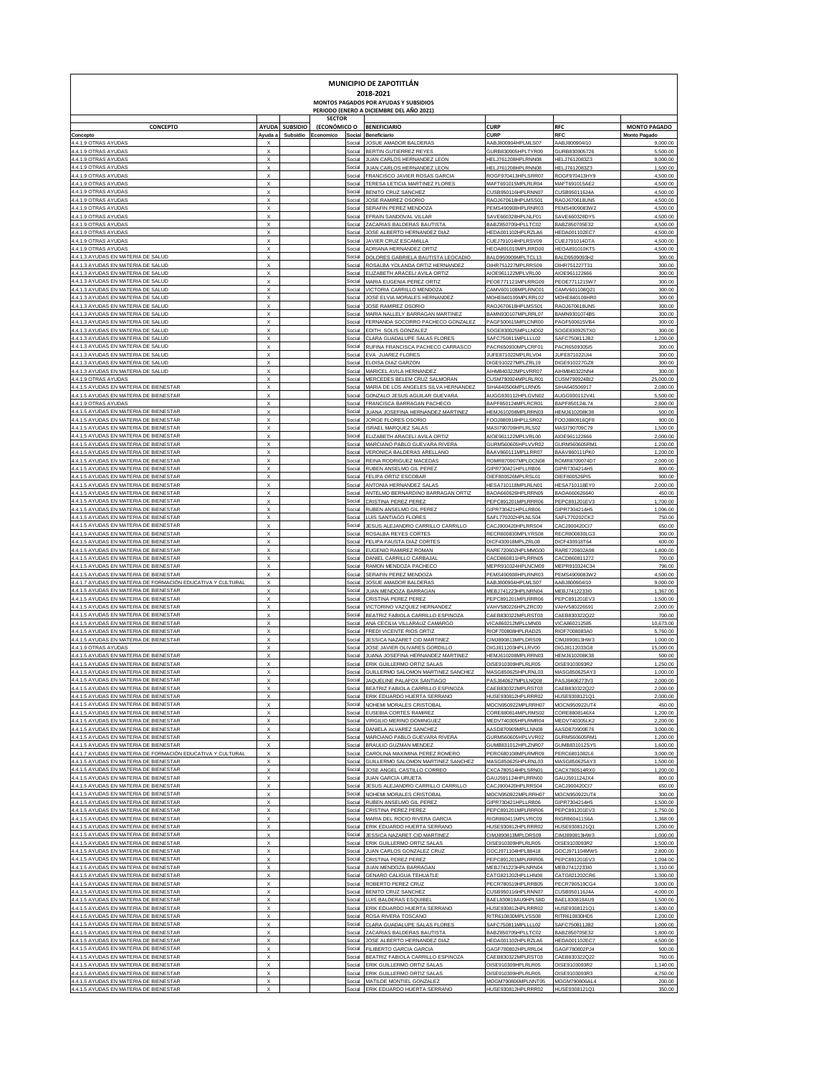| <b>MUNICIPIO DE ZAPOTITLÁN</b><br>2018-2021                                                           |                                                        |                 |                               |                  |                                                                                   |                                          |                                |                       |  |  |  |  |
|-------------------------------------------------------------------------------------------------------|--------------------------------------------------------|-----------------|-------------------------------|------------------|-----------------------------------------------------------------------------------|------------------------------------------|--------------------------------|-----------------------|--|--|--|--|
|                                                                                                       |                                                        |                 |                               |                  | MONTOS PAGADOS POR AYUDAS Y SUBSIDIOS<br>PERIODO (ENERO A DICIEMBRE DEL AÑO 2021) |                                          |                                |                       |  |  |  |  |
| <b>CONCEPTO</b>                                                                                       | <b>AYUDA</b>                                           | <b>SUBSIDIO</b> | <b>SECTOR</b><br>(ECONÓMICO O |                  | <b>BENEFICIARIO</b>                                                               | <b>CURP</b>                              | <b>RFC</b>                     | <b>MONTO PAGADO</b>   |  |  |  |  |
| Concepto<br>4.4.1.9 OTRAS AYUDAS                                                                      | Ayuda a                                                | Subsidio        | Economico                     | Social<br>Social | Beneficiario<br>JOSUE AMADOR BALDERAS                                             | CURF<br>AABJ800904HPLMLS07               | <b>RFC</b>                     | <b>Monto Pagad</b>    |  |  |  |  |
| 4.4.1.9 OTRAS AYUDAS                                                                                  | X<br>$\boldsymbol{\mathsf{x}}$                         |                 |                               | Social           | BERTIN GUTIERREZ REYES                                                            | GURB830905HPLTYR09                       | AABJ800904110<br>GURB830905726 | 9,000.00<br>5,500.00  |  |  |  |  |
| 4.4.1.9 OTRAS AYUDAS                                                                                  | $\boldsymbol{\mathsf{x}}$                              |                 |                               | Social           | JUAN CARLOS HERNANDEZ LEON                                                        | HELJ761208HPLRNN08                       | HELJ7612083Z3                  | 9,000.00              |  |  |  |  |
| 4.4.1.9 OTRAS AYUDAS<br>4.4.1.9 OTRAS AYUDAS                                                          | $\boldsymbol{\mathsf{x}}$<br>$\boldsymbol{\mathsf{x}}$ |                 |                               | Social<br>Social | JUAN CARLOS HERNANDEZ LEON<br>FRANCISCO JAVIER ROSAS GARCIA                       | HELJ761208HPLRNN08<br>ROGF970413HPLSRR07 | HELJ7612083Z3<br>ROGF970413HY9 | 1,500.00<br>4,500.00  |  |  |  |  |
| 4.4.1.9 OTRAS AYUDAS                                                                                  | $\boldsymbol{\mathsf{x}}$                              |                 |                               | Social           | TERESA LETICIA MARTINEZ FLORES                                                    | MAFT691015MPLRLR04                       | MAFT691015AE2                  | 4,500.00              |  |  |  |  |
| 4.4.1.9 OTRAS AYUDAS<br>4.4.1.9 OTRAS AYUDAS                                                          | $\boldsymbol{\mathsf{x}}$<br>$\boldsymbol{\mathsf{x}}$ |                 |                               | Social<br>Social | BENITO CRUZ SANCHEZ<br>JOSE RAMIREZ OSORIO                                        | CUSB950116HPLRNN07<br>RAOJ670618HPLMSS01 | CUSB950116J4A<br>RAOJ670618UN5 | 4,500.00<br>4,500.00  |  |  |  |  |
| 4.4.1.9 OTRAS AYUDAS                                                                                  | $\boldsymbol{\mathsf{x}}$                              |                 |                               | Social           | SERAFIN PEREZ MENDOZA                                                             | PEMS490908HPLRNR03                       | PEMS4909083W2                  | 4,500.00              |  |  |  |  |
| 4.4.1.9 OTRAS AYUDAS<br>4.4.1.9 OTRAS AYUDAS                                                          | $\boldsymbol{\mathsf{x}}$<br>$\boldsymbol{\mathsf{x}}$ |                 |                               | Social<br>Social | EFRAIN SANDOVAL VILLAR<br>ZACARIAS BALDERAS BAUTISTA                              | SAVE660328HPLNLF01<br>BABZ850705HPLLTC02 | SAVE660328DY5<br>BABZ850705E32 | 4,500.00<br>4,500.00  |  |  |  |  |
| 4.4.1.9 OTRAS AYUDAS                                                                                  | $\boldsymbol{\mathsf{x}}$                              |                 |                               | Social           | JOSE ALBERTO HERNANDEZ DIAZ                                                       | HEDA001102HPLRZLA6                       | HEDA001102EC7                  | 4,500.00              |  |  |  |  |
| 4.4.1.9 OTRAS AYUDAS<br>4.4.1.9 OTRAS AYUDAS                                                          | $\boldsymbol{\mathsf{x}}$<br>$\boldsymbol{\mathsf{x}}$ |                 |                               | Social<br>Social | JAVIER CRUZ ESCAMILLA<br>ADRIANA HERNANDEZ ORTIZ                                  | CUEJ791014HPLRSV09<br>HEOA891010MPLRRD00 | CUEJ791014DTA<br>HEOA891010KT5 | 4,500.00<br>4,500.00  |  |  |  |  |
| 4.4.1.3 AYUDAS EN MATERIA DE SALUD                                                                    | $\boldsymbol{\mathsf{x}}$                              |                 |                               | Social           | DOLORES GABRIELA BAUTISTA LEOCADIO                                                | BALD950909MPLTCL13                       | BALD9509093H2                  | 300.00                |  |  |  |  |
| 4.4.1.3 AYUDAS EN MATERIA DE SALUD<br>4.4.1.3 AYUDAS EN MATERIA DE SALUD                              | $\boldsymbol{\mathsf{x}}$<br>$\boldsymbol{\mathsf{x}}$ |                 |                               | Social<br>Social | ROSALBA YOLANDA ORTIZ HERNANDEZ                                                   | OIHR751227MPLRRS09                       | OIHR751227T31                  | 300.00                |  |  |  |  |
| 4.4.1.3 AYUDAS EN MATERIA DE SALUD                                                                    | $\boldsymbol{\mathsf{x}}$                              |                 |                               | Social           | ELIZABETH ARACELI AVILA ORTIZ<br>MARIA EUGENIA PEREZ ORTIZ                        | AIOE961122MPLVRL00<br>PEOE771121MPLRRG09 | AIOE961122666<br>PEOE7711215W7 | 300.00<br>300.00      |  |  |  |  |
| 4.4.1.3 AYUDAS EN MATERIA DE SALUD                                                                    | $\boldsymbol{\mathsf{x}}$                              |                 |                               | Social           | VICTORIA CARRILLO MENDOZA                                                         | CAMV601108MPLRNC01                       | CAMV601108Q21                  | 300.00                |  |  |  |  |
| 4.4.1.3 AYUDAS EN MATERIA DE SALUD<br>4.4.1.3 AYUDAS EN MATERIA DE SALUD                              | $\boldsymbol{\mathsf{x}}$<br>$\boldsymbol{\mathsf{x}}$ |                 |                               | Social<br>Social | JOSE ELVIA MORALES HERNANDEZ<br>JOSE RAMIREZ OSORIO                               | MOHE840109MPLRRL02<br>RAOJ670618HPLMSS01 | MOHE840109HR0<br>RAOJ670618UN5 | 300.00<br>300.00      |  |  |  |  |
| 4.4.1.3 AYUDAS EN MATERIA DE SALUD                                                                    | $\boldsymbol{\mathsf{x}}$                              |                 |                               | Social           | MARIA NALLELY BARRAGAN MARTINEZ                                                   | BAMN930107MPLRRL07                       | BAMN9301074B5                  | 300.00                |  |  |  |  |
| 4.4.1.3 AYUDAS EN MATERIA DE SALUD<br>4.4.1.3 AYUDAS EN MATERIA DE SALUD                              | $\boldsymbol{\mathsf{x}}$<br>$\boldsymbol{\mathsf{x}}$ |                 |                               | Social<br>Social | FERNANDA SOCORRO PACHECO GONZALEZ<br>EDITH SOLIS GONZALEZ                         | PAGF500615MPLCNR00<br>SOGE830925MPLLND02 | PAGF500615VB4<br>SOGE830925TX0 | 300.00<br>300.00      |  |  |  |  |
| 4.4.1.3 AYUDAS EN MATERIA DE SALUD                                                                    | $\boldsymbol{\mathsf{x}}$                              |                 |                               | Social           | CLARA GUADALUPE SALAS FLORE!                                                      | SAFC750811MPLLLL02                       | SAFC750811JB2                  | 1,200.00              |  |  |  |  |
| 4.4.1.3 AYUDAS EN MATERIA DE SALUD<br>4.4.1.3 AYUDAS EN MATERIA DE SALUD                              | $\boldsymbol{\mathsf{x}}$<br>$\boldsymbol{\mathsf{x}}$ |                 |                               | Social<br>Social | RUFINA FRANCISCA PACHECO CARRASCO<br>EVA JUAREZ FLORES                            | PACR650930MPLCRF01<br>JUFE871022MPLRLV04 | PACR6509305I5<br>JUFE871022UI4 | 300.00<br>300.00      |  |  |  |  |
| 4.4.1.3 AYUDAS EN MATERIA DE SALUD                                                                    | $\boldsymbol{\mathsf{x}}$                              |                 |                               | Social           | ELOISA DIAZ GARZON                                                                | DIGE910227MPLZRL19                       | DIGE910227GZ8                  | 300.00                |  |  |  |  |
| 4.4.1.3 AYUDAS EN MATERIA DE SALUD<br>4.4.1.9 OTRAS AYUDAS                                            | $\boldsymbol{\mathsf{x}}$<br>$\boldsymbol{\mathsf{x}}$ |                 |                               | Social<br>Social | MARICEL AVILA HERNANDEZ<br>MERCEDES BELEM CRUZ SALMORAN                           | AIHM840322MPLVRR07<br>CUSM790924MPLRLR01 | AIHM840322NN4<br>CUSM790924BI2 | 300.00<br>25,000.00   |  |  |  |  |
| 4.4.1.5 AYUDAS EN MATERIA DE BIENESTAR                                                                | $\boldsymbol{\mathsf{x}}$                              |                 |                               | Social           | MARIA DE LOS ANGELES SILVA HERNANDEZ                                              | SIHA640506MPLLRN05                       | SIHA640506917                  | 2,080.00              |  |  |  |  |
| 4.4.1.5 AYUDAS EN MATERIA DE BIENESTAR                                                                | $\boldsymbol{\mathsf{x}}$                              |                 |                               | Social           | GONZALO JESUS AGUILAR GUEVARA                                                     | AUGG930112HPLGVN02                       | AUGG930112V41                  | 5,500.00              |  |  |  |  |
| 4.4.1.9 OTRAS AYUDAS<br>4.4.1.5 AYUDAS EN MATERIA DE BIENESTAR                                        | $\boldsymbol{\mathsf{x}}$<br>$\boldsymbol{\mathsf{x}}$ |                 |                               | Social<br>Social | FRANCISCA BARRAGAN PACHECO<br>JUANA JOSEFINA HERNANDEZ MARTINEZ                   | BAPF850124MPLRCR01<br>HEMJ610208MPLRRN03 | BAPF850124L74<br>HEMJ610208K38 | 2,800.00<br>500.00    |  |  |  |  |
| 4.4.1.5 AYUDAS EN MATERIA DE BIENESTAR                                                                | $\boldsymbol{\mathsf{x}}$                              |                 |                               | Social           | JORGE FLORES OSORIO                                                               | FOOJ880916HPLLSR02                       | FOOJ880916QF8                  | 900.00                |  |  |  |  |
| 4.4.1.5 AYUDAS EN MATERIA DE BIENESTAR<br>4.4.1.5 AYUDAS EN MATERIA DE BIENESTAR                      | $\boldsymbol{\mathsf{x}}$<br>$\boldsymbol{\mathsf{x}}$ |                 |                               | Social<br>Social | <b>ISRAEL MARQUEZ SALAS</b><br>ELIZABETH ARACELI AVILA ORTIZ                      | MASI790709HPLRLS02<br>AIOE961122MPLVRL00 | MASI790709C79<br>AIOE961122666 | 1,500.00<br>2,000.00  |  |  |  |  |
| 4.4.1.5 AYUDAS EN MATERIA DE BIENESTAR                                                                | $\boldsymbol{\mathsf{x}}$                              |                 |                               | Social           | MARCIANO PABLO GUEVARA RIVERA                                                     | GURM560605HPLVVR02                       | GURM560605RM1                  | 1,200.00              |  |  |  |  |
| 4.4.1.5 AYUDAS EN MATERIA DE BIENESTAR<br>4.4.1.5 AYUDAS EN MATERIA DE BIENESTAR                      | $\boldsymbol{\mathsf{x}}$<br>$\boldsymbol{\mathsf{x}}$ |                 |                               | Social<br>Social | VERONICA BALDERAS ARELLANO<br>REINA RODRIGUEZ MACEDAS                             | BAAV860111MPLLRR07<br>ROMR870907MPLDCN08 | BAAV860111PK0<br>ROMR8709074D7 | 1,200.00<br>2,000.00  |  |  |  |  |
| 4.4.1.5 AYUDAS EN MATERIA DE BIENESTAR                                                                | $\boldsymbol{\mathsf{x}}$                              |                 |                               | Social           | RUBEN ANSELMO GIL PEREZ                                                           | GIPR730421HPLLRB06                       | GIPR7304214H5                  | 800.00                |  |  |  |  |
| 4.4.1.5 AYUDAS EN MATERIA DE BIENESTAR<br>4.4.1.5 AYUDAS EN MATERIA DE BIENESTAR                      | $\boldsymbol{\mathsf{x}}$<br>$\boldsymbol{\mathsf{x}}$ |                 |                               | Social<br>Social | FELIPA ORTIZ ESCOBAR<br>ANTONIA HERNANDEZ SALAS                                   | OIEF800526MPLRSL01<br>HESA710118MPLRLN01 | OIEF800526PI5<br>HESA710118EY0 | 900.00<br>2,000.00    |  |  |  |  |
| 4.4.1.5 AYUDAS EN MATERIA DE BIENESTAR                                                                | $\boldsymbol{\mathsf{x}}$                              |                 |                               | Social           | ANTELMO BERNARDINO BARRAGAN ORTIZ                                                 | BAOA660626HPLRRN05                       | BAOA660626640                  | 450.00                |  |  |  |  |
| 4.4.1.5 AYUDAS EN MATERIA DE BIENESTAR                                                                | $\boldsymbol{\mathsf{x}}$                              |                 |                               | Social           | CRISTINA PEREZ PEREZ                                                              | PEPC891201MPLRRR06                       | PEPC891201EV3                  | 1,700.00              |  |  |  |  |
| 4.4.1.5 AYUDAS EN MATERIA DE BIENESTAR<br>4.4.1.5 AYUDAS EN MATERIA DE BIENESTAR                      | $\boldsymbol{\mathsf{x}}$<br>$\boldsymbol{\mathsf{x}}$ |                 |                               | Social<br>Social | RUBEN ANSELMO GIL PEREZ<br>LUIS SANTIAGO FLORES                                   | GIPR730421HPLLRB06<br>SAFL770202HPLNLS04 | GIPR7304214H5<br>SAFL770202CK2 | 1,096.00<br>750.00    |  |  |  |  |
| 4.4.1.5 AYUDAS EN MATERIA DE BIENESTAR                                                                | $\boldsymbol{\mathsf{x}}$                              |                 |                               | Social           | JESUS ALEJANDRO CARRILLO CARRILLO                                                 | CACJ900420HPLRRS04                       | CACJ900420CI7                  | 650.00                |  |  |  |  |
| 4.4.1.5 AYUDAS EN MATERIA DE BIENESTAR<br>4.4.1.5 AYUDAS EN MATERIA DE BIENESTAR                      | $\boldsymbol{\mathsf{x}}$<br>$\boldsymbol{\mathsf{x}}$ |                 |                               | Social<br>Social | ROSALBA REYES CORTES<br>FELIPA FAUSTA DIAZ CORTES                                 | RECR800830MPLYRS08<br>DICF430918MPLZRL08 | RECR800830LG3<br>DICF430918T64 | 300.00<br>600.00      |  |  |  |  |
| 4.4.1.5 AYUDAS EN MATERIA DE BIENESTAR                                                                | $\boldsymbol{\mathsf{x}}$                              |                 |                               | Social           | EUGENIO RAMIREZ ROMAN                                                             | RARE720602HPLMMG00                       | RARE720602A98                  | 1,800.00              |  |  |  |  |
| 4.4.1.5 AYUDAS EN MATERIA DE BIENESTAR<br>4.4.1.5 AYUDAS EN MATERIA DE BIENESTAR                      | $\boldsymbol{\mathsf{x}}$<br>$\boldsymbol{\mathsf{x}}$ |                 |                               | Social<br>Social | DANIEL CARRILLO CARBAJAI<br>RAMON MENDOZA PACHECO                                 | CACD860811HPLRRN05<br>MEPR910324HPLNCM09 | CACD860811272<br>MEPR910324C34 | 700.00<br>796.00      |  |  |  |  |
| 4.4.1.5 AYUDAS EN MATERIA DE BIENESTAR                                                                | $\boldsymbol{\mathsf{x}}$                              |                 |                               | Social           | SERAFIN PEREZ MENDOZA                                                             | PEMS490908HPLRNR03                       | PEMS4909083W2                  | 4,500.00              |  |  |  |  |
| 4.4.1.7 AYUDAS EN MATERIA DE FORMACIÓN EDUCATIVA Y CULTURAI                                           | $\boldsymbol{\mathsf{x}}$                              |                 |                               | Social           | JOSUE AMADOR BALDERAS                                                             | AABJ800904HPLMLS07                       | AABJ800904110                  | 9,000.00              |  |  |  |  |
| 4.4.1.5 AYUDAS EN MATERIA DE BIENESTAR<br>4.4.1.5 AYUDAS EN MATERIA DE BIENESTAR                      | X<br>$\boldsymbol{\mathsf{x}}$                         |                 |                               | Social<br>Social | JUAN MENDOZA BARRAGAN<br>CRISTINA PEREZ PEREZ                                     | MEBJ741223HPLNRN04<br>PEPC891201MPLRRR06 | MEBJ7412233I0<br>PEPC891201EV3 | 1,367.00<br>1,500.00  |  |  |  |  |
| 4.4.1.5 AYUDAS EN MATERIA DE BIENESTAR                                                                | $\boldsymbol{\mathsf{x}}$                              |                 |                               | Social           | VICTORINO VAZQUEZ HERNANDE2                                                       | VAHV580226HPLZRC00                       | VAHV580226591                  | 2,000.00              |  |  |  |  |
| 4.4.1.5 AYUDAS EN MATERIA DE BIENESTAR<br>4.4.1.5 AYUDAS EN MATERIA DE BIENESTAR                      | $\boldsymbol{\mathsf{x}}$<br>$\boldsymbol{\mathsf{x}}$ |                 |                               | Social<br>Social | BEATRIZ FABIOLA CARRILLO ESPINOZA<br>ANA CECILIA VILLARAUZ CAMARGO                | CAEB830322MPLRST03<br>VICA860212MPLLMN00 | CAEB830322Q22<br>VICA860212585 | 700.00<br>10,673.00   |  |  |  |  |
| 4.4.1.5 AYUDAS EN MATERIA DE BIENESTAR                                                                | $\boldsymbol{\mathsf{x}}$                              |                 |                               | Social           | FREDI VICENTE RIOS ORTIZ                                                          | RIOF700808HPLRAD25                       | RIOF7008083A0                  | 5,760.00              |  |  |  |  |
| 4.4.1.5 AYUDAS EN MATERIA DE BIENESTAR<br>4.4.1.9 OTRAS AYUDAS                                        | $\boldsymbol{\mathsf{x}}$<br>X                         |                 |                               | Social<br>Social | JESSICA NAZARET CID MARTINEZ<br>JOSE JAVIER OLIVARES GORDILLO                     | CIMJ890813MPLDRS09<br>OIGJ811203HPLLRV00 | CIMJ890813HW3<br>DIGJ8112033G8 | 1,000.00<br>15,000.00 |  |  |  |  |
| 4.4.1.5 AYUDAS EN MATERIA DE BIENESTAR                                                                | $\boldsymbol{\mathsf{x}}$                              |                 |                               | Social           | JUANA JOSEFINA HERNANDEZ MARTINEZ                                                 | HEMJ610208MPLRRN03                       | HEMJ610208K38                  | 500.00                |  |  |  |  |
| 4.4.1.5 AYUDAS EN MATERIA DE BIENESTAR<br>4.4.1.5 AYUDAS EN MATERIA DE BIENESTAR                      | $\boldsymbol{\mathsf{x}}$<br>$\boldsymbol{\mathsf{x}}$ |                 |                               | Social<br>Social | ERIK GUILLERMO ORTIZ SALAS<br>GUILLERMO SALOMON MARTINEZ SANCHEZ                  | OISE910309HPLRLR05<br>MASG850625HPLRNL03 | OISE9103093R2<br>MASG850625AY3 | 1,250.00<br>1,000.00  |  |  |  |  |
| 4.4.1.5 AYUDAS EN MATERIA DE                                                                          |                                                        |                 |                               | social           | JAQUELINE PALAFOX<br>SAN I IA!                                                    |                                          |                                |                       |  |  |  |  |
| 4.4.1.5 AYUDAS EN MATERIA DE BIENESTAR                                                                | X<br>$\boldsymbol{\mathsf{x}}$                         |                 |                               |                  | Social BEATRIZ FABIOLA CARRILLO ESPINOZA                                          | CAEB830322MPLRST03                       | CAEB830322Q22                  | 2,000.00              |  |  |  |  |
| 4.4.1.5 AYUDAS EN MATERIA DE BIENESTAR<br>4.4.1.5 AYUDAS EN MATERIA DE BIENESTAR                      | $\boldsymbol{\mathsf{x}}$                              |                 |                               |                  | Social ERIK EDUARDO HUERTA SERRANO<br>Social NOHEMI MORALES CRISTOBAL             | HUSE930812HPLRRR02<br>MOCN950922MPLRRH07 | HUSE9308121Q1<br>MOCN950922UT4 | 2,000.00<br>450.00    |  |  |  |  |
| 4.4.1.5 AYUDAS EN MATERIA DE BIENESTAR                                                                | $\mathsf{x}$                                           |                 |                               |                  | Social EUSEBIA CORTES RAMIREZ                                                     | CORE880814MPLRMS02                       | CORE8808146X4                  | 1,200.00              |  |  |  |  |
| 4.4.1.5 AYUDAS EN MATERIA DE BIENESTAR<br>4.4.1.5 AYUDAS EN MATERIA DE BIENESTAR                      | $\mathsf{x}$<br>$\mathsf{x}$                           |                 |                               |                  | Social VIRGILIO MERINO DOMINGUEZ<br>Social DANIELA ALVAREZ SANCHEZ                | MEDV740305HPLRMR04<br>AASD870909MPLLNN08 | MEDV740305LK2<br>AASD870909E76 | 2,200.00<br>3,000.00  |  |  |  |  |
| 4.4.1.5 AYUDAS EN MATERIA DE BIENESTAR                                                                | $\mathsf X$                                            |                 |                               |                  | Social MARCIANO PABLO GUEVARA RIVERA                                              | GURM560605HPLVVR02                       | GURM560605RM1                  | 1,200.00              |  |  |  |  |
| 4.4.1.5 AYUDAS EN MATERIA DE BIENESTAR<br>4.4.1.7 AYUDAS EN MATERIA DE FORMACIÓN EDUCATIVA Y CULTURAL | $\boldsymbol{\mathsf{x}}$<br>$\boldsymbol{\mathsf{x}}$ |                 |                               |                  | Social BRAULIO GUZMAN MENDEZ<br>Social CAROLINA MAXIMINA PEREZ ROMERO             | GUMB831012HPLZNR07<br>PERC680108MPLRMR09 | GUMB831012SY5<br>PERC6801082L6 | 1,600.00<br>3,000.00  |  |  |  |  |
| 4.4.1.5 AYUDAS EN MATERIA DE BIENESTAR                                                                | $\boldsymbol{\mathsf{x}}$                              |                 |                               |                  | Social GUILLERMO SALOMON MARTINEZ SANCHEZ                                         | MASG850625HPLRNL03                       | MASG850625AY3                  | 1,500.00              |  |  |  |  |
| 4.4.1.5 AYUDAS EN MATERIA DE BIENESTAR<br>4.4.1.5 AYUDAS EN MATERIA DE BIENESTAR                      | $\boldsymbol{\mathsf{x}}$<br>$\boldsymbol{\mathsf{x}}$ |                 |                               |                  | Social JOSE ANGEL CASTILLO CORREO<br>Social JUAN GARCIA URUETA                    | CXCA780514HPLSRN01<br>GAUJ591124HPLRRN00 | CACX780514RX0<br>GAUJ591124JX4 | 1,200.00<br>800.00    |  |  |  |  |
| 4.4.1.5 AYUDAS EN MATERIA DE BIENESTAR                                                                | $\boldsymbol{\mathsf{x}}$                              |                 |                               |                  | Social JESUS ALEJANDRO CARRILLO CARRILLO                                          | CACJ900420HPLRRS04                       | CACJ900420Cl7                  | 650.00                |  |  |  |  |
| 4.4.1.5 AYUDAS EN MATERIA DE BIENESTAR<br>4.4.1.5 AYUDAS EN MATERIA DE BIENESTAR                      | $\mathsf{x}$<br>$\mathsf{x}$                           |                 |                               |                  | Social NOHEMI MORALES CRISTOBAL                                                   | MOCN950922MPLRRH07                       | MOCN950922UT4                  | 300.00                |  |  |  |  |
| 4.4.1.5 AYUDAS EN MATERIA DE BIENESTAR                                                                | $\mathsf{x}$                                           |                 |                               |                  | Social RUBEN ANSELMO GIL PEREZ<br>Social CRISTINA PEREZ PEREZ                     | GIPR730421HPLLRB06<br>PEPC891201MPLRRR06 | GIPR7304214H5<br>PEPC891201EV3 | 1,500.00<br>1,750.00  |  |  |  |  |
| 4.4.1.5 AYUDAS EN MATERIA DE BIENESTAR                                                                | $\mathsf{x}$                                           |                 |                               |                  | Social MARIA DEL ROCIO RIVERA GARCIA                                              | RIGR860411MPLVRC09                       | RIGR860411S6A                  | 1,368.00              |  |  |  |  |
| 4.4.1.5 AYUDAS EN MATERIA DE BIENESTAR<br>4.4.1.5 AYUDAS EN MATERIA DE BIENESTAR                      | $\mathsf{x}$<br>$\mathsf{x}$                           |                 |                               | Social           | Social ERIK EDUARDO HUERTA SERRANO<br>JESSICA NAZARET CID MARTINEZ                | HUSE930812HPLRRR02<br>CIMJ890813MPLDRS09 | HUSE9308121Q1<br>CIMJ890813HW3 | 1,200.00<br>1,000.00  |  |  |  |  |
| 4.4.1.5 AYUDAS EN MATERIA DE BIENESTAR                                                                | $\mathsf{x}$                                           |                 |                               |                  | Social ERIK GUILLERMO ORTIZ SALAS                                                 | OISE910309HPLRLR05                       | OISE9103093R2                  | 1,500.00              |  |  |  |  |
| 4.4.1.5 AYUDAS EN MATERIA DE BIENESTAR<br>4.4.1.5 AYUDAS EN MATERIA DE BIENESTAR                      | $\mathsf{x}$<br>$\mathsf{x}$                           |                 |                               |                  | Social JUAN CARLOS GONZALEZ CRUZ<br>Social CRISTINA PEREZ PEREZ                   | GOCJ971104HPL88418<br>PEPC891201MPLRRR06 | GOCJ971104MW5<br>PEPC891201EV3 | 2,800.00<br>1,094.00  |  |  |  |  |
| 4.4.1.5 AYUDAS EN MATERIA DE BIENESTAR                                                                | $\mathsf{x}$                                           |                 |                               |                  | Social JUAN MENDOZA BARRAGAN                                                      | MEBJ741223HPLNRN04                       | MEBJ7412233I0                  | 1,310.00              |  |  |  |  |
| 4.4.1.5 AYUDAS EN MATERIA DE BIENESTAR                                                                | $\mathsf{x}$                                           |                 |                               |                  | Social GENARO CALIGUA TEHUATLE                                                    | CATG821202HPLLHN08                       | CATG821202CR6                  | 1,300.00              |  |  |  |  |
| 4.4.1.5 AYUDAS EN MATERIA DE BIENESTAR<br>4.4.1.5 AYUDAS EN MATERIA DE BIENESTAR                      | $\mathsf{x}$<br>$\mathsf{x}$                           |                 |                               |                  | Social ROBERTO PEREZ CRUZ<br>Social BENITO CRUZ SANCHEZ                           | PECR780519HPLRRB05<br>CUSB950116HPLRNN07 | PECR780519CG4<br>CUSB950116J4A | 3,000.00<br>4,000.00  |  |  |  |  |
| 4.4.1.5 AYUDAS EN MATERIA DE BIENESTAR                                                                | $\mathsf{x}$                                           |                 |                               |                  | Social LUIS BALDERAS ESQUIBEL                                                     | BAEL830819AU9HPL58D                      | BAEL830819AU9                  | 1,500.00              |  |  |  |  |
| 4.4.1.5 AYUDAS EN MATERIA DE BIENESTAR<br>4.4.1.5 AYUDAS EN MATERIA DE BIENESTAR                      | $\mathsf{x}$<br>$\mathsf{x}$                           |                 |                               |                  | Social ERIK EDUARDO HUERTA SERRANO<br>Social ROSA RIVERA TOSCANO                  | HUSE930812HPLRRR02<br>RITR610830MPLVSS08 | HUSE9308121Q1<br>RITR610830HD5 | 1,400.00<br>1,200.00  |  |  |  |  |
| 4.4.1.5 AYUDAS EN MATERIA DE BIENESTAR                                                                | $\mathsf{x}$                                           |                 |                               |                  | Social CLARA GUADALUPE SALAS FLORES                                               | SAFC750811MPLLLL02                       | SAFC750811JB2                  | 1,000.00              |  |  |  |  |
| 4.4.1.5 AYUDAS EN MATERIA DE BIENESTAR<br>4.4.1.5 AYUDAS EN MATERIA DE BIENESTAR                      | $\mathsf{x}$<br>$\mathsf{x}$                           |                 |                               |                  | Social ZACARIAS BALDERAS BAUTISTA<br>Social JOSE ALBERTO HERNANDEZ DIAZ           | BABZ850705HPLLTC02<br>HEDA001102HPLRZLA6 | BABZ850705E32<br>HEDA001102EC7 | 1,800.00<br>4,500.00  |  |  |  |  |
| 4.4.1.5 AYUDAS EN MATERIA DE BIENESTAR                                                                | $\mathsf{x}$                                           |                 |                               |                  | Social FILIBERTO GARCIA GARCIA                                                    | GAGF780802HPLRRL04                       | GAGF780802PJ4                  | 500.00                |  |  |  |  |
| 4.4.1.5 AYUDAS EN MATERIA DE BIENESTAR                                                                | $\mathsf{x}$                                           |                 |                               |                  | Social BEATRIZ FABIOLA CARRILLO ESPINOZA                                          | CAEB830322MPLRST03                       | CAEB830322Q22                  | 760.00                |  |  |  |  |
| 4.4.1.5 AYUDAS EN MATERIA DE BIENESTAR<br>4.4.1.5 AYUDAS EN MATERIA DE BIENESTAR                      | $\mathsf{x}$<br>$\boldsymbol{\mathsf{x}}$              |                 |                               |                  | Social ERIK GUILLERMO ORTIZ SALAS<br>Social ERIK GUILLERMO ORTIZ SALAS            | OISE910309HPLRLR05<br>OISE910309HPLRLR05 | OISE9103093R2<br>OISE9103093R3 | 1,140.00<br>4,750.00  |  |  |  |  |
| 4.4.1.5 AYUDAS EN MATERIA DE BIENESTAR                                                                | X                                                      |                 |                               |                  | Social MATILDE MONTIEL GONZALEZ                                                   | MOGM790806MPLNNT05                       | MOGM790806AL4                  | 200.00                |  |  |  |  |
| 4.4.1.5 AYUDAS EN MATERIA DE BIENESTAR                                                                | $\mathsf{x}$                                           |                 |                               |                  | Social ERIK EDUARDO HUERTA SERRANO                                                | HUSE930812HPLRRR02                       | HUSE9308121Q1                  | 350.00                |  |  |  |  |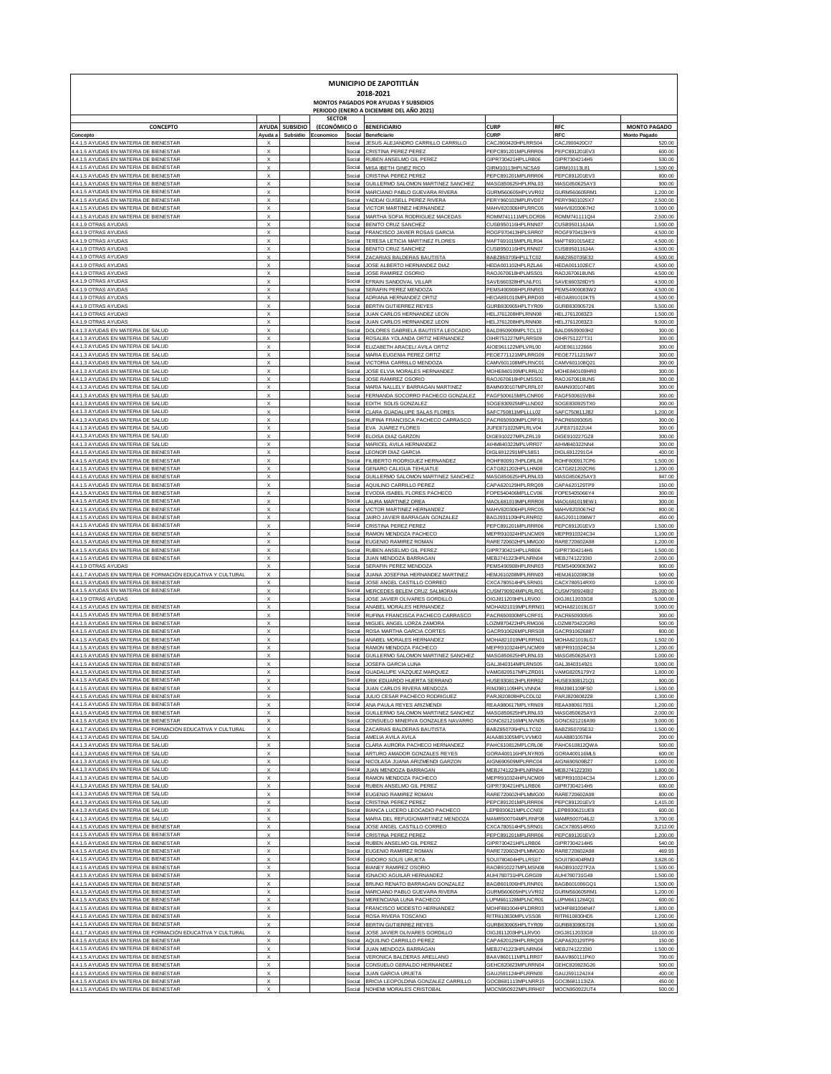| MUNICIPIO DE ZAPOTITLÁN<br>2018-2021<br>MONTOS PAGADOS POR AYUDAS Y SUBSIDIOS<br>PERIODO (ENERO A DICIEMBRE DEL AÑO 2021) |                                                        |                |                           |                  |                                                                         |                                          |                                       |                                            |  |  |  |  |
|---------------------------------------------------------------------------------------------------------------------------|--------------------------------------------------------|----------------|---------------------------|------------------|-------------------------------------------------------------------------|------------------------------------------|---------------------------------------|--------------------------------------------|--|--|--|--|
|                                                                                                                           |                                                        |                | <b>SECTOR</b>             |                  |                                                                         |                                          |                                       |                                            |  |  |  |  |
| <b>CONCEPTO</b>                                                                                                           | Ayuda a                                                | AYUDA SUBSIDIO | (ECONÓMICO O<br>Economico | Social           | <b>BENEFICIARIO</b><br>Beneficiario                                     | <b>CURP</b><br><b>CURI</b>               | <b>RFC</b><br>RFC                     | <b>MONTO PAGADO</b><br><b>Monto Pagado</b> |  |  |  |  |
| Concepto<br>4.4.1.5 AYUDAS EN MATERIA DE BIENESTAR                                                                        |                                                        | Subsidio       |                           | Social           | JESUS ALEJANDRO CARRILLO CARRILLO                                       | CACJ900420HPLRRS04                       | CACJ900420CI7                         | 520.00                                     |  |  |  |  |
| 4.4.1.5 AYUDAS EN MATERIA DE BIENESTAR<br>4.4.1.5 AYUDAS EN MATERIA DE BIENESTAR                                          | $\boldsymbol{\mathsf{x}}$<br>$\boldsymbol{\mathsf{x}}$ |                |                           | Social<br>Social | CRISTINA PEREZ PEREZ<br>RUBEN ANSELMO GIL PEREZ                         | PEPC891201MPLRRR06<br>GIPR730421HPLLRB06 | PEPC891201EV3<br>GIPR7304214H5        | 600.00<br>530.00                           |  |  |  |  |
| 4.4.1.5 AYUDAS EN MATERIA DE BIENESTAR                                                                                    | $\boldsymbol{\mathsf{x}}$                              |                |                           | Social           | MISA IBETH GINEZ RICO                                                   | GIRM10113HPLNCSA9                        | GIRM10113L81                          | 1,500.00                                   |  |  |  |  |
| 4.4.1.5 AYUDAS EN MATERIA DE BIENESTAR<br>4.4.1.5 AYUDAS EN MATERIA DE BIENESTAR                                          | $\boldsymbol{\mathsf{x}}$<br>$\boldsymbol{\mathsf{x}}$ |                |                           | Social<br>Social | CRISTINA PEREZ PEREZ<br>GUILLERMO SALOMON MARTINEZ SANCHEZ              | PEPC891201MPLRRR06<br>MASG850625HPLRNL03 | PEPC891201EV3<br>MASG850625AY3        | 800.00<br>900.00                           |  |  |  |  |
| 4.4.1.5 AYUDAS EN MATERIA DE BIENESTAR                                                                                    | $\boldsymbol{\mathsf{x}}$                              |                |                           | Social           | MARCIANO PABLO GUEVARA RIVERA                                           | GURM560605HPLVVR02                       | GURM560605RM1                         | 1,200.00                                   |  |  |  |  |
| 4.4.1.5 AYUDAS EN MATERIA DE BIENESTAR<br>4.4.1.5 AYUDAS EN MATERIA DE BIENESTAR                                          | $\boldsymbol{\mathsf{x}}$<br>$\boldsymbol{\mathsf{x}}$ |                |                           | Social<br>Social | YADDAI GUISELL PEREZ RIVER/<br><b>VICTOR MARTINEZ HERNANDEZ</b>         | PERY960102MPLRVD07<br>MAHV820306HPLRRC05 | PERY9601025X7<br>MAHV8203067H2        | 2,500.00<br>3,000.00                       |  |  |  |  |
| 4.4.1.5 AYUDAS EN MATERIA DE BIENESTAR<br>4.4.1.9 OTRAS AYUDAS                                                            | $\boldsymbol{\mathsf{x}}$<br>$\boldsymbol{\mathsf{x}}$ |                |                           | Social<br>Social | MARTHA SOFIA RODRIGUEZ MACEDAS                                          | ROMM741111MPLDCR06                       | ROMM741111QI4<br>CUSB950116J4A        | 2,500.00                                   |  |  |  |  |
| 4.4.1.9 OTRAS AYUDAS                                                                                                      | $\boldsymbol{\mathsf{x}}$                              |                |                           | Social           | BENITO CRUZ SANCHEZ<br>FRANCISCO JAVIER ROSAS GARCIA                    | CUSB950116HPLRNN07<br>ROGF970413HPLSRR07 | ROGF970413HY9                         | 1,500.00<br>4,500.00                       |  |  |  |  |
| 4.4.1.9 OTRAS AYUDAS<br>4.4.1.9 OTRAS AYUDAS                                                                              | $\boldsymbol{\mathsf{x}}$<br>$\boldsymbol{\mathsf{x}}$ |                |                           | Social<br>Social | TERESA LETICIA MARTINEZ FLORES<br>BENITO CRUZ SANCHEZ                   | MAFT691015MPLRLR04<br>CUSB950116HPLRNN07 | MAFT691015AE2<br>CUSB950116J4A        | 4,500.00<br>4,500.00                       |  |  |  |  |
| 4.4.1.9 OTRAS AYUDAS                                                                                                      | $\boldsymbol{\mathsf{x}}$                              |                |                           | Social           | ZACARIAS BALDERAS BAUTISTA                                              | BABZ850705HPLLTC02                       | BABZ850705E32                         | 4,500.00                                   |  |  |  |  |
| 4.4.1.9 OTRAS AYUDAS<br>4.4.1.9 OTRAS AYUDAS                                                                              | $\boldsymbol{\mathsf{x}}$<br>$\boldsymbol{\mathsf{x}}$ |                |                           | Social<br>Social | JOSE ALBERTO HERNANDEZ DIAZ<br>JOSE RAMIREZ OSORIO                      | HEDA001102HPLRZLA6<br>RAOJ670618HPLMSS01 | HEDA001102EC7<br>RAOJ670618UN5        | 4,500.00<br>4,500.00                       |  |  |  |  |
| 4.4.1.9 OTRAS AYUDAS                                                                                                      | $\boldsymbol{\mathsf{x}}$                              |                |                           | Social           | EFRAIN SANDOVAL VILLAR                                                  | SAVE660328HPLNLF01                       | SAVE660328DY5                         | 4,500.00                                   |  |  |  |  |
| 4.4.1.9 OTRAS AYUDAS<br>4.4.1.9 OTRAS AYUDAS                                                                              | $\boldsymbol{\mathsf{x}}$<br>$\boldsymbol{\mathsf{x}}$ |                |                           | Social<br>Social | SERAFIN PEREZ MENDOZA<br>ADRIANA HERNANDEZ ORTIZ                        | PEMS490908HPLRNR03<br>HEOA891010MPLRRD00 | PEMS4909083W2<br><b>HEOA891010KT5</b> | 4,500.00<br>4,500.00                       |  |  |  |  |
| 4.4.1.9 OTRAS AYUDAS                                                                                                      | $\boldsymbol{\mathsf{x}}$                              |                |                           | Social           | BERTIN GUTIERREZ REYES                                                  | GURB830905HPLTYR09                       | GURB830905726                         | 5,500.00                                   |  |  |  |  |
| 4.4.1.9 OTRAS AYUDAS<br>4.4.1.9 OTRAS AYUDAS                                                                              | $\boldsymbol{\mathsf{x}}$<br>$\boldsymbol{\mathsf{x}}$ |                |                           | Social<br>Social | JUAN CARLOS HERNANDEZ LEON<br>JUAN CARLOS HERNANDEZ LEON                | HELJ761208HPLRNN08<br>HELJ761208HPLRNN08 | HELJ7612083Z3<br>HELJ7612083Z3        | 1,500.00<br>9,000.00                       |  |  |  |  |
| 4.4.1.3 AYUDAS EN MATERIA DE SALUD                                                                                        | $\boldsymbol{\mathsf{x}}$                              |                |                           | Social           | DOLORES GABRIELA BAUTISTA LEOCADIO                                      | BALD950909MPLTCL13                       | BALD9509093H2                         | 300.00                                     |  |  |  |  |
| 4.4.1.3 AYUDAS EN MATERIA DE SALUD<br>4.4.1.3 AYUDAS EN MATERIA DE SALUD                                                  | $\boldsymbol{\mathsf{x}}$<br>$\boldsymbol{\mathsf{x}}$ |                |                           | Social<br>Social | ROSALBA YOLANDA ORTIZ HERNANDEZ<br>ELIZABETH ARACELI AVILA ORTIZ        | OIHR751227MPLRRS09<br>AIOE961122MPLVRL00 | OIHR751227T31<br>AIOE961122666        | 300.00<br>300.00                           |  |  |  |  |
| 4.4.1.3 AYUDAS EN MATERIA DE SALUD                                                                                        | $\boldsymbol{\mathsf{x}}$<br>$\boldsymbol{\mathsf{x}}$ |                |                           | Social           | MARIA EUGENIA PEREZ ORTIZ                                               | PEOE771121MPLRRG09                       | PEOE7711215W7                         | 300.00                                     |  |  |  |  |
| 4.4.1.3 AYUDAS EN MATERIA DE SALUD<br>4.4.1.3 AYUDAS EN MATERIA DE SALUD                                                  | $\boldsymbol{\mathsf{x}}$                              |                |                           | Social<br>Social | VICTORIA CARRILLO MENDOZA<br>JOSE ELVIA MORALES HERNANDEZ               | CAMV601108MPLRNC01<br>MOHE840109MPLRRL02 | CAMV601108Q21<br>MOHE840109HR0        | 300.00<br>300.00                           |  |  |  |  |
| 4.4.1.3 AYUDAS EN MATERIA DE SALUD                                                                                        | $\boldsymbol{\mathsf{x}}$<br>$\boldsymbol{\mathsf{x}}$ |                |                           | Social           | JOSE RAMIREZ OSORIO                                                     | RAOJ670618HPLMSS01<br>BAMN930107MPLRRL07 | RAOJ670618UN5                         | 300.00                                     |  |  |  |  |
| 4.4.1.3 AYUDAS EN MATERIA DE SALUD<br>4.4.1.3 AYUDAS EN MATERIA DE SALUD                                                  | $\boldsymbol{\mathsf{x}}$                              |                |                           | Social<br>Social | MARIA NALLELY BARRAGAN MARTINEZ<br>FERNANDA SOCORRO PACHECO GONZALEZ    | PAGF500615MPLCNR00                       | BAMN9301074B5<br>PAGF500615VB4        | 300.00<br>300.00                           |  |  |  |  |
| 4.4.1.3 AYUDAS EN MATERIA DE SALUD<br>4.4.1.3 AYUDAS EN MATERIA DE SALUD                                                  | $\boldsymbol{\mathsf{x}}$<br>$\boldsymbol{\mathsf{x}}$ |                |                           | Social<br>Social | EDITH SOLIS GONZALEZ<br>CLARA GUADALUPE SALAS FLORES                    | SOGE830925MPLLND02<br>SAFC750811MPLLLL02 | SOGE830925TX0<br>SAFC750811JB2        | 300.00<br>1,200.00                         |  |  |  |  |
| 4.4.1.3 AYUDAS EN MATERIA DE SALUD                                                                                        | $\boldsymbol{\mathsf{x}}$                              |                |                           | Social           | RUFINA FRANCISCA PACHECO CARRASCO                                       | PACR650930MPLCRF01                       | PACR6509305I5                         | 300.00                                     |  |  |  |  |
| 4.4.1.3 AYUDAS EN MATERIA DE SALUD<br>4.4.1.3 AYUDAS EN MATERIA DE SALUD                                                  | $\boldsymbol{\mathsf{x}}$<br>$\boldsymbol{\mathsf{x}}$ |                |                           | Social<br>Social | EVA JUAREZ FLORES<br>ELOISA DIAZ GARZON                                 | JUFE871022MPLRLV04<br>DIGE910227MPLZRL19 | JUFE871022UI4<br>DIGE910227GZ8        | 300.00<br>300.00                           |  |  |  |  |
| 4.4.1.3 AYUDAS EN MATERIA DE SALUD                                                                                        | $\boldsymbol{\mathsf{x}}$                              |                |                           | Social           | MARICEL AVILA HERNANDEZ                                                 | AIHM840322MPLVRR07                       | AIHM840322NN4                         | 300.00                                     |  |  |  |  |
| 4.4.1.5 AYUDAS EN MATERIA DE BIENESTAR<br>4.4.1.5 AYUDAS EN MATERIA DE BIENESTAR                                          | $\boldsymbol{\mathsf{x}}$<br>$\boldsymbol{\mathsf{x}}$ |                |                           | Social<br>Social | <b>LEONOR DIAZ GARCIA</b><br>FILIBERTO RODRIGUEZ HERNANDEZ              | DIGL6912291MPL58S1<br>ROHF800917HPLDRL06 | DIGL6912291G4<br>ROHF800917CP6        | 400.00<br>1,500.00                         |  |  |  |  |
| 4.4.1.5 AYUDAS EN MATERIA DE BIENESTAR                                                                                    | $\boldsymbol{\mathsf{x}}$                              |                |                           | Social           | <b>GENARO CALIGUA TEHUATLE</b>                                          | CATG821202HPLLHN08                       | CATG821202CR6                         | 1,200.00                                   |  |  |  |  |
| 4.4.1.5 AYUDAS EN MATERIA DE BIENESTAR<br>4.4.1.5 AYUDAS EN MATERIA DE BIENESTAR                                          | $\boldsymbol{\mathsf{x}}$<br>$\boldsymbol{\mathsf{x}}$ |                |                           | Social<br>Social | GUILLERMO SALOMON MARTINEZ SANCHEZ<br>AQUILINO CARRILLO PEREZ           | MASG850625HPLRNL03<br>CAPA620129HPLRRQ09 | MASG850625AY3<br>CAPA620129TP9        | 947.00<br>150.00                           |  |  |  |  |
| 4.4.1.5 AYUDAS EN MATERIA DE BIENESTAR                                                                                    | $\boldsymbol{\mathsf{x}}$                              |                |                           | Social           | EVODIA ISABEL FLORES PACHECO                                            | FOPE540406MPLLCV06                       | FOPE5405066Y4                         | 300.00                                     |  |  |  |  |
| 4.4.1.5 AYUDAS EN MATERIA DE BIENESTAR<br>4.4.1.5 AYUDAS EN MATERIA DE BIENESTAR                                          | $\boldsymbol{\mathsf{x}}$<br>$\boldsymbol{\mathsf{x}}$ |                |                           | Social<br>Social | LAURA MARTINEZ ORE/<br>VICTOR MARTINEZ HERNANDEZ                        | MAOL681019MPLRRR08<br>MAHV820306HPLRRC05 | MAOL681019EW1<br>MAHV8203067H2        | 300.00<br>800.00                           |  |  |  |  |
| 4.4.1.5 AYUDAS EN MATERIA DE BIENESTAR                                                                                    | $\boldsymbol{\mathsf{x}}$                              |                |                           | Social           | JAIRO JAVIER BARRAGAN GONZALEZ                                          | BAGJ931109HPLRNR02                       | BAGJ9311098W7                         | 450.00                                     |  |  |  |  |
| 4.4.1.5 AYUDAS EN MATERIA DE BIENESTAR<br>4.4.1.5 AYUDAS EN MATERIA DE BIENESTAR                                          | $\boldsymbol{\mathsf{x}}$<br>$\boldsymbol{\mathsf{x}}$ |                |                           | Social<br>Social | CRISTINA PEREZ PEREZ<br>RAMON MENDOZA PACHECO                           | PEPC891201MPLRRR06<br>MEPR910324HPLNCM09 | PEPC891201EV3<br>MEPR910324C34        | 1,500.00<br>1,100.00                       |  |  |  |  |
| 4.4.1.5 AYUDAS EN MATERIA DE BIENESTAR                                                                                    | $\boldsymbol{\mathsf{x}}$                              |                |                           | Social           | EUGENIO RAMIREZ ROMAN                                                   | RARE720602HPLMMG00                       | RARE720602A98                         | 1,200.00                                   |  |  |  |  |
| 4.4.1.5 AYUDAS EN MATERIA DE BIENESTAR<br>4.4.1.5 AYUDAS EN MATERIA DE BIENESTAR                                          | $\boldsymbol{\mathsf{x}}$<br>$\boldsymbol{\mathsf{x}}$ |                |                           | Social<br>Social | RUBEN ANSELMO GIL PEREZ<br>JUAN MENDOZA BARRAGAN                        | GIPR730421HPLLRB06<br>MEBJ741223HPLNRN04 | GIPR7304214H5<br>MEBJ7412233I0        | 1,500.00<br>2,000.00                       |  |  |  |  |
| 4.4.1.9 OTRAS AYUDAS                                                                                                      | $\boldsymbol{\mathsf{x}}$                              |                |                           | Social           | SERAFIN PEREZ MENDOZA                                                   | PEMS490908HPLRNR03                       | PEMS4909083W2                         | 900.00                                     |  |  |  |  |
| 4.4.1.7 AYUDAS EN MATERIA DE FORMACIÓN EDUCATIVA Y CULTURAL<br>4.4.1.5 AYUDAS EN MATERIA DE BIENESTAR                     | $\boldsymbol{\mathsf{x}}$<br>$\boldsymbol{\mathsf{x}}$ |                |                           | Social<br>Social | JUANA JOSEFINA HERNANDEZ MARTINEZ<br>JOSE ANGEL CASTILLO CORREC         | HEMJ610208MPLRRN03<br>CXCA780514HPLSRN01 | HEMJ610208K38<br>CACX780514RX0        | 500.00<br>1,000.00                         |  |  |  |  |
| 4.4.1.5 AYUDAS EN MATERIA DE BIENESTAR                                                                                    | $\boldsymbol{\mathsf{x}}$                              |                |                           | Social           | MERCEDES BELEM CRUZ SALMORAN                                            | CUSM790924MPLRLR01                       | CUSM790924BI2                         | 25,000.00                                  |  |  |  |  |
| 4.4.1.9 OTRAS AYUDAS<br>4.4.1.5 AYUDAS EN MATERIA DE BIENESTAR                                                            | $\boldsymbol{\mathsf{x}}$<br>$\boldsymbol{\mathsf{x}}$ |                |                           | Social<br>Social | JOSE JAVIER OLIVARES GORDILLO<br>ANABEL MORALES HERNANDEZ               | OIGJ811203HPLLRV00<br>MOHA821019MPLRRN01 | OIGJ8112033G8<br>MOHA821019LG1        | 5,000.00<br>3,000.00                       |  |  |  |  |
| 4.4.1.5 AYUDAS EN MATERIA DE BIENESTAR<br>4.4.1.5 AYUDAS EN MATERIA DE BIENESTAR                                          | $\boldsymbol{\mathsf{x}}$<br>$\boldsymbol{\mathsf{x}}$ |                |                           | Social<br>Social | RUFINA FRANCISCA PACHECO CARRASCO<br>MIGUEL ANGEL LORZA ZAMOR/          | PACR650930MPLCRF01<br>OZM870422HPLRMG06  | PACR6509305I5<br>LOZM870422GR0        | 300.00<br>500.00                           |  |  |  |  |
| 4.4.1.5 AYUDAS EN MATERIA DE BIENESTAR                                                                                    | $\boldsymbol{\mathsf{x}}$                              |                |                           | Social           | ROSA MARTHA GARCIA CORTES                                               | GACR910626MPLRRS08                       | GACR910626887                         | 800.00                                     |  |  |  |  |
| 4.4.1.5 AYUDAS EN MATERIA DE BIENESTAR<br>4.4.1.5 AYUDAS EN MATERIA DE BIENESTAR                                          | $\boldsymbol{\mathsf{x}}$<br>$\boldsymbol{\mathsf{x}}$ |                |                           | Social<br>Social | ANABEL MORALES HERNANDEZ<br>RAMON MENDOZA PACHECC                       | MOHA821019MPLRRN01<br>MEPR910324HPLNCM09 | MOHA821019LG1<br>MEPR910324C34        | 1,502.00<br>1,200.00                       |  |  |  |  |
| 4.4.1.5 AYUDAS EN MATERIA DE BIENESTAR                                                                                    | $\boldsymbol{\mathsf{x}}$                              |                |                           | Social           | <b>GUILLERMO SALOMON MARTINEZ SANCHEZ</b>                               | MASG850625HPLRNL03                       | MASG850625AY3                         | 1,000.00                                   |  |  |  |  |
| 4.4.1.5 AYUDAS EN MATERIA DE BIENESTAR<br>4.4.1.5 AYUDAS EN MATERIA DE BIENESTAR                                          | $\boldsymbol{\mathsf{x}}$<br>x                         |                |                           | Social<br>Social | JOSEFA GARCIA LUNA<br>GUADALUPE VAZQUEZ MARQUEZ                         | GALJ840314MPLRNS05<br>VAMG820517MPLZRD01 | GALJ840314921<br>VAMG8205179Y2        | 3,000.00<br>1,800.00                       |  |  |  |  |
| <b>A 1 5 AVIIDAS EN MATERIA D</b>                                                                                         |                                                        |                |                           |                  | DIV COUADDO LILICOTA                                                    | LII ICEO20912LII                         | <b>LILICE0309121C</b>                 | 900.00                                     |  |  |  |  |
| 4.4.1.5 AYUDAS EN MATERIA DE BIENESTAR<br>4.4.1.5 AYUDAS EN MATERIA DE BIENESTAR                                          | X<br>X                                                 |                |                           | Social<br>Social | JUAN CARLOS RIVERA MENDOZA<br>JULIO CESAR PACHECO RODRIGUEZ             | RIMJ981109HPLVNN04<br>PARJ820808HPLCDL02 | RIMJ981109FS0<br>PARJ8208082Z8        | 1,500.00<br>1,300.00                       |  |  |  |  |
| 4.4.1.5 AYUDAS EN MATERIA DE BIENESTAR                                                                                    | $\boldsymbol{\mathsf{x}}$                              |                |                           | Social           | ANA PAULA REYES ARIZMENDI                                               | REAA980617MPLYRN09                       | REAA980617931                         | 1,200.00                                   |  |  |  |  |
| 4.4.1.5 AYUDAS EN MATERIA DE BIENESTAR<br>4.4.1.5 AYUDAS EN MATERIA DE BIENESTAR                                          | $\boldsymbol{\mathsf{x}}$<br>$\boldsymbol{\mathsf{x}}$ |                |                           | Social<br>Social | GUILLERMO SALOMON MARTINEZ SANCHEZ<br>CONSUELO MINERVA GONZALES NAVARRO | MASG850625HPLRNL03<br>GONC621216MPLNVN05 | MASG850625AY3<br>GONC621216A99        | 2,000.00<br>3,000.00                       |  |  |  |  |
| 4.4.1.7 AYUDAS EN MATERIA DE FORMACIÓN EDUCATIVA Y CULTURAL<br>4.4.1.3 AYUDAS EN MATERIA DE SALUD                         | $\boldsymbol{\mathsf{x}}$<br>X                         |                |                           | Social<br>Social | ZACARIAS BALDERAS BAUTISTA<br>AMELIA AVILA AVILA                        | BABZ850705HPLLTC02<br>AIAA881005MPLVVM03 | BABZ850705E32<br>AIAA880105784        | 1,500.00<br>200.00                         |  |  |  |  |
| 4.4.1.3 AYUDAS EN MATERIA DE SALUD                                                                                        | X                                                      |                |                           | Social           | CLARA AURORA PACHECO HERNANDEZ                                          | PAHC610812MPLCRL08                       | PAHC610812QWA                         | 500.00                                     |  |  |  |  |
| 4.4.1.3 AYUDAS EN MATERIA DE SALUD<br>4.4.1.3 AYUDAS EN MATERIA DE SALUD                                                  | X<br>X                                                 |                |                           | Social<br>Social | ARTURO AMADOR GONZALES REYES<br>NICOLASA JUANA ARIZMENDI GARZON         | GORA400116HPLNYR05<br>AIGN690509MPLRRC04 | GORA400116ML5<br>AIGN690509BZ7        | 600.00<br>1,000.00                         |  |  |  |  |
| 4.4.1.3 AYUDAS EN MATERIA DE SALUD                                                                                        | X                                                      |                |                           | Social           | JUAN MENDOZA BARRAGAN                                                   | MEBJ741223HPLNRN04                       | MEBJ7412233I0                         | 1,800.00                                   |  |  |  |  |
| 4.4.1.3 AYUDAS EN MATERIA DE SALUD<br>4.4.1.3 AYUDAS EN MATERIA DE SALUD                                                  | X<br>X                                                 |                |                           | Social<br>Social | RAMON MENDOZA PACHECO<br>RUBEN ANSELMO GIL PEREZ                        | MEPR910324HPLNCM09<br>GIPR730421HPLLRB06 | MEPR910324C34<br>GIPR7304214H5        | 1,200.00<br>600.00                         |  |  |  |  |
| 4.4.1.3 AYUDAS EN MATERIA DE SALUD                                                                                        | X                                                      |                |                           | Social           | EUGENIO RAMIREZ ROMAN                                                   | RARE720602HPLMMG00                       | RARE720602A98                         | 800.00                                     |  |  |  |  |
| 4.4.1.3 AYUDAS EN MATERIA DE SALUD<br>4.4.1.3 AYUDAS EN MATERIA DE SALUD                                                  | X<br>X                                                 |                |                           | Social<br>Social | <b>CRISTINA PEREZ PEREZ</b><br>BIANCA LUCERO LEOCADIO PACHECC           | PEPC891201MPLRRR06<br>LEPB930621MPLCCN02 | PEPC891201EV3<br>LEPB930621UE9        | 1,415.00<br>600.00                         |  |  |  |  |
| 4.4.1.3 AYUDAS EN MATERIA DE SALUD                                                                                        | X                                                      |                |                           | Social           | MARIA DEL REFUGIOMARTINEZ MENDOZA                                       | MAMR500704MPLRNF08                       | MAMR5007046J2                         | 3,700.00                                   |  |  |  |  |
| 4.4.1.5 AYUDAS EN MATERIA DE BIENESTAR<br>4.4.1.5 AYUDAS EN MATERIA DE BIENESTAR                                          | X<br>X                                                 |                |                           | Social<br>Social | JOSE ANGEL CASTILLO CORREO<br><b>CRISTINA PEREZ PEREZ</b>               | CXCA780514HPLSRN01<br>PEPC891201MPLRRR06 | CACX780514RX0<br>PEPC891201EV3        | 3,212.00<br>1,200.00                       |  |  |  |  |
| 4.4.1.5 AYUDAS EN MATERIA DE BIENESTAR                                                                                    | X                                                      |                |                           | Social           | RUBEN ANSELMO GIL PEREZ                                                 | GIPR730421HPLLRB06                       | GIPR7304214H5                         | 540.00                                     |  |  |  |  |
| 4.4.1.5 AYUDAS EN MATERIA DE BIENESTAR<br>4.4.1.5 AYUDAS EN MATERIA DE BIENESTAR                                          | X<br>X                                                 |                |                           | Social<br>Social | EUGENIO RAMIREZ ROMAN<br>ISIDORO SOLIS URUETA                           | RARE720602HPLMMG00<br>SOUI780404HPLLRS07 | RARE720602A98<br>SOUI780404RM3        | 469.93<br>3,828.00                         |  |  |  |  |
| 4.4.1.5 AYUDAS EN MATERIA DE BIENESTAR                                                                                    | X                                                      |                |                           | Social           | <b>BIANEY RAMIREZ OSORIC</b>                                            | RAOB910227MPLMSN08                       | RAOB910227F2A                         | 1,500.00                                   |  |  |  |  |
| 4.4.1.5 AYUDAS EN MATERIA DE BIENESTAR<br>4.4.1.5 AYUDAS EN MATERIA DE BIENESTAR                                          | X<br>X                                                 |                |                           | Social<br>Social | <b>IGNACIO AGUILAR HERNANDEZ</b><br>BRUNO RENATO BARRAGAN GONZALEZ      | AUHI780731HPLGRG09<br>BAGB601006HPLRNR01 | AUHI780731G49<br>BAGB601006GQ1        | 1,500.00<br>1,500.00                       |  |  |  |  |
| 4.4.1.5 AYUDAS EN MATERIA DE BIENESTAR                                                                                    | X<br>X                                                 |                |                           | Social           | MARCIANO PABLO GUEVARA RIVERA                                           | GURM560605HPLVVR02                       | GURM560605RM1                         | 1,200.00                                   |  |  |  |  |
| 4.4.1.5 AYUDAS EN MATERIA DE BIENESTAR<br>4.4.1.5 AYUDAS EN MATERIA DE BIENESTAR                                          | X                                                      |                |                           | Social<br>Social | MERENCIANA LUNA PACHECC<br>FRANCISCO MODESTO HERNANDEZ                  | LUPM661128MPLNCR01<br>MOHF881004HPLDRR03 | LUPM6611284Q1<br>MOHF881004N47        | 600.00<br>1,800.00                         |  |  |  |  |
| 4.4.1.5 AYUDAS EN MATERIA DE BIENESTAR<br>4.4.1.5 AYUDAS EN MATERIA DE BIENESTAR                                          | $\boldsymbol{\mathsf{x}}$<br>$\boldsymbol{\mathsf{x}}$ |                |                           | Social<br>Social | ROSA RIVERA TOSCANO<br>BERTIN GUTIERREZ REYES                           | RITR610830MPLVSS08<br>GURB830905HPLTYR09 | RITR610830HD5<br>GURB830905726        | 1,200.00<br>1,500.00                       |  |  |  |  |
| 4.4.1.7 AYUDAS EN MATERIA DE FORMACIÓN EDUCATIVA Y CULTURAL                                                               | X                                                      |                |                           | Social           | JOSE JAVIER OLIVARES GORDILLO                                           | OIGJ811203HPLLRV00                       | OIGJ8112033G8                         | 10,000.00                                  |  |  |  |  |
| 4.4.1.5 AYUDAS EN MATERIA DE BIENESTAR<br>4.4.1.5 AYUDAS EN MATERIA DE BIENESTAR                                          | X<br>$\boldsymbol{\mathsf{x}}$                         |                |                           | Social<br>Social | AQUILINO CARRILLO PEREZ<br>JUAN MENDOZA BARRAGAN                        | CAPA620129HPLRRQ09<br>MEBJ741223HPLNRN04 | CAPA620129TP9<br>MEBJ7412233I0        | 150.00<br>1,500.00                         |  |  |  |  |
| 4.4.1.5 AYUDAS EN MATERIA DE BIENESTAR                                                                                    | X                                                      |                |                           | Social           | VERONICA BALDERAS ARELLANO                                              | BAAV860111MPLLRR07                       | BAAV860111PK0                         | 700.00                                     |  |  |  |  |
| 4.4.1.5 AYUDAS EN MATERIA DE BIENESTAR<br>4.4.1.5 AYUDAS EN MATERIA DE BIENESTAR                                          | X<br>X                                                 |                |                           | Social<br>Social | CONSUELO GERALDO HERNANDEZ<br><b>JUAN GARCIA URUETA</b>                 | GEHC820823MPLRRN04<br>GAUJ591124HPLRRN00 | GEHC820823G26<br>GAUJ591124JX4        | 500.00<br>400.00                           |  |  |  |  |
| 4.4.1.5 AYUDAS EN MATERIA DE BIENESTAR                                                                                    | X                                                      |                |                           | Social           | BRICIA LEOPOLDINA GONZALEZ CARRILLO                                     | GOCB681113MPLNRR15                       | GOCB681113IZ/                         | 450.00                                     |  |  |  |  |
| 4.4.1.5 AYUDAS EN MATERIA DE BIENESTAR                                                                                    | X                                                      |                |                           | Social           | NOHEMI MORALES CRISTOBAL                                                | MOCN950922MPLRRH07                       | MOCN950922UT4                         | 500.00                                     |  |  |  |  |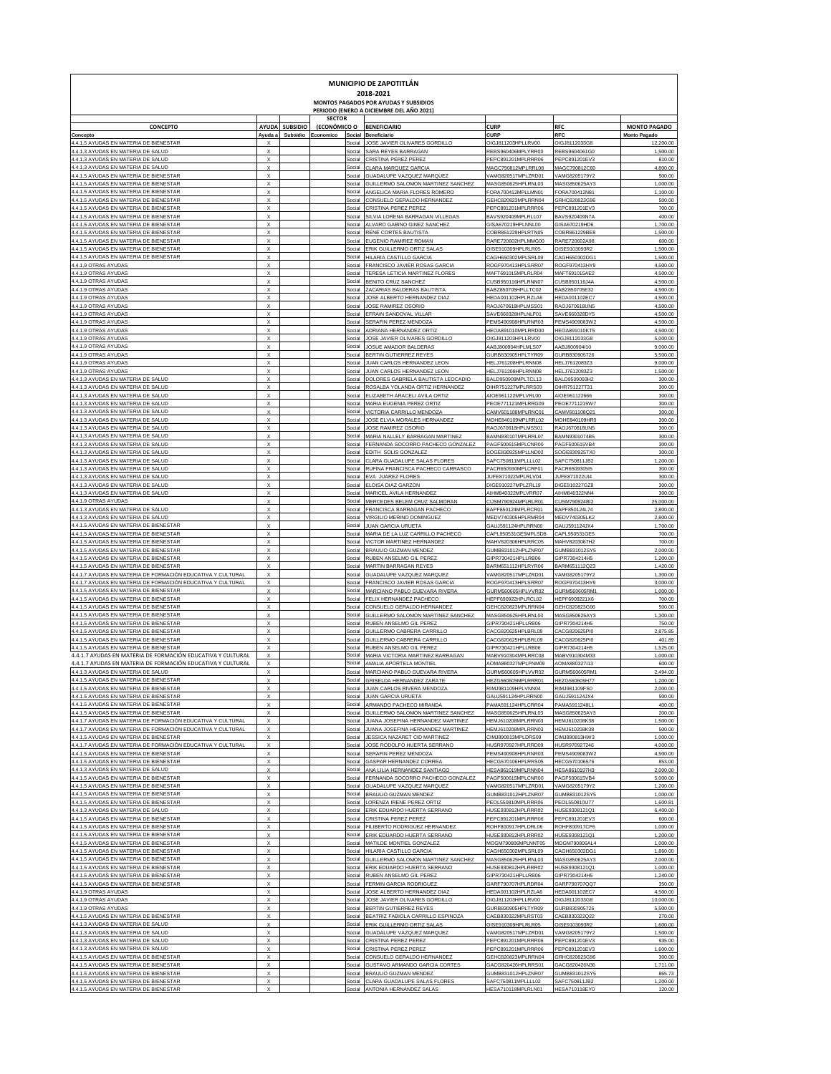| MUNICIPIO DE ZAPOTITLÁN<br>2018-2021<br>MONTOS PAGADOS POR AYUDAS Y SUBSIDIOS<br>PERIODO (ENERO A DICIEMBRE DEL AÑO 2021) |                                                        |                |                               |                  |                                                                   |                                           |                                       |                                  |  |  |  |  |
|---------------------------------------------------------------------------------------------------------------------------|--------------------------------------------------------|----------------|-------------------------------|------------------|-------------------------------------------------------------------|-------------------------------------------|---------------------------------------|----------------------------------|--|--|--|--|
| <b>CONCEPTO</b>                                                                                                           |                                                        | AYUDA SUBSIDIO | <b>SECTOR</b><br>(ECONÓMICO O |                  | <b>BENEFICIARIO</b>                                               | <b>CURP</b>                               | <b>RFC</b>                            | <b>MONTO PAGADO</b>              |  |  |  |  |
| Concepto<br>4.4.1.5 AYUDAS EN MATERIA DE BIENESTAR                                                                        | Ayuda a                                                | Subsidio       | Economico                     | Social<br>Social | Beneficiario<br>JOSE JAVIER OLIVARES GORDILLO                     | <b>CURI</b><br>OIGJ811203HPLLRV00         | RFC<br>OIGJ8112033G8                  | <b>Monto Pagado</b><br>12,200.00 |  |  |  |  |
| 4.4.1.3 AYUDAS EN MATERIA DE SALUD                                                                                        | X                                                      |                |                               | Social           | SARA REYES BARRAGAN                                               | REBS960406MPLYRR00                        | REBS9604061G0                         | 1,500.00                         |  |  |  |  |
| 4.4.1.3 AYUDAS EN MATERIA DE SALUD<br>4.4.1.3 AYUDAS EN MATERIA DE SALUD                                                  | $\boldsymbol{\mathsf{x}}$<br>$\boldsymbol{\mathsf{x}}$ |                |                               | Social<br>Social | <b>CRISTINA PEREZ PEREZ</b><br>CLARA MARQUEZ GARCIA               | PEPC891201MPLRRR06<br>MAGC790812MPLRRL08  | PEPC891201EV3<br>MAGC790812C60        | 810.00<br>4,800.00               |  |  |  |  |
| 4.4.1.5 AYUDAS EN MATERIA DE BIENESTAR<br>4.4.1.5 AYUDAS EN MATERIA DE BIENESTAR                                          | $\boldsymbol{\mathsf{x}}$<br>$\boldsymbol{\mathsf{x}}$ |                |                               | Social<br>Social | GUADALUPE VAZQUEZ MARQUEZ<br>GUILLERMO SALOMON MARTINEZ SANCHEZ   | VAMG820517MPLZRD01<br>MASG850625HPLRNL03  | VAMG8205179Y2<br>MASG850625AY3        | 500.00<br>1,000.00               |  |  |  |  |
| 4.4.1.5 AYUDAS EN MATERIA DE BIENESTAR                                                                                    | $\boldsymbol{\mathsf{x}}$                              |                |                               | Social           | ANGELICA MARIA FLORES ROMERO                                      | FORA700412MPLLMN01                        | FORA700412N81                         | 1,100.00                         |  |  |  |  |
| 4.4.1.5 AYUDAS EN MATERIA DE BIENESTAR<br>4.4.1.5 AYUDAS EN MATERIA DE BIENESTAR                                          | $\boldsymbol{\mathsf{x}}$<br>$\boldsymbol{\mathsf{x}}$ |                |                               | Social<br>Social | CONSUELO GERALDO HERNANDEZ<br>CRISTINA PEREZ PEREZ                | GEHC820823MPLRRN04<br>PEPC891201MPLRRR06  | GRHC820823G96<br>PEPC891201EV3        | 500.00<br>700.00                 |  |  |  |  |
| 4.4.1.5 AYUDAS EN MATERIA DE BIENESTAR<br>4.4.1.5 AYUDAS EN MATERIA DE BIENESTAR                                          | $\boldsymbol{\mathsf{x}}$<br>$\boldsymbol{\mathsf{x}}$ |                |                               | Social<br>Social | SILVIA LORENA BARRAGAN VILLEGAS<br>ALVARO GABINO GINEZ SANCHEZ    | BAVS920409MPLRLL07<br>GISA670219HPLNNL00  | BAVS920409N7A<br>GISA670219HD6        | 400.00<br>1,700.00               |  |  |  |  |
| 4.4.1.5 AYUDAS EN MATERIA DE BIENESTAR                                                                                    | $\boldsymbol{\mathsf{x}}$                              |                |                               | Social           | RENE CORTES BAUTIST.                                              | COBR861229HPLRTN05                        | COBR861229BE8                         | 1,500.00                         |  |  |  |  |
| 4.4.1.5 AYUDAS EN MATERIA DE BIENESTAR<br>4.4.1.5 AYUDAS EN MATERIA DE BIENESTAR                                          | $\boldsymbol{\mathsf{x}}$<br>$\boldsymbol{\mathsf{x}}$ |                |                               | Social<br>Social | EUGENIO RAMIREZ ROMAN<br>ERIK GUILLERMO ORTIZ SALAS               | RARE720602HPLMMG00<br>OISE910309HPLRLR05  | RARE720602A98<br>OISE9103093R2        | 600.00<br>1,500.00               |  |  |  |  |
| 4.4.1.5 AYUDAS EN MATERIA DE BIENESTAR<br>4.4.1.9 OTRAS AYUDAS                                                            | $\boldsymbol{\mathsf{x}}$<br>$\boldsymbol{\mathsf{x}}$ |                |                               | Social<br>Social | HILARIA CASTILLO GARCI<br>FRANCISCO JAVIER ROSAS GARCIA           | CAGH650302MPLSRL09<br>ROGF970413HPLSRR07  | CAGH650302DG1<br>ROGF970413HY9        | 1,500.00<br>4,500.00             |  |  |  |  |
| 4.4.1.9 OTRAS AYUDAS                                                                                                      | $\boldsymbol{\mathsf{x}}$                              |                |                               | Social           | TERESA LETICIA MARTINEZ FLORES                                    | MAFT691015MPLRLR04                        | MAFT691015AE2                         | 4,500.00                         |  |  |  |  |
| 4.4.1.9 OTRAS AYUDAS<br>4.4.1.9 OTRAS AYUDAS                                                                              | $\boldsymbol{\mathsf{x}}$<br>$\boldsymbol{\mathsf{x}}$ |                |                               | Social<br>Social | BENITO CRUZ SANCHEZ<br>ZACARIAS BALDERAS BAUTISTA                 | CUSB950116HPLRNN07<br>BABZ850705HPLLTC02  | CUSB950116J4/<br>BABZ850705E32        | 4,500.00<br>4,500.00             |  |  |  |  |
| 4.4.1.9 OTRAS AYUDAS<br>4.4.1.9 OTRAS AYUDAS                                                                              | $\boldsymbol{\mathsf{x}}$<br>$\boldsymbol{\mathsf{x}}$ |                |                               | Social<br>Social | JOSE ALBERTO HERNANDEZ DIAZ<br>JOSE RAMIREZ OSORIO                | HEDA001102HPLRZLA6<br>RAOJ670618HPLMSS01  | HEDA001102EC7<br>RAOJ670618UN5        | 4,500.00<br>4,500.00             |  |  |  |  |
| 4.4.1.9 OTRAS AYUDAS                                                                                                      | $\boldsymbol{\mathsf{x}}$                              |                |                               | Social           | EFRAIN SANDOVAL VILLAR                                            | SAVE660328HPLNLF01                        | SAVE660328DY5                         | 4,500.00                         |  |  |  |  |
| 4.4.1.9 OTRAS AYUDAS<br>4.4.1.9 OTRAS AYUDAS                                                                              | $\boldsymbol{\mathsf{x}}$<br>$\boldsymbol{\mathsf{x}}$ |                |                               | Social<br>Social | SERAFIN PEREZ MENDOZ<br>ADRIANA HERNANDEZ ORTIZ                   | PEMS490908HPLRNR03<br>HEOA891010MPLRRD00  | PEMS4909083W2<br><b>HEOA891010KT5</b> | 4,500.00<br>4,500.00             |  |  |  |  |
| 4.4.1.9 OTRAS AYUDAS<br>4.4.1.9 OTRAS AYUDAS                                                                              | $\boldsymbol{\mathsf{x}}$<br>$\boldsymbol{\mathsf{x}}$ |                |                               | Social<br>Social | JOSE JAVIER OLIVARES GORDILLO<br>JOSUE AMADOR BALDERAS            | OIGJ811203HPLLRV00<br>AABJ800904HPLMLS07  | OIGJ8112033G8<br>AABJ800904I10        | 5,000.00<br>9,000.00             |  |  |  |  |
| 4.4.1.9 OTRAS AYUDAS                                                                                                      | $\boldsymbol{\mathsf{x}}$                              |                |                               | Social           | BERTIN GUTIERREZ REYES                                            | GURB830905HPLTYR09                        | GURB830905726                         | 5,500.00                         |  |  |  |  |
| 4.4.1.9 OTRAS AYUDAS<br>4.4.1.9 OTRAS AYUDAS                                                                              | $\boldsymbol{\mathsf{x}}$<br>$\boldsymbol{\mathsf{x}}$ |                |                               | Social<br>Social | JUAN CARLOS HERNANDEZ LEON<br>JUAN CARLOS HERNANDEZ LEON          | HELJ761208HPLRNN08<br>HELJ761208HPLRNN08  | HELJ7612083Z3<br>HELJ7612083Z3        | 9,000.00<br>1,500.00             |  |  |  |  |
| 4.4.1.3 AYUDAS EN MATERIA DE SALUD                                                                                        | $\boldsymbol{\mathsf{x}}$                              |                |                               | Social           | DOLORES GABRIELA BAUTISTA LEOCADIO                                | BALD950909MPLTCL13                        | BALD9509093H2                         | 300.00                           |  |  |  |  |
| 4.4.1.3 AYUDAS EN MATERIA DE SALUD<br>4.4.1.3 AYUDAS EN MATERIA DE SALUD                                                  | $\boldsymbol{\mathsf{x}}$<br>$\boldsymbol{\mathsf{x}}$ |                |                               | Social<br>Social | ROSALBA YOLANDA ORTIZ HERNANDEZ<br>ELIZABETH ARACELI AVILA ORTIZ  | OIHR751227MPLRRS09<br>AIOE961122MPLVRL00  | OIHR751227T31<br>AIOE961122666        | 300.00<br>300.00                 |  |  |  |  |
| 4.4.1.3 AYUDAS EN MATERIA DE SALUD                                                                                        | $\boldsymbol{\mathsf{x}}$<br>$\boldsymbol{\mathsf{x}}$ |                |                               | Social           | MARIA EUGENIA PEREZ ORTIZ                                         | PEOE771121MPLRRG09                        | PEOE7711215W7<br>CAMV601108Q21        | 300.00                           |  |  |  |  |
| 4.4.1.3 AYUDAS EN MATERIA DE SALUD<br>4.4.1.3 AYUDAS EN MATERIA DE SALUD                                                  | $\boldsymbol{\mathsf{x}}$                              |                |                               | Social<br>Social | VICTORIA CARRILLO MENDOZ.<br>JOSE ELVIA MORALES HERNANDEZ         | CAMV601108MPLRNC01<br>MOHE840109MPLRRL02  | MOHE840109HR0                         | 300.00<br>300.00                 |  |  |  |  |
| 4.4.1.3 AYUDAS EN MATERIA DE SALUD<br>4.4.1.3 AYUDAS EN MATERIA DE SALUD                                                  | $\boldsymbol{\mathsf{x}}$<br>$\boldsymbol{\mathsf{x}}$ |                |                               | Social<br>Social | JOSE RAMIREZ OSORIO<br>MARIA NALLELY BARRAGAN MARTINEZ            | RAOJ670618HPLMSS01<br>BAMN930107MPLRRL07  | RAOJ670618UN5<br>BAMN9301074B5        | 300.00<br>300.00                 |  |  |  |  |
| 4.4.1.3 AYUDAS EN MATERIA DE SALUD                                                                                        | $\boldsymbol{\mathsf{x}}$                              |                |                               | Social           | FERNANDA SOCORRO PACHECO GONZALEZ                                 | PAGF500615MPLCNR00                        | PAGF500615VB4                         | 300.00                           |  |  |  |  |
| 4.4.1.3 AYUDAS EN MATERIA DE SALUD<br>4.4.1.3 AYUDAS EN MATERIA DE SALUD                                                  | $\boldsymbol{\mathsf{x}}$<br>$\boldsymbol{\mathsf{x}}$ |                |                               | Social<br>Social | EDITH SOLIS GONZALEZ<br>CLARA GUADALUPE SALAS FLORES              | SOGE830925MPLLND02<br>SAFC750811MPLLLL02  | SOGE830925TX0<br>SAFC750811JB2        | 300.00<br>1,200.00               |  |  |  |  |
| 4.4.1.3 AYUDAS EN MATERIA DE SALUD<br>4.4.1.3 AYUDAS EN MATERIA DE SALUD                                                  | $\boldsymbol{\mathsf{x}}$<br>$\boldsymbol{\mathsf{x}}$ |                |                               | Social<br>Social | RUFINA FRANCISCA PACHECO CARRASCO<br>EVA JUAREZ FLORES            | PACR650930MPLCRF01<br>JUFE871022MPLRLV04  | PACR6509305I5<br>JUFE871022UI4        | 300.00<br>300.00                 |  |  |  |  |
| 4.4.1.3 AYUDAS EN MATERIA DE SALUD                                                                                        | $\boldsymbol{\mathsf{x}}$                              |                |                               | Social           | ELOISA DIAZ GARZON                                                | DIGE910227MPLZRL19                        | DIGE910227GZ8                         | 300.00                           |  |  |  |  |
| 4.4.1.3 AYUDAS EN MATERIA DE SALUD<br>4.4.1.9 OTRAS AYUDAS                                                                | $\boldsymbol{\mathsf{x}}$<br>$\boldsymbol{\mathsf{x}}$ |                |                               | Social<br>Social | MARICEL AVILA HERNANDEZ<br>MERCEDES BELEM CRUZ SALMORAN           | AIHM840322MPLVRR07<br>CUSM790924MPLRLR01  | AIHM840322NN4<br>CUSM790924BI2        | 300.00<br>25,000.00              |  |  |  |  |
| 4.4.1.3 AYUDAS EN MATERIA DE SALUD                                                                                        | $\boldsymbol{\mathsf{x}}$                              |                |                               | Social           | FRANCISCA BARRAGAN PACHECO                                        | BAPF850124MPLRCR01                        | BAPF850124L74                         | 2,800.00                         |  |  |  |  |
| 4.4.1.3 AYUDAS EN MATERIA DE SALUD<br>4.4.1.5 AYUDAS EN MATERIA DE BIENESTAR                                              | $\boldsymbol{\mathsf{x}}$<br>$\boldsymbol{\mathsf{x}}$ |                |                               | Social<br>Social | VIRGILIO MERINO DOMINGUEZ<br><b>JUAN GARCIA URUETA</b>            | MEDV740305HPLRMR04<br>GAUJ591124HPLRRN00  | MEDV740305LK2<br>GAUJ591124JX4        | 2,800.00<br>1,700.00             |  |  |  |  |
| 4.4.1.5 AYUDAS EN MATERIA DE BIENESTAR<br>4.4.1.5 AYUDAS EN MATERIA DE BIENESTAR                                          | $\boldsymbol{\mathsf{x}}$<br>$\boldsymbol{\mathsf{x}}$ |                |                               | Social<br>Social | MARIA DE LA LUZ CARRILLO PACHECO<br>VICTOR MARTINEZ HERNANDEZ     | CAPL950531GE5MPLSD8<br>MAHV820306HPLRRC05 | CAPL950531GE5<br>MAHV8203067H2        | 700.00<br>700.00                 |  |  |  |  |
| 4.4.1.5 AYUDAS EN MATERIA DE BIENESTAR                                                                                    | $\boldsymbol{\mathsf{x}}$                              |                |                               | Social           | BRAULIO GUZMAN MENDEZ                                             | GUMB831012HPLZNR07                        | GUMB831012SY5                         | 2,000.00                         |  |  |  |  |
| 4.4.1.5 AYUDAS EN MATERIA DE BIENESTAR<br>4.4.1.5 AYUDAS EN MATERIA DE BIENESTAR                                          | $\boldsymbol{\mathsf{x}}$<br>$\boldsymbol{\mathsf{x}}$ |                |                               | Social<br>Social | RUBEN ANSELMO GIL PEREZ<br>MARTIN BARRAGAN REYES                  | GIPR730421HPLLRB06<br>BARM651112HPLRYR06  | GIPR7304214H5<br>BARM651112QZ3        | 1,200.00<br>1,420.00             |  |  |  |  |
| 4.4.1.7 AYUDAS EN MATERIA DE FORMACIÓN EDUCATIVA Y CULTURAL                                                               | $\boldsymbol{\mathsf{x}}$<br>$\boldsymbol{\mathsf{x}}$ |                |                               | Social           | GUADALUPE VAZQUEZ MARQUEZ                                         | VAMG820517MPLZRD01                        | /AMG8205179Y2                         | 1,300.00                         |  |  |  |  |
| 4.4.1.7 AYUDAS EN MATERIA DE FORMACIÓN EDUCATIVA Y CULTURAL<br>4.4.1.5 AYUDAS EN MATERIA DE BIENESTAF                     | $\boldsymbol{\mathsf{x}}$                              |                |                               | Social<br>Social | FRANCISCO JAVIER ROSAS GARCI/<br>MARCIANO PABLO GUEVARA RIVERA    | ROGF970413HPLSRR07<br>GURM560605HPLVVR02  | ROGF970413HY9<br>GURM560605RM1        | 3,000.00<br>1,000.00             |  |  |  |  |
| 4.4.1.5 AYUDAS EN MATERIA DE BIENESTAR<br>4.4.1.5 AYUDAS EN MATERIA DE BIENESTAR                                          | $\boldsymbol{\mathsf{x}}$<br>$\boldsymbol{\mathsf{x}}$ |                |                               | Social<br>Social | FELIX HERNANDEZ PACHECC<br>CONSUELO GERALDO HERNANDEZ             | HEPF690922HPLRCL02<br>GEHC820823MPLRRN04  | HEPF6909221X6<br>GEHC820823G96        | 700.00<br>500.00                 |  |  |  |  |
| 4.4.1.5 AYUDAS EN MATERIA DE BIENESTAR                                                                                    | $\boldsymbol{\mathsf{x}}$                              |                |                               | Social           | GUILLERMO SALOMON MARTINEZ SANCHEZ                                | MASG850625HPLRNL03                        | MASG850625AY3                         | 1,300.00                         |  |  |  |  |
| 4.4.1.5 AYUDAS EN MATERIA DE BIENESTAR<br>4.4.1.5 AYUDAS EN MATERIA DE BIENESTAR                                          | $\boldsymbol{\mathsf{x}}$<br>$\boldsymbol{\mathsf{x}}$ |                |                               | Social<br>Social | RUBEN ANSELMO GIL PEREZ<br>GUILLERMO CABRERA CARRILLO             | GIPR730421HPLLRB06<br>CACG820625HPLBRL09  | GIPR7304214H5<br>CACG820625PIC        | 750.00<br>2,875.85               |  |  |  |  |
| 4.4.1.5 AYUDAS EN MATERIA DE BIENESTAR<br>4.4.1.5 AYUDAS EN MATERIA DE BIENESTAR                                          | $\boldsymbol{\mathsf{x}}$<br>$\boldsymbol{\mathsf{x}}$ |                |                               | Social<br>Social | GUILLERMO CABRERA CARRILLO<br>RUBEN ANSELMO GIL PEREZ             | CACG820625HPLBRL09<br>GIPR730421HPLLRB06  | CACG820625PI0<br>GIPR7304214H5        | 401.89<br>1,525.00               |  |  |  |  |
| 4.4.1.7 AYUDAS EN MATERIA DE FORMACIÓN EDUCATIVA Y CULTURAL                                                               | $\boldsymbol{\mathsf{x}}$                              |                |                               | Social           | MARIA VICTORIA MARTINEZ BARRAGAN                                  | MABV910304MPLRRC08                        | MABV910304M33                         | 1,000.00                         |  |  |  |  |
| 4.4.1.7 AYUDAS EN MATERIA DE FORMACIÓN EDUCATIVA Y CULTURAL<br>4.4.1.3 AYUDAS EN MATERIA DE SALUD                         | $\boldsymbol{\mathsf{x}}$<br>x                         |                |                               | Social<br>Social | AMALIA APORTELA MONTIEL<br>MARCIANO PABLO GUEVARA RIVERA          | AOMA880327MPLPNM09<br>GURM560605HPLVVR02  | AOMA880327I13<br>GURM560605RM1        | 600.00<br>2,494.00               |  |  |  |  |
| 4.1.5 AVIIDAS EN MATERIA DE                                                                                               |                                                        |                |                               |                  | <b>CRICEL DA LIERNANDEZ ZAE</b>                                   |                                           |                                       | 1.200.00                         |  |  |  |  |
| 4.4.1.5 AYUDAS EN MATERIA DE BIENESTAR<br>4.4.1.5 AYUDAS EN MATERIA DE BIENESTAR                                          | X<br>X                                                 |                |                               | Social<br>Social | JUAN CARLOS RIVERA MENDOZA<br><b>JUAN GARCIA URUETA</b>           | RIMJ981109HPLVNN04<br>GAUJ591124HPLRRN00  | RIMJ981109FS0<br>GAUJ591124JX4        | 2,000.00<br>500.00               |  |  |  |  |
| 4.4.1.5 AYUDAS EN MATERIA DE BIENESTAR<br>4.4.1.5 AYUDAS EN MATERIA DE BIENESTAR                                          | $\boldsymbol{\mathsf{x}}$<br>$\boldsymbol{\mathsf{x}}$ |                |                               | Social<br>Social | ARMANDO PACHECO MIRANDA<br>GUILLERMO SALOMON MARTINEZ SANCHEZ     | PAMA591124HPLCRR04<br>MASG850625HPLRNL03  | PAMA5911248L1<br>MASG850625AY3        | 400.00<br>200.00                 |  |  |  |  |
| 4.4.1.7 AYUDAS EN MATERIA DE FORMACIÓN EDUCATIVA Y CULTURAL                                                               | $\boldsymbol{\mathsf{x}}$                              |                |                               | Social           | JUANA JOSEFINA HERNANDEZ MARTINEZ                                 | HEMJ610208MPLRRN03                        | HEMJ610208K38                         | 1,500.00                         |  |  |  |  |
| 4.4.1.7 AYUDAS EN MATERIA DE FORMACIÓN EDUCATIVA Y CULTURAL<br>4.4.1.5 AYUDAS EN MATERIA DE BIENESTAR                     | $\boldsymbol{\mathsf{x}}$<br>$\boldsymbol{\mathsf{x}}$ |                |                               | Social<br>Social | JUANA JOSEFINA HERNANDEZ MARTINEZ<br>JESSICA NAZARET CID MARTINEZ | HEMJ610208MPLRRN03<br>CIMJ890813MPLDRS09  | HEMJ610208K38<br>CIMJ890813HW3        | 500.00<br>1,000.00               |  |  |  |  |
| 4.4.1.7 AYUDAS EN MATERIA DE FORMACIÓN EDUCATIVA Y CULTURAL<br>4.4.1.5 AYUDAS EN MATERIA DE BIENESTAR                     | $\boldsymbol{\mathsf{x}}$<br>X                         |                |                               | Social<br>Social | JOSE RODOLFO HUERTA SERRANO<br>SERAFIN PEREZ MENDOZ/              | HUSR970927HPLRRD09<br>PEMS490908HPLRNR03  | HUSR970927246<br>PEMS4909083W2        | 4,000.00<br>4,500.00             |  |  |  |  |
| 4.4.1.5 AYUDAS EN MATERIA DE BIENESTAR                                                                                    | $\boldsymbol{\mathsf{x}}$                              |                |                               | Social           | GASPAR HERNANDEZ CORREA                                           | HECG570106HPLRRS05                        | HECG570106576                         | 853.00                           |  |  |  |  |
| 4.4.1.3 AYUDAS EN MATERIA DE SALUD<br>4.4.1.5 AYUDAS EN MATERIA DE BIENESTAR                                              | X<br>X                                                 |                |                               | Social<br>Social | ANA LILIA HERNANDEZ SANTIAGO<br>FERNANDA SOCORRO PACHECO GONZALEZ | HESA861019MPLRNN04<br>PAGF500615MPLCNR00  | HESA8610197H3<br>PAGF500615VB4        | 2,000.00<br>5,000.00             |  |  |  |  |
| 4.4.1.5 AYUDAS EN MATERIA DE BIENESTAR                                                                                    | X                                                      |                |                               | Social           | GUADALUPE VAZQUEZ MARQUEZ                                         | VAMG820517MPLZRD01                        | VAMG8205179Y2                         | 1,200.00                         |  |  |  |  |
| 4.4.1.5 AYUDAS EN MATERIA DE BIENESTAR<br>4.4.1.5 AYUDAS EN MATERIA DE BIENESTAR                                          | X<br>X                                                 |                |                               | Social<br>Social | BRAULIO GUZMAN MENDEZ<br>LORENZA IRENE PEREZ ORTIZ                | GUMB831012HPLZNR07<br>PEOL550810MPLRRR06  | GUMB831012SY5<br>PEOL550810U77        | 1,000.00<br>1,600.81             |  |  |  |  |
| 4.4.1.3 AYUDAS EN MATERIA DE SALUD<br>4.4.1.5 AYUDAS EN MATERIA DE BIENESTAR                                              | X<br>X                                                 |                |                               | Social<br>Social | ERIK EDUARDO HUERTA SERRANO<br>CRISTINA PEREZ PEREZ               | HUSE930812HPLRRR02<br>PEPC891201MPLRRR06  | HUSE9308121Q1<br>PEPC891201EV3        | 6,400.00<br>600.00               |  |  |  |  |
| 4.4.1.5 AYUDAS EN MATERIA DE BIENESTAR                                                                                    | X                                                      |                |                               | Social           | FILIBERTO RODRIGUEZ HERNANDEZ                                     | ROHF800917HPLDRL06                        | ROHF800917CP6                         | 1,000.00                         |  |  |  |  |
| 4.4.1.5 AYUDAS EN MATERIA DE BIENESTAR<br>4.4.1.5 AYUDAS EN MATERIA DE BIENESTAR                                          | X<br>X                                                 |                |                               | Social<br>Social | ERIK EDUARDO HUERTA SERRANO<br>MATILDE MONTIEL GONZALEZ           | HUSE930812HPLRRR02<br>MOGM790806MPLNNT05  | HUSE9308121Q1<br>MOGM790806AL4        | 1,200.00<br>1,000.00             |  |  |  |  |
| 4.4.1.5 AYUDAS EN MATERIA DE BIENESTAR                                                                                    | X                                                      |                |                               | Social           | HILARIA CASTILLO GARCIA                                           | CAGH650302MPLSRL09                        | CAGH650302DG1                         | 1,860.00                         |  |  |  |  |
| 4.4.1.5 AYUDAS EN MATERIA DE BIENESTAR<br>4.4.1.5 AYUDAS EN MATERIA DE BIENESTAR                                          | X<br>X                                                 |                |                               | Social<br>Social | GUILLERMO SALOMON MARTINEZ SANCHEZ<br>ERIK EDUARDO HUERTA SERRANO | MASG850625HPLRNL03<br>HUSE930812HPLRRR02  | MASG850625AY3<br>HUSE9308121Q1        | 2,000.00<br>1,000.00             |  |  |  |  |
| 4.4.1.5 AYUDAS EN MATERIA DE BIENESTAR<br>4.4.1.5 AYUDAS EN MATERIA DE BIENESTAR                                          | X<br>X                                                 |                |                               | Social<br>Social | RUBEN ANSELMO GIL PEREZ<br>FERMIN GARCIA RODRIGUEZ                | GIPR730421HPLLRB06<br>GARF790707HPLRDR04  | GIPR7304214H5<br>GARF790707QQ7        | 1,240.00<br>350.00               |  |  |  |  |
| 4.4.1.9 OTRAS AYUDAS                                                                                                      | X                                                      |                |                               | Social           | JOSE ALBERTO HERNANDEZ DIAZ                                       | HEDA001102HPLRZLA6                        | <b>HEDA001102EC7</b>                  | 4,500.00                         |  |  |  |  |
| 4.4.1.9 OTRAS AYUDAS<br>4.4.1.9 OTRAS AYUDAS                                                                              | X<br>X                                                 |                |                               | Social<br>Social | JOSE JAVIER OLIVARES GORDILLO<br>BERTIN GUTIERREZ REYES           | OIGJ811203HPLLRV00<br>GURB830905HPLTYR09  | OIGJ8112033G8<br>GURB830905726        | 10,000.00<br>5,500.00            |  |  |  |  |
| 4.4.1.5 AYUDAS EN MATERIA DE BIENESTAR                                                                                    | X                                                      |                |                               | Social           | BEATRIZ FABIOLA CARRILLO ESPINOZA                                 | CAEB830322MPLRST03                        | CAEB830322Q22                         | 270.00                           |  |  |  |  |
| 4.4.1.3 AYUDAS EN MATERIA DE SALUD<br>4.4.1.3 AYUDAS EN MATERIA DE SALUD                                                  | X<br>X                                                 |                |                               | Social<br>Social | ERIK GUILLERMO ORTIZ SALAS<br>GUADALUPE VAZQUEZ MARQUEZ           | OISE910309HPLRLR05<br>VAMG820517MPLZRD01  | OISE9103093R2<br>VAMG8205179Y2        | 1,600.00<br>1,500.00             |  |  |  |  |
| 4.4.1.3 AYUDAS EN MATERIA DE SALUD<br>4.4.1.3 AYUDAS EN MATERIA DE SALUD                                                  | X<br>X                                                 |                |                               | Social<br>Social | CRISTINA PEREZ PEREZ<br>CRISTINA PEREZ PEREZ                      | PEPC891201MPLRRR06<br>PEPC891201MPLRRR06  | PEPC891201EV3<br>PEPC891201EV3        | 935.00<br>1,600.00               |  |  |  |  |
| 4.4.1.5 AYUDAS EN MATERIA DE BIENESTAR                                                                                    | X                                                      |                |                               | Social           | CONSUELO GERALDO HERNANDEZ                                        | GEHC820823MPLRRN04                        | GRHC820823G96                         | 300.00                           |  |  |  |  |
| 4.4.1.5 AYUDAS EN MATERIA DE BIENESTAR<br>4.4.1.5 AYUDAS EN MATERIA DE BIENESTAR                                          | X<br>X                                                 |                |                               | Social<br>Social | GUSTAVO ARMANDO GARCIA CORTES<br>BRAULIO GUZMAN MENDEZ            | GACG820426HPLRRS01<br>GUMB831012HPLZNR07  | GACG820426N36<br>GUMB831012SY5        | 1,711.00<br>865.73               |  |  |  |  |
| 4.4.1.5 AYUDAS EN MATERIA DE BIENESTAR                                                                                    | X                                                      |                |                               | Social           | CLARA GUADALUPE SALAS FLORES                                      | SAFC750811MPLLLL02                        | SAFC750811JB2                         | 1,200.00                         |  |  |  |  |
| 4.4.1.5 AYUDAS EN MATERIA DE BIENESTAR                                                                                    | X                                                      |                |                               | Social           | ANTONIA HERNANDEZ SALAS                                           | HESA710118MPLRLN01                        | HESA710118EY0                         | 120.00                           |  |  |  |  |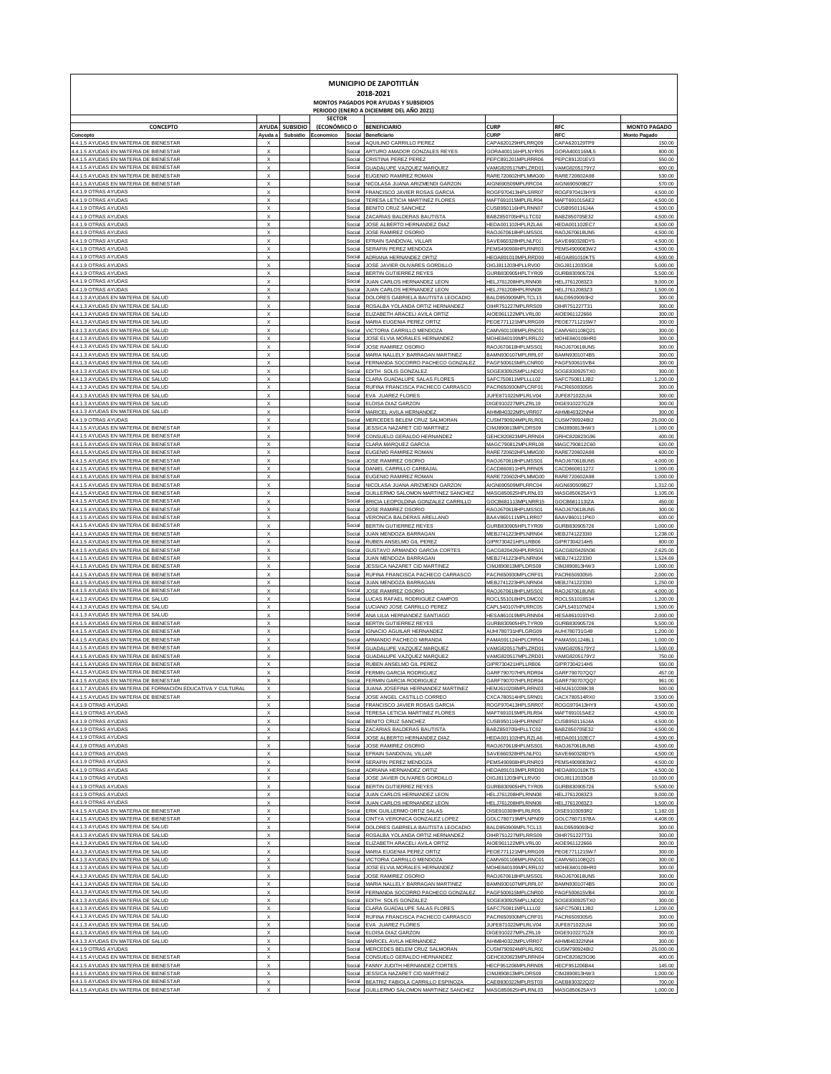| MUNICIPIO DE ZAPOTITLÁN<br>2018-2021<br>MONTOS PAGADOS POR AYUDAS Y SUBSIDIOS    |                                                        |                 |                     |                                                                                  |                                          |                                |                               |  |  |  |  |  |
|----------------------------------------------------------------------------------|--------------------------------------------------------|-----------------|---------------------|----------------------------------------------------------------------------------|------------------------------------------|--------------------------------|-------------------------------|--|--|--|--|--|
|                                                                                  |                                                        |                 | <b>SECTOR</b>       | PERIODO (ENERO A DICIEMBRE DEL AÑO 2021)                                         |                                          |                                |                               |  |  |  |  |  |
| <b>CONCEPTO</b>                                                                  | <b>AYUDA</b>                                           | <b>SUBSIDIO</b> | (ECONÓMICO O        | <b>BENEFICIARIO</b>                                                              | <b>CURP</b>                              | <b>RFC</b>                     | <b>MONTO PAGADO</b>           |  |  |  |  |  |
| Concepto<br>4.4.1.5 AYUDAS EN MATERIA DE BIENESTAR                               | Ayuda a<br>X                                           | Subsidio        | Economico<br>Social | Social Beneficiario<br>AQUILINO CARRILLO PERE                                    | <b>CURP</b><br>CAPA620129HPLRRQ09        | RFC<br>CAPA620129TP9           | <b>Monto Pagado</b><br>150.00 |  |  |  |  |  |
| 4.4.1.5 AYUDAS EN MATERIA DE BIENESTAR                                           | $\boldsymbol{\mathsf{x}}$                              |                 | Social              | ARTURO AMADOR GONZALES REYES                                                     | GORA400116HPLNYR05                       | GORA400116ML5                  | 800.00                        |  |  |  |  |  |
| 4.4.1.5 AYUDAS EN MATERIA DE BIENESTAR<br>4.4.1.5 AYUDAS EN MATERIA DE BIENESTAR | $\boldsymbol{\mathsf{X}}$<br>$\boldsymbol{\mathsf{x}}$ |                 | Social<br>Social    | CRISTINA PEREZ PEREZ<br>GUADALUPE VAZQUEZ MARQUEZ                                | PEPC891201MPLRRR06<br>VAMG820517MPLZRD01 | PEPC891201EV3<br>VAMG8205179Y2 | 550.00<br>600.00              |  |  |  |  |  |
| 4.4.1.5 AYUDAS EN MATERIA DE BIENESTAR<br>4.4.1.5 AYUDAS EN MATERIA DE BIENESTAR | $\boldsymbol{\mathsf{x}}$<br>$\boldsymbol{\mathsf{x}}$ |                 | Social<br>Social    | EUGENIO RAMIREZ ROMAN<br>NICOLASA JUANA ARIZMENDI GARZON                         | RARE720602HPLMMG00<br>AIGN690509MPLRRC04 | RARE720602A98<br>AIGN690509BZ7 | 530.00<br>570.00              |  |  |  |  |  |
| 4.4.1.9 OTRAS AYUDAS                                                             | $\boldsymbol{\mathsf{x}}$                              |                 | Social              | FRANCISCO JAVIER ROSAS GARCIA                                                    | ROGF970413HPLSRR07                       | ROGF970413HY9                  | 4,500.00                      |  |  |  |  |  |
| 4.4.1.9 OTRAS AYUDAS<br>4.4.1.9 OTRAS AYUDAS                                     | $\boldsymbol{\mathsf{x}}$<br>$\boldsymbol{\mathsf{x}}$ |                 | Social<br>Social    | TERESA LETICIA MARTINEZ FLORES<br>BENITO CRUZ SANCHEZ                            | MAFT691015MPLRLR04<br>CUSB950116HPLRNN07 | MAFT691015AE2<br>CUSB950116J4A | 4,500.00<br>4,500.00          |  |  |  |  |  |
| 4.4.1.9 OTRAS AYUDAS                                                             | $\boldsymbol{\mathsf{x}}$                              |                 | Social              | ZACARIAS BALDERAS BAUTISTA                                                       | BABZ850705HPLLTC02                       | BABZ850705E32                  | 4,500.00                      |  |  |  |  |  |
| 4.4.1.9 OTRAS AYUDAS<br>4.4.1.9 OTRAS AYUDAS                                     | $\boldsymbol{\mathsf{x}}$<br>$\boldsymbol{\mathsf{x}}$ |                 | Social<br>Social    | JOSE ALBERTO HERNANDEZ DIAZ<br>JOSE RAMIREZ OSORIO                               | HEDA001102HPLRZLA6<br>RAOJ670618HPLMSS01 | HEDA001102EC7<br>RAOJ670618UN5 | 4,500.00<br>4,500.00          |  |  |  |  |  |
| 4.4.1.9 OTRAS AYUDAS                                                             | $\boldsymbol{\mathsf{x}}$                              |                 | Social              | EFRAIN SANDOVAL VILLAR                                                           | SAVE660328HPLNLF01                       | SAVE660328DY5                  | 4,500.00                      |  |  |  |  |  |
| 4.4.1.9 OTRAS AYUDAS<br>4.4.1.9 OTRAS AYUDAS                                     | $\boldsymbol{\mathsf{x}}$<br>$\boldsymbol{\mathsf{x}}$ |                 | Social<br>Social    | SERAFIN PEREZ MENDOZA<br>ADRIANA HERNANDEZ ORTIZ                                 | PEMS490908HPLRNR03<br>HEOA891010MPLRRD00 | PEMS4909083W2<br>HEOA891010KT5 | 4,500.00<br>4,500.00          |  |  |  |  |  |
| 4.4.1.9 OTRAS AYUDAS                                                             | $\boldsymbol{\mathsf{x}}$                              |                 | Social              | JOSE JAVIER OLIVARES GORDILLO                                                    | OIGJ811203HPLLRV00                       | OIGJ8112033G8                  | 5,000.00                      |  |  |  |  |  |
| 4.4.1.9 OTRAS AYUDAS<br>4.4.1.9 OTRAS AYUDAS                                     | $\boldsymbol{\mathsf{x}}$<br>$\boldsymbol{\mathsf{x}}$ |                 | Social<br>Social    | BERTIN GUTIERREZ REYES<br>JUAN CARLOS HERNANDEZ LEON                             | GURB830905HPLTYR09<br>HELJ761208HPLRNN08 | GURB830905726<br>HELJ7612083Z3 | 5,500.00<br>9,000.00          |  |  |  |  |  |
| 4.4.1.9 OTRAS AYUDAS                                                             | $\boldsymbol{\mathsf{x}}$                              |                 | Social              | JUAN CARLOS HERNANDEZ LEON                                                       | HELJ761208HPLRNN08                       | HELJ7612083Z3                  | 1,500.00                      |  |  |  |  |  |
| 4.4.1.3 AYUDAS EN MATERIA DE SALUD<br>4.4.1.3 AYUDAS EN MATERIA DE SALUD         | $\boldsymbol{\mathsf{x}}$<br>$\boldsymbol{\mathsf{x}}$ |                 | Social<br>Social    | DOLORES GABRIELA BAUTISTA LEOCADIO<br>ROSALBA YOLANDA ORTIZ HERNANDE2            | BALD950909MPLTCL13<br>OIHR751227MPLRRS09 | BALD9509093H2<br>OIHR751227T31 | 300.00<br>300.00              |  |  |  |  |  |
| 4.4.1.3 AYUDAS EN MATERIA DE SALUD                                               | $\boldsymbol{\mathsf{x}}$                              |                 | Social              | ELIZABETH ARACELI AVILA ORTIZ                                                    | AIOE961122MPLVRL00                       | AIOE961122666                  | 300.00                        |  |  |  |  |  |
| 4.4.1.3 AYUDAS EN MATERIA DE SALUD<br>4.4.1.3 AYUDAS EN MATERIA DE SALUD         | $\boldsymbol{\mathsf{x}}$<br>$\boldsymbol{\mathsf{x}}$ |                 | Social<br>Social    | MARIA EUGENIA PEREZ ORTIZ<br>VICTORIA CARRILLO MENDOZA                           | PEOE771121MPLRRG09<br>CAMV601108MPLRNC01 | PEOE7711215W7<br>CAMV601108Q21 | 300.00<br>300.00              |  |  |  |  |  |
| 4.4.1.3 AYUDAS EN MATERIA DE SALUD                                               | $\boldsymbol{\mathsf{x}}$                              |                 | Social              | JOSE ELVIA MORALES HERNANDEZ                                                     | MOHE840109MPLRRL02                       | MOHE840109HR0                  | 300.00                        |  |  |  |  |  |
| 4.4.1.3 AYUDAS EN MATERIA DE SALUD<br>4.4.1.3 AYUDAS EN MATERIA DE SALUD         | $\boldsymbol{\mathsf{x}}$<br>$\boldsymbol{\mathsf{x}}$ |                 | Social<br>Social    | JOSE RAMIREZ OSORIO<br>MARIA NALLELY BARRAGAN MARTINEZ                           | RAOJ670618HPLMSS01<br>BAMN930107MPLRRL07 | RAOJ670618UN5<br>BAMN9301074B5 | 300.00<br>300.00              |  |  |  |  |  |
| 4.4.1.3 AYUDAS EN MATERIA DE SALUD                                               | $\boldsymbol{\mathsf{x}}$                              |                 |                     | Social FERNANDA SOCORRO PACHECO GONZALEZ                                         | PAGF500615MPLCNR00                       | PAGF500615VB4                  | 300.00                        |  |  |  |  |  |
| 4.4.1.3 AYUDAS EN MATERIA DE SALUD<br>4.4.1.3 AYUDAS EN MATERIA DE SALUD         | $\boldsymbol{\mathsf{x}}$<br>$\boldsymbol{\mathsf{x}}$ |                 |                     | Social EDITH SOLIS GONZALEZ<br>Social CLARA GUADALUPE SALAS FLORES               | SOGE830925MPLLND02<br>SAFC750811MPLLLL02 | SOGE830925TX0<br>SAFC750811JB2 | 300.00<br>1,200.00            |  |  |  |  |  |
| 4.4.1.3 AYUDAS EN MATERIA DE SALUD                                               | $\boldsymbol{\mathsf{x}}$                              |                 |                     | Social RUFINA FRANCISCA PACHECO CARRASCO                                         | PACR650930MPLCRF01                       | PACR6509305I5                  | 300.00                        |  |  |  |  |  |
| 4.4.1.3 AYUDAS EN MATERIA DE SALUD<br>4.4.1.3 AYUDAS EN MATERIA DE SALUD         | $\boldsymbol{\mathsf{x}}$<br>$\boldsymbol{\mathsf{x}}$ |                 |                     | Social EVA JUAREZ FLORES<br>Social ELOISA DIAZ GARZON                            | JUFE871022MPLRLV04<br>DIGE910227MPLZRL19 | JUFE871022UI4<br>DIGE910227GZ8 | 300.00<br>300.00              |  |  |  |  |  |
| 4.4.1.3 AYUDAS EN MATERIA DE SALUD                                               | $\boldsymbol{\mathsf{x}}$                              |                 |                     | Social MARICEL AVILA HERNANDEZ                                                   | AIHM840322MPLVRR07                       | AIHM840322NN4                  | 300.00                        |  |  |  |  |  |
| 4.4.1.9 OTRAS AYUDAS<br>4.4.1.5 AYUDAS EN MATERIA DE BIENESTAR                   | $\boldsymbol{\mathsf{x}}$<br>$\boldsymbol{\mathsf{x}}$ |                 |                     | Social MERCEDES BELEM CRUZ SALMORAN<br>Social JESSICA NAZARET CID MARTINEZ       | CUSM790924MPLRLR01<br>CIMJ890813MPLDRS09 | CUSM790924BI2<br>CIMJ890813HW3 | 25,000.00<br>1,000.00         |  |  |  |  |  |
| 4.4.1.5 AYUDAS EN MATERIA DE BIENESTAR                                           | $\boldsymbol{\mathsf{x}}$                              |                 |                     | Social CONSUELO GERALDO HERNANDEZ                                                | GEHC820823MPLRRN04                       | GRHC820823G96                  | 400.00                        |  |  |  |  |  |
| 4.4.1.5 AYUDAS EN MATERIA DE BIENESTAR<br>4.4.1.5 AYUDAS EN MATERIA DE BIENESTAR | $\boldsymbol{\mathsf{x}}$<br>$\boldsymbol{\mathsf{x}}$ |                 |                     | Social CLARA MARQUEZ GARCIA<br>Social EUGENIO RAMIREZ ROMAN                      | MAGC790812MPLRRL08<br>RARE720602HPLMMG00 | MAGC790812C60<br>RARE720602A98 | 620.00<br>600.00              |  |  |  |  |  |
| 4.4.1.5 AYUDAS EN MATERIA DE BIENESTAR                                           | $\boldsymbol{\mathsf{x}}$                              |                 |                     | Social JOSE RAMIREZ OSORIO                                                       | RAOJ670618HPLMSS01                       | RAOJ670618UN5                  | 4,000.00                      |  |  |  |  |  |
| 4.4.1.5 AYUDAS EN MATERIA DE BIENESTAR<br>4.4.1.5 AYUDAS EN MATERIA DE BIENESTAR | $\boldsymbol{\mathsf{x}}$<br>$\boldsymbol{\mathsf{x}}$ |                 |                     | Social DANIEL CARRILLO CARBAJAI<br>Social EUGENIO RAMIREZ ROMAN                  | CACD860811HPLRRN05<br>RARE720602HPLMMG00 | CACD860811272<br>RARE720602A98 | 1,000.00<br>1,000.00          |  |  |  |  |  |
| 4.4.1.5 AYUDAS EN MATERIA DE BIENESTAR                                           | $\boldsymbol{\mathsf{x}}$                              |                 |                     | Social NICOLASA JUANA ARIZMENDI GARZON                                           | AIGN690509MPLRRC04                       | AIGN690509BZ7                  | 1,312.00                      |  |  |  |  |  |
| 4.4.1.5 AYUDAS EN MATERIA DE BIENESTAR<br>4.4.1.5 AYUDAS EN MATERIA DE BIENESTAR | $\boldsymbol{\mathsf{x}}$<br>$\boldsymbol{\mathsf{x}}$ |                 | Social              | GUILLERMO SALOMON MARTINEZ SANCHEZ<br>Social BRICIA LEOPOLDINA GONZALEZ CARRILLO | MASG850625HPLRNL03<br>GOCB681113MPLNRR15 | MASG850625AY3<br>GOCB681113IZA | 1,105.00<br>450.00            |  |  |  |  |  |
| 4.4.1.5 AYUDAS EN MATERIA DE BIENESTAR                                           | $\boldsymbol{\mathsf{x}}$                              |                 | Social              | JOSE RAMIREZ OSORIO                                                              | RAOJ670618HPLMSS01                       | RAOJ670618UN5                  | 300.00                        |  |  |  |  |  |
| 4.4.1.5 AYUDAS EN MATERIA DE BIENESTAR<br>4.4.1.5 AYUDAS EN MATERIA DE BIENESTAR | $\boldsymbol{\mathsf{x}}$<br>$\boldsymbol{\mathsf{x}}$ |                 |                     | Social VERONICA BALDERAS ARELLANO<br>Social BERTIN GUTIERREZ REYES               | BAAV860111MPLLRR07<br>GURB830905HPLTYR09 | BAAV860111PK0<br>GURB830905726 | 600.00<br>1,000.00            |  |  |  |  |  |
| 4.4.1.5 AYUDAS EN MATERIA DE BIENESTAR                                           | $\boldsymbol{\mathsf{x}}$                              |                 |                     | Social JUAN MENDOZA BARRAGAN                                                     | MEBJ741223HPLNRN04                       | MEBJ7412233I0                  | 1,238.00                      |  |  |  |  |  |
| 4.4.1.5 AYUDAS EN MATERIA DE BIENESTAR<br>4.4.1.5 AYUDAS EN MATERIA DE BIENESTAR | $\boldsymbol{\mathsf{x}}$<br>$\boldsymbol{\mathsf{x}}$ |                 |                     | Social RUBEN ANSELMO GIL PEREZ<br>Social GUSTAVO ARMANDO GARCIA CORTES           | GIPR730421HPLLRB06<br>GACG820426HPLRRS01 | GIPR7304214H5<br>GACG820426N36 | 800.00<br>2,625.00            |  |  |  |  |  |
| 4.4.1.5 AYUDAS EN MATERIA DE BIENESTAR                                           | $\boldsymbol{\mathsf{x}}$                              |                 |                     | Social JUAN MENDOZA BARRAGAN                                                     | MEBJ741223HPLNRN04                       | MEBJ7412233I0                  | 1,524.69                      |  |  |  |  |  |
| 4.4.1.5 AYUDAS EN MATERIA DE BIENESTAR<br>4.4.1.5 AYUDAS EN MATERIA DE BIENESTAR | $\boldsymbol{\mathsf{x}}$<br>$\boldsymbol{\mathsf{x}}$ |                 |                     | Social JESSICA NAZARET CID MARTINEZ<br>Social RUFINA FRANCISCA PACHECO CARRASCO  | CIMJ890813MPLDRS09<br>PACR650930MPLCRF01 | CIMJ890813HW3<br>PACR6509305I5 | 1,000.00<br>2,000.00          |  |  |  |  |  |
| 4.4.1.5 AYUDAS EN MATERIA DE BIENESTAR                                           | $\boldsymbol{\mathsf{x}}$                              |                 |                     | Social JUAN MENDOZA BARRAGAN                                                     | MEBJ741223HPLNRN04                       | MEBJ7412233I0                  | 1,250.00                      |  |  |  |  |  |
| 4.4.1.5 AYUDAS EN MATERIA DE BIENESTAR<br>4.4.1.3 AYUDAS EN MATERIA DE SALUD     | $\boldsymbol{\mathsf{x}}$<br>$\boldsymbol{\mathsf{x}}$ |                 |                     | Social JOSE RAMIREZ OSORIO<br>Social LUCAS RAFAEL RODRIGUEZ CAMPOS               | RAOJ670618HPLMSS01<br>ROCL551018HPLDMC02 | RAOJ670618UN5<br>ROCL551018S34 | 4,000.00<br>1,200.00          |  |  |  |  |  |
| 4.4.1.3 AYUDAS EN MATERIA DE SALUD                                               | $\boldsymbol{\mathsf{x}}$                              |                 |                     | Social LUCIANO JOSE CARRILLO PEREZ                                               | CAPL540107HPLRRC05                       | CAPL540107M24                  | 1,500.00                      |  |  |  |  |  |
| 4.4.1.3 AYUDAS EN MATERIA DE SALUD<br>4.4.1.5 AYUDAS EN MATERIA DE BIENESTAR     | $\boldsymbol{\mathsf{x}}$<br>$\boldsymbol{\mathsf{x}}$ |                 |                     | Social ANA LILIA HERNANDEZ SANTIAGO<br>Social BERTIN GUTIERREZ REYES             | HESA861019MPLRNN04<br>GURB830905HPLTYR09 | HESA8610197H3<br>GURB830905726 | 2,000.00<br>5,500.00          |  |  |  |  |  |
| 4.4.1.5 AYUDAS EN MATERIA DE BIENESTAR                                           | $\boldsymbol{\mathsf{x}}$                              |                 |                     | Social IGNACIO AGUILAR HERNANDEZ                                                 | AUHI780731HPLGRG09                       | AUHI780731G49                  | 1,200.00                      |  |  |  |  |  |
| 4.4.1.5 AYUDAS EN MATERIA DE BIENESTAR<br>4.4.1.5 AYUDAS EN MATERIA DE BIENESTAR | $\boldsymbol{\mathsf{x}}$                              |                 | Social              | Social ARMANDO PACHECO MIRANDA<br>GUADALUPE VAZQUEZ MARQUE                       | PAMA591124HPLCRR04<br>VAMG820517MPLZRD01 | PAMA5911248L1<br>VAMG8205179Y  | 1,000.00<br>1,500.00          |  |  |  |  |  |
| 4.4.1.5 AYUDAS EN MATERIA DE BIENESTAR                                           | $\boldsymbol{\mathsf{x}}$                              |                 |                     | Social GUADALUPE VAZQUEZ MARQUEZ<br>Social RUBEN ANSELMO GIL PERE                | VAMG820517MPLZRD01<br>GIPR730421HPLLRB06 | VAMG8205179Y2                  | 750.00                        |  |  |  |  |  |
| 4.4.1.5 AYUDAS EN MATERIA DE BIENESTAR<br>4.4.1.5 AYUDAS EN MATERIA DE BIENESTAR |                                                        |                 |                     | Social FERMIN GARCIA RODRIGUEZ                                                   | GARF790707HPLRDR04                       | GIPR7304214H5<br>GARE790707QQ  | 550.00<br>457.00              |  |  |  |  |  |
| 4.4.1.7 AYUDAS EN MATERIA DE FORMACIÓN EDUCATIVA Y CULTURAL                      |                                                        |                 |                     |                                                                                  |                                          |                                | 500.00                        |  |  |  |  |  |
| 4.4.1.5 AYUDAS EN MATERIA DE BIENESTAR                                           |                                                        |                 |                     | Social JUANA JOSEFINA HERNANDEZ MARTINEZ<br>Social JOSE ANGEL CASTILLO CORREO    | HEMJ610208MPLRRN03<br>CXCA780514HPLSRN01 | HEMJ610208K3<br>CACX780514RX0  | 3,500.00                      |  |  |  |  |  |
| 4.4.1.9 OTRAS AYUDAS<br>4.4.1.9 OTRAS AYUDAS                                     |                                                        |                 |                     | Social FRANCISCO JAVIER ROSAS GARCIA<br>Social TERESA LETICIA MARTINEZ FLORES    | ROGF970413HPLSRR0<br>MAFT691015MPLRLR0   | ROGG970413HY9<br>MAFT691015AE2 | 4.500.00<br>4.500.00          |  |  |  |  |  |
| 4.4.1.9 OTRAS AYUDAS                                                             | $\boldsymbol{\mathsf{x}}$                              |                 |                     | Social BENITO CRUZ SANCHEZ                                                       | CUSB950116HPLRNN07                       | CUSB950116J4A                  | 4.500.00                      |  |  |  |  |  |
| 4.4.1.9 OTRAS AYUDAS<br>4.4.1.9 OTRAS AYUDAS                                     | $\boldsymbol{\mathsf{x}}$<br>$\boldsymbol{\mathsf{x}}$ |                 |                     | Social ZACARIAS BALDERAS BAUTISTA<br>Social JOSE ALBERTO HERNANDEZ DIAZ          | BABZ850705HPLLTC03<br>HEDA001102HPLRZLA6 | BABZ850705E32<br>HEDA001102EC7 | 4.500.00<br>4.500.00          |  |  |  |  |  |
| 4.4.1.9 OTRAS AYUDAS                                                             | $\boldsymbol{\mathsf{x}}$                              |                 |                     | Social LIOSE RAMIREZ OSORIO                                                      | RAOJ670618HPLMSS0                        | RAOJ670618UN5                  | 4.500.00                      |  |  |  |  |  |
| 4.4.1.9 OTRAS AYUDAS<br>4.4.1.9 OTRAS AYUDAS                                     | $\boldsymbol{\mathsf{x}}$<br>$\boldsymbol{\mathsf{x}}$ |                 |                     | Social EFRAIN SANDOVAL VILLAR<br>Social SERAFIN PEREZ MENDOZ                     | SAVE660328HPLNLF01<br>PEMS490908HPLRNR03 | SAVE660328DY5<br>PEMS4909083W2 | 4.500.00<br>4.500.00          |  |  |  |  |  |
| 4.4.1.9 OTRAS AYUDAS                                                             | $\boldsymbol{\mathsf{x}}$                              |                 |                     | Social ADRIANA HERNANDEZ ORTIZ                                                   | HEOA891010MPLRRD00                       | <b>HEOA891010KT5</b>           | 4.500.00                      |  |  |  |  |  |
| 4.4.1.9 OTRAS AYUDAS<br>4.4.1.9 OTRAS AYUDAS                                     | $\boldsymbol{\mathsf{x}}$<br>$\boldsymbol{\mathsf{x}}$ |                 | Social              | JOSE JAVIER OLIVARES GORDILLO<br>Social BERTIN GUTIERREZ REYES                   | OIGJ811203HPLLRV00<br>GURB830905HPLTYR09 | OIGJ8112033G8<br>GURB830905726 | 10.000.00<br>5,500.00         |  |  |  |  |  |
| 4.4.1.9 OTRAS AYUDAS                                                             | $\boldsymbol{\mathsf{x}}$                              |                 |                     | Social JUAN CARLOS HERNANDEZ LEON                                                | HELJ761208HPLRNN08                       | HELJ7612083Z3                  | 9.000.00                      |  |  |  |  |  |
| 4.4.1.9 OTRAS AYUDAS<br>4.4.1.5 AYUDAS EN MATERIA DE BIENESTAR                   | x<br>X                                                 |                 | Social<br>Social    | JUAN CARLOS HERNANDEZ LEON<br>ERIK GUILLERMO ORTIZ SALAS                         | HELJ761208HPLRNN08<br>OISE910309HPLRLR05 | HELJ7612083Z3<br>OISE9103093R2 | 1.500.00<br>1,182.03          |  |  |  |  |  |
| 4.4.1.5 AYUDAS EN MATERIA DE BIENESTAR                                           | X                                                      |                 | Social              | CINTYA VERONICA GONZALEZ LOPEZ                                                   | GOLC780719MPLNPN09                       | GOLC7807197BA                  | 4,408.00                      |  |  |  |  |  |
| 4.4.1.3 AYUDAS EN MATERIA DE SALUD<br>4.4.1.3 AYUDAS EN MATERIA DE SALUD         | X<br>X                                                 |                 | Social<br>Social    | DOLORES GABRIELA BAUTISTA LEOCADIO<br>ROSALBA YOLANDA ORTIZ HERNANDEZ            | BALD950909MPLTCL13<br>OIHR751227MPLRRS09 | BALD9509093H2<br>OIHR751227T31 | 300.00<br>300.00              |  |  |  |  |  |
| 4.4.1.3 AYUDAS EN MATERIA DE SALUD                                               | X                                                      |                 | Social              | ELIZABETH ARACELI AVILA ORTIZ                                                    | AIOE961122MPLVRL00                       | AIOE961122666                  | 300.00                        |  |  |  |  |  |
| 4.4.1.3 AYUDAS EN MATERIA DE SALUD<br>4.4.1.3 AYUDAS EN MATERIA DE SALUD         | X<br>X                                                 |                 | Social<br>Social    | MARIA EUGENIA PEREZ ORTIZ<br>VICTORIA CARRILLO MENDOZA                           | PEOE771121MPLRRG09<br>CAMV601108MPLRNC01 | PEOE7711215W7<br>CAMV601108Q21 | 300.00<br>300.00              |  |  |  |  |  |
| 4.4.1.3 AYUDAS EN MATERIA DE SALUD                                               | X                                                      |                 | Social              | JOSE ELVIA MORALES HERNANDEZ                                                     | MOHE840109MPLRRL02                       | MOHE840109HR0                  | 300.00                        |  |  |  |  |  |
| 4.4.1.3 AYUDAS EN MATERIA DE SALUD<br>4.4.1.3 AYUDAS EN MATERIA DE SALUD         | X<br>X                                                 |                 | Social<br>Social    | JOSE RAMIREZ OSORIO<br>MARIA NALLELY BARRAGAN MARTINEZ                           | RAOJ670618HPLMSS01<br>BAMN930107MPLRRL07 | RAOJ670618UN5<br>BAMN9301074B5 | 300.00<br>300.00              |  |  |  |  |  |
| 4.4.1.3 AYUDAS EN MATERIA DE SALUD                                               | X                                                      |                 | Social              | FERNANDA SOCORRO PACHECO GONZALEZ                                                | PAGF500615MPLCNR00                       | PAGF500615VB4                  | 300.00                        |  |  |  |  |  |
| 4.4.1.3 AYUDAS EN MATERIA DE SALUD<br>4.4.1.3 AYUDAS EN MATERIA DE SALUD         | X<br>X                                                 |                 | Social<br>Social    | EDITH SOLIS GONZALEZ<br>CLARA GUADALUPE SALAS FLORES                             | SOGE830925MPLLND02<br>SAFC750811MPLLLL02 | SOGE830925TX0<br>SAFC750811JB2 | 300.00<br>1,200.00            |  |  |  |  |  |
| 4.4.1.3 AYUDAS EN MATERIA DE SALUD                                               | X                                                      |                 | Social              | RUFINA FRANCISCA PACHECO CARRASCO                                                | PACR650930MPLCRF01                       | PACR650930515                  | 300.00                        |  |  |  |  |  |
| 4.4.1.3 AYUDAS EN MATERIA DE SALUD<br>4.4.1.3 AYUDAS EN MATERIA DE SALUD         | X<br>X                                                 |                 | Social<br>Social    | EVA JUAREZ FLORES<br>ELOISA DIAZ GARZON                                          | JUFE871022MPLRLV04<br>DIGE910227MPLZRL19 | JUFE871022UI4<br>DIGE910227GZ8 | 300.00<br>300.00              |  |  |  |  |  |
| 4.4.1.3 AYUDAS EN MATERIA DE SALUD                                               | X                                                      |                 | Social              | MARICEL AVILA HERNANDEZ                                                          | AIHM840322MPLVRR07                       | AIHM840322NN4                  | 300.00                        |  |  |  |  |  |
| 4.4.1.9 OTRAS AYUDAS<br>4.4.1.5 AYUDAS EN MATERIA DE BIENESTAR                   | X<br>X                                                 |                 | Social<br>Social    | MERCEDES BELEM CRUZ SALMORAN<br>CONSUELO GERALDO HERNANDEZ                       | CUSM790924MPLRLR01<br>GEHC820823MPLRRN04 | CUSM790924BI2<br>GEHC820823G96 | 25,000.00<br>400.00           |  |  |  |  |  |
| 4.4.1.5 AYUDAS EN MATERIA DE BIENESTAR                                           | X                                                      |                 | Social              | FANNY JUDITH HERNANDEZ CORTES                                                    | HECF951206MPLRRN05                       | HECF951206B44                  | 145.00                        |  |  |  |  |  |
| 4.4.1.5 AYUDAS EN MATERIA DE BIENESTAR<br>4.4.1.5 AYUDAS EN MATERIA DE BIENESTAR | X<br>x                                                 |                 | Social<br>Social    | JESSICA NAZARET CID MARTINEZ<br>BEATRIZ FABIOLA CARRILLO ESPINOZA                | CIMJ890813MPLDRS09<br>CAEB830322MPLRST03 | CIMJ890813HW3<br>CAEB830322Q22 | 1,000.00<br>700.00            |  |  |  |  |  |
| 4.4.1.5 AYUDAS EN MATERIA DE BIENESTAR                                           | $\boldsymbol{\mathsf{x}}$                              |                 | Social              | GUILLERMO SALOMON MARTINEZ SANCHEZ                                               | MASG850625HPLRNL03                       | MASG850625AY3                  | 1,000.00                      |  |  |  |  |  |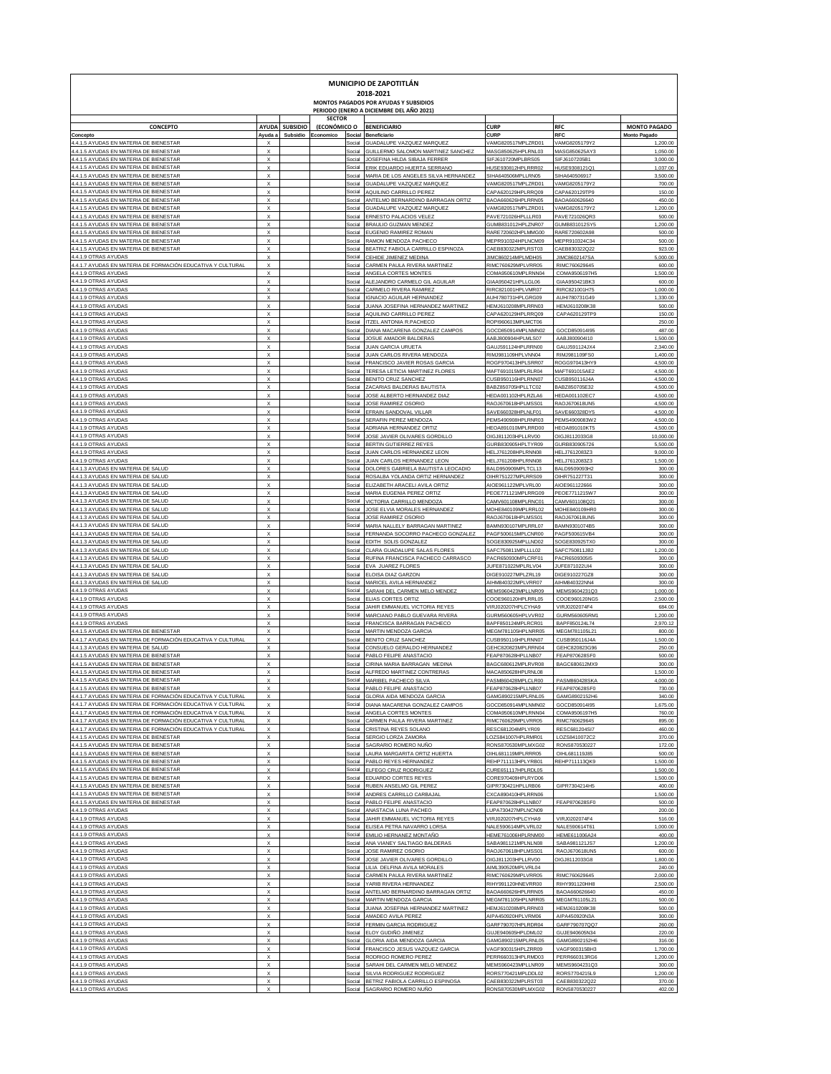| MUNICIPIO DE ZAPOTITLÁN<br>2018-2021<br>MONTOS PAGADOS POR AYUDAS Y SUBSIDIOS<br>PERIODO (ENERO A DICIEMBRE DEL AÑO 2021)  |                                                        |                            |                                     |                                                                       |                                          |                                         |                                            |  |  |  |  |  |
|----------------------------------------------------------------------------------------------------------------------------|--------------------------------------------------------|----------------------------|-------------------------------------|-----------------------------------------------------------------------|------------------------------------------|-----------------------------------------|--------------------------------------------|--|--|--|--|--|
|                                                                                                                            |                                                        |                            | <b>SECTOR</b>                       |                                                                       |                                          | <b>RFC</b>                              |                                            |  |  |  |  |  |
| <b>CONCEPTO</b><br>Concepto                                                                                                | Ayuda a                                                | AYUDA SUBSIDIO<br>Subsidio | (ECONÓMICO O<br>Economico<br>Social | <b>BENEFICIARIO</b><br>Beneficiario                                   | <b>CURP</b><br><b>CURI</b>               | RFC                                     | <b>MONTO PAGADO</b><br><b>Monto Pagade</b> |  |  |  |  |  |
| 4.4.1.5 AYUDAS EN MATERIA DE BIENESTAR<br>4.4.1.5 AYUDAS EN MATERIA DE BIENESTAR                                           | $\boldsymbol{\mathsf{x}}$                              |                            | Social<br>Social                    | GUADALUPE VAZQUEZ MARQUEZ<br>GUILLERMO SALOMON MARTINEZ SANCHEZ       | VAMG820517MPLZRD01<br>MASG850625HPLRNL03 | VAMG8205179Y2<br>MASG850625AY3          | 1,200.00<br>1,050.00                       |  |  |  |  |  |
| 4.4.1.5 AYUDAS EN MATERIA DE BIENESTAR<br>4.4.1.5 AYUDAS EN MATERIA DE BIENESTAR                                           | $\boldsymbol{\mathsf{x}}$<br>$\boldsymbol{\mathsf{x}}$ |                            | Social<br>Social                    | JOSEFINA HILDA SIBAJA FERREI<br>ERIK EDUARDO HUERTA SERRANC           | SIFJ610720MPLBRS05<br>HUSE930812HPLRRR02 | SIFJ6107205B1<br>HUSE9308121Q1          | 3,000.00<br>1,037.00                       |  |  |  |  |  |
| 4.4.1.5 AYUDAS EN MATERIA DE BIENESTAR                                                                                     | $\boldsymbol{\mathsf{x}}$                              |                            | Social                              | MARIA DE LOS ANGELES SILVA HERNANDEZ                                  | SIHA640506MPLLRN05                       | SIHA640506917                           | 3,500.00                                   |  |  |  |  |  |
| 4.4.1.5 AYUDAS EN MATERIA DE BIENESTAR<br>4.4.1.5 AYUDAS EN MATERIA DE BIENESTAR                                           | $\boldsymbol{\mathsf{x}}$<br>$\boldsymbol{\mathsf{x}}$ |                            | Social<br>Social                    | GUADALUPE VAZQUEZ MARQUEZ<br>AQUILINO CARRILLO PEREZ                  | VAMG820517MPLZRD01<br>CAPA620129HPLRRQ09 | VAMG8205179Y2<br>CAPA620129TP9          | 700.00<br>150.00                           |  |  |  |  |  |
| 4.4.1.5 AYUDAS EN MATERIA DE BIENESTAR                                                                                     | $\boldsymbol{\mathsf{x}}$                              |                            | Social                              | ANTELMO BERNARDINO BARRAGAN ORTIZ                                     | BAOA660626HPLRRN05                       | BAOA660626640                           | 450.00                                     |  |  |  |  |  |
| 4.4.1.5 AYUDAS EN MATERIA DE BIENESTAR<br>4.4.1.5 AYUDAS EN MATERIA DE BIENESTAR                                           | $\boldsymbol{\mathsf{x}}$<br>$\boldsymbol{\mathsf{x}}$ |                            | Social<br>Social                    | GUADALUPE VAZQUEZ MARQUEZ<br>ERNESTO PALACIOS VELEZ                   | VAMG820517MPLZRD01<br>PAVE721026HPLLLR03 | VAMG8205179Y2<br>PAVE721026QR3          | 1,200.00<br>500.00                         |  |  |  |  |  |
| 4.4.1.5 AYUDAS EN MATERIA DE BIENESTAR                                                                                     | $\boldsymbol{\mathsf{x}}$                              |                            | Social                              | BRAULIO GUZMAN MENDEZ                                                 | GUMB831012HPLZNR07                       | GUMB831012SY5                           | 1,200.00                                   |  |  |  |  |  |
| 4.4.1.5 AYUDAS EN MATERIA DE BIENESTAR<br>4.4.1.5 AYUDAS EN MATERIA DE BIENESTAR                                           | $\boldsymbol{\mathsf{x}}$<br>$\boldsymbol{\mathsf{x}}$ |                            | Social<br>Social                    | EUGENIO RAMIREZ ROMAN<br>RAMON MENDOZA PACHECC                        | RARE720602HPLMMG00<br>MEPR910324HPLNCM09 | RARE720602A98<br>MEPR910324C34          | 500.00<br>500.00                           |  |  |  |  |  |
| 4.4.1.5 AYUDAS EN MATERIA DE BIENESTAR                                                                                     | $\boldsymbol{\mathsf{x}}$                              |                            | Social                              | BEATRIZ FABIOLA CARRILLO ESPINOZA                                     | CAEB830322MPLRST03                       | CAEB830322Q22                           | 923.00                                     |  |  |  |  |  |
| 4.4.1.9 OTRAS AYUDAS<br>4.4.1.7 AYUDAS EN MATERIA DE FORMACIÓN EDUCATIVA Y CULTURAL                                        | $\boldsymbol{\mathsf{x}}$<br>$\boldsymbol{\mathsf{x}}$ |                            | Social<br>Social                    | CEHIDE JIMENEZ MEDINA<br>CARMEN PAULA RIVERA MARTINEZ                 | JIMC860214MPLMDH05<br>RIMC760629MPLVRR05 | JIMC8602147S/<br>RIMC760629645          | 5,000.00<br>600.00                         |  |  |  |  |  |
| 4.4.1.9 OTRAS AYUDAS<br>4.4.1.9 OTRAS AYUDAS                                                                               | $\boldsymbol{\mathsf{x}}$<br>$\boldsymbol{\mathsf{x}}$ |                            | Social<br>Social                    | ANGELA CORTES MONTES<br>ALEJANDRO CARMELO GIL AGUILAR                 | COMA950610MPLRNN04<br>GIAA950421HPLLGL06 | COMA9506197H5<br>GIAA950421BK3          | 1,500.00<br>600.00                         |  |  |  |  |  |
| 4.4.1.9 OTRAS AYUDAS                                                                                                       | $\boldsymbol{\mathsf{x}}$                              |                            | Social                              | CARMELO RIVERA RAMIRE.                                                | RIRC821001HPLVMR07                       | RIRC821001H75                           | 1,000.00                                   |  |  |  |  |  |
| 4.4.1.9 OTRAS AYUDAS<br>4.4.1.9 OTRAS AYUDAS                                                                               | $\boldsymbol{\mathsf{x}}$<br>$\boldsymbol{\mathsf{x}}$ |                            | Social<br>Social                    | <b>IGNACIO AGUILAR HERNANDEZ</b><br>JUANA JOSEFINA HERNANDEZ MARTINEZ | AUHI780731HPLGRG09<br>HEMJ610208MPLRRN03 | AUHI780731G49<br>HEMJ610208K38          | 1,330.00<br>500.00                         |  |  |  |  |  |
| 4.4.1.9 OTRAS AYUDAS                                                                                                       | $\boldsymbol{\mathsf{x}}$                              |                            | Social                              | AQUILINO CARRILLO PEREZ                                               | CAPA620129HPLRRQ09                       | CAPA620129TP9                           | 150.00                                     |  |  |  |  |  |
| 4.4.1.9 OTRAS AYUDAS<br>4.4.1.9 OTRAS AYUDAS                                                                               | $\boldsymbol{\mathsf{x}}$<br>$\boldsymbol{\mathsf{x}}$ |                            | Social<br>Social                    | <b>ITZEL ANTONIA R.PACHECO</b><br>DIANA MACARENA GONZALEZ CAMPOS      | ROPI960613MPLMCT06<br>GOCD850914MPLNMN02 | GOCD850914I95                           | 250.00<br>487.00                           |  |  |  |  |  |
| 4.4.1.9 OTRAS AYUDAS                                                                                                       | $\boldsymbol{\mathsf{x}}$                              |                            | Social                              | JOSUE AMADOR BALDERAS                                                 | AABJ800904HPLMLS07                       | AABJ800904110                           | 1,500.00                                   |  |  |  |  |  |
| 4.4.1.9 OTRAS AYUDAS<br>4.4.1.9 OTRAS AYUDAS                                                                               | $\boldsymbol{\mathsf{x}}$<br>$\boldsymbol{\mathsf{x}}$ |                            | Social<br>Social                    | <b>JUAN GARCIA URUETA</b><br>JUAN CARLOS RIVERA MENDOZA               | GAUJ591124HPLRRN00<br>RIMJ981109HPLVNN04 | GAUJ591124JX4<br>RIMJ981109FS0          | 2,340.00<br>1,400.00                       |  |  |  |  |  |
| 4.4.1.9 OTRAS AYUDAS                                                                                                       | $\boldsymbol{\mathsf{x}}$                              |                            | Social                              | FRANCISCO JAVIER ROSAS GARCIA                                         | ROGF970413HPLSRR07                       | ROGG970413HY9                           | 4,500.00                                   |  |  |  |  |  |
| 4.4.1.9 OTRAS AYUDAS<br>4.4.1.9 OTRAS AYUDAS                                                                               | $\boldsymbol{\mathsf{x}}$<br>$\boldsymbol{\mathsf{x}}$ |                            | Social<br>Social                    | TERESA LETICIA MARTINEZ FLORES<br>BENITO CRUZ SANCHEZ                 | MAFT691015MPLRLR04<br>CUSB950116HPLRNN07 | MAFT691015AE2<br>CUSB950116J4/          | 4,500.00<br>4,500.00                       |  |  |  |  |  |
| 4.4.1.9 OTRAS AYUDAS                                                                                                       | $\boldsymbol{\mathsf{x}}$                              |                            | Social                              | ZACARIAS BALDERAS BAUTISTA                                            | BABZ850705HPLLTC02                       | BABZ850705E32                           | 4,500.00                                   |  |  |  |  |  |
| 4.4.1.9 OTRAS AYUDAS<br>4.4.1.9 OTRAS AYUDAS                                                                               | $\boldsymbol{\mathsf{x}}$<br>$\boldsymbol{\mathsf{x}}$ |                            | Social<br>Social                    | JOSE ALBERTO HERNANDEZ DIAZ<br>JOSE RAMIREZ OSORIO                    | HEDA001102HPLRZLA6<br>RAOJ670618HPLMSS01 | HEDA001102EC7<br>RAOJ670618UN5          | 4,500.00<br>4,500.00                       |  |  |  |  |  |
| 4.4.1.9 OTRAS AYUDAS                                                                                                       | $\boldsymbol{\mathsf{x}}$                              |                            | Social                              | EFRAIN SANDOVAL VILLAR                                                | SAVE660328HPLNLF01                       | SAVE660328DY5                           | 4,500.00                                   |  |  |  |  |  |
| 4.4.1.9 OTRAS AYUDAS<br>4.4.1.9 OTRAS AYUDAS                                                                               | $\boldsymbol{\mathsf{x}}$<br>$\boldsymbol{\mathsf{x}}$ |                            | Social<br>Social                    | SERAFIN PEREZ MENDOZA<br>ADRIANA HERNANDEZ ORTIZ                      | PEMS490908HPLRNR03<br>HEOA891010MPLRRD00 | PEMS4909083W2<br><b>HEOA891010KT5</b>   | 4,500.00<br>4,500.00                       |  |  |  |  |  |
| 4.4.1.9 OTRAS AYUDAS                                                                                                       | $\boldsymbol{\mathsf{x}}$                              |                            | Social                              | JOSE JAVIER OLIVARES GORDILLO                                         | OIGJ811203HPLLRV00                       | OIGJ8112033G8                           | 10,000.00                                  |  |  |  |  |  |
| 4.4.1.9 OTRAS AYUDAS<br>4.4.1.9 OTRAS AYUDAS                                                                               | $\boldsymbol{\mathsf{x}}$<br>$\boldsymbol{\mathsf{x}}$ |                            | Social<br>Social                    | BERTIN GUTIERREZ REYES<br>JUAN CARLOS HERNANDEZ LEON                  | GURB830905HPLTYR09<br>HELJ761208HPLRNN08 | GURB830905726<br>HELJ7612083Z3          | 5,500.00<br>9,000.00                       |  |  |  |  |  |
| 4.4.1.9 OTRAS AYUDAS                                                                                                       | $\boldsymbol{\mathsf{x}}$                              |                            | Social                              | JUAN CARLOS HERNANDEZ LEON                                            | HELJ761208HPLRNN08                       | HELJ7612083Z3                           | 1,500.00                                   |  |  |  |  |  |
| 4.4.1.3 AYUDAS EN MATERIA DE SALUD<br>4.4.1.3 AYUDAS EN MATERIA DE SALUD                                                   | $\boldsymbol{\mathsf{x}}$<br>$\boldsymbol{\mathsf{x}}$ |                            | Social<br>Social                    | DOLORES GABRIELA BAUTISTA LEOCADIO<br>ROSALBA YOLANDA ORTIZ HERNANDEZ | BALD950909MPLTCL13<br>OIHR751227MPLRRS09 | BALD9509093H2<br>OIHR751227T31          | 300.00<br>300.00                           |  |  |  |  |  |
| 4.4.1.3 AYUDAS EN MATERIA DE SALUD                                                                                         | $\boldsymbol{\mathsf{x}}$                              |                            | Social                              | ELIZABETH ARACELI AVILA ORTIZ                                         | AIOE961122MPLVRL00                       | AIOE961122666                           | 300.00                                     |  |  |  |  |  |
| 4.4.1.3 AYUDAS EN MATERIA DE SALUD<br>4.4.1.3 AYUDAS EN MATERIA DE SALUD                                                   | $\boldsymbol{\mathsf{x}}$<br>$\boldsymbol{\mathsf{x}}$ |                            | Social<br>Social                    | MARIA EUGENIA PEREZ ORTIZ<br>VICTORIA CARRILLO MENDOZ/                | PEOE771121MPLRRG09<br>CAMV601108MPLRNC01 | PEOE7711215W7<br>CAMV601108Q21          | 300.00<br>300.00                           |  |  |  |  |  |
| 4.4.1.3 AYUDAS EN MATERIA DE SALUD                                                                                         | $\boldsymbol{\mathsf{x}}$                              |                            | Social                              | JOSE ELVIA MORALES HERNANDEZ                                          | MOHE840109MPLRRL02                       | MOHE840109HR0                           | 300.00                                     |  |  |  |  |  |
| 4.4.1.3 AYUDAS EN MATERIA DE SALUD<br>4.4.1.3 AYUDAS EN MATERIA DE SALUD                                                   | $\boldsymbol{\mathsf{x}}$<br>$\boldsymbol{\mathsf{x}}$ |                            | Social<br>Social                    | <b>JOSE RAMIREZ OSORIC</b><br>MARIA NALLELY BARRAGAN MARTINEZ         | RAOJ670618HPLMSS01<br>BAMN930107MPLRRL07 | RAOJ670618UN5<br>BAMN9301074B5          | 300.00<br>300.00                           |  |  |  |  |  |
| 4.4.1.3 AYUDAS EN MATERIA DE SALUD                                                                                         | $\boldsymbol{\mathsf{x}}$                              |                            | Social                              | FERNANDA SOCORRO PACHECO GONZALEZ                                     | PAGF500615MPLCNR00                       | PAGF500615VB4                           | 300.00                                     |  |  |  |  |  |
| 4.4.1.3 AYUDAS EN MATERIA DE SALUD<br>4.4.1.3 AYUDAS EN MATERIA DE SALUD                                                   | $\boldsymbol{\mathsf{x}}$<br>$\boldsymbol{\mathsf{x}}$ |                            | Social<br>Social                    | EDITH SOLIS GONZALEZ<br>CLARA GUADALUPE SALAS FLORES                  | SOGE830925MPLLND02<br>SAFC750811MPLLLL02 | SOGE830925TX0<br>SAFC750811JB2          | 300.00<br>1,200.00                         |  |  |  |  |  |
| 4.4.1.3 AYUDAS EN MATERIA DE SALUD                                                                                         | $\boldsymbol{\mathsf{x}}$<br>$\boldsymbol{\mathsf{x}}$ |                            | Social                              | RUFINA FRANCISCA PACHECO CARRASCO                                     | PACR650930MPLCRF01                       | PACR6509305I5                           | 300.00                                     |  |  |  |  |  |
| 4.4.1.3 AYUDAS EN MATERIA DE SALUD<br>4.4.1.3 AYUDAS EN MATERIA DE SALUD                                                   | $\boldsymbol{\mathsf{x}}$                              |                            | Social<br>Social                    | EVA JUAREZ FLORES<br>ELOISA DIAZ GARZON                               | JUFE871022MPLRLV04<br>DIGE910227MPLZRL19 | JUFE871022UI4<br>DIGE910227GZ8          | 300.00<br>300.00                           |  |  |  |  |  |
| 4.4.1.3 AYUDAS EN MATERIA DE SALUD                                                                                         | $\boldsymbol{\mathsf{x}}$<br>$\boldsymbol{\mathsf{x}}$ |                            | Social                              | MARICEL AVILA HERNANDEZ                                               | AIHM840322MPLVRR07                       | AIHM840322NN4                           | 300.00                                     |  |  |  |  |  |
| 4.4.1.9 OTRAS AYUDAS<br>4.4.1.9 OTRAS AYUDAS                                                                               | $\boldsymbol{\mathsf{x}}$                              |                            | Social<br>Social                    | SARAHI DEL CARMEN MELO MENDEZ<br>ELIAS CORTES ORTIZ                   | MEMS960423MPLLNR09<br>COOE960120HPLRRL05 | MEMS9604231Q3<br>COOE960120NG5          | 1,000.00<br>2,500.00                       |  |  |  |  |  |
| 4.4.1.9 OTRAS AYUDAS<br>4.4.1.9 OTRAS AYUDAS                                                                               | $\boldsymbol{\mathsf{x}}$<br>$\boldsymbol{\mathsf{x}}$ |                            | Social                              | JAHIR EMMANUEL VICTORIA REYES<br>MARCIANO PABLO GUEVARA RIVERA        | VIRJ020207HPLCYHA9                       | VIRJ0202074F4                           | 684.00                                     |  |  |  |  |  |
| 4.4.1.9 OTRAS AYUDAS                                                                                                       | $\boldsymbol{\mathsf{x}}$                              |                            | Social<br>Social                    | FRANCISCA BARRAGAN PACHECO                                            | GURM560605HPLVVR02<br>BAPF850124MPLRCR01 | GURM560605RM<br>BAPF850124L74           | 1,200.00<br>2,970.12                       |  |  |  |  |  |
| 4.4.1.5 AYUDAS EN MATERIA DE BIENESTAR<br>4.4.1.7 AYUDAS EN MATERIA DE FORMACIÓN EDUCATIVA Y CULTURAL                      | $\boldsymbol{\mathsf{x}}$<br>$\boldsymbol{\mathsf{x}}$ |                            | Social<br>Social                    | MARTIN MENDOZA GARCIA<br>BENITO CRUZ SANCHEZ                          | MEGM781105HPLNRR05<br>CUSB950116HPLRNN07 | MEGM781105L21<br>CUSB950116J4A          | 800.00<br>1,500.00                         |  |  |  |  |  |
| 4.4.1.3 AYUDAS EN MATERIA DE SALUD                                                                                         | $\boldsymbol{\mathsf{x}}$                              |                            | Social                              | CONSUELO GERALDO HERNANDEZ                                            | GEHC820823MPLRRN04                       | GEHC820823G96                           | 250.00                                     |  |  |  |  |  |
| 4.4.1.5 AYUDAS EN MATERIA DE BIENESTAR<br>4.4.1.5 AYUDAS EN MATERIA DE BIENESTAR                                           | $\boldsymbol{\mathsf{x}}$<br>$\boldsymbol{\mathsf{x}}$ |                            | Social<br>Social                    | PABLO FELIPE ANASTACIO<br>CIRINA MARIA BARRAGAN MEDINA                | EAP870628HPLLNB07<br>BAGC680612MPLRVR08  | FEAP870628SF0<br>BAGC680612MX9          | 500.00<br>300.00                           |  |  |  |  |  |
| 4.4.1.5 AYUDAS EN MATERIA DE BIENESTAR                                                                                     | x                                                      |                            | Social                              | ALFREDO MARTINEZ CONTRERAS                                            | MACA850628HPLRNL08                       |                                         | 1,500.00                                   |  |  |  |  |  |
| <b>A 1 5 AVIIDAS EN MATERIA DI</b><br>4.4.1.5 AYUDAS EN MATERIA DE BIENESTAR                                               | X                                                      |                            | Social                              | MADIDEL DACUECO SILV<br>PABLO FELIPE ANASTACIO                        | DA CMOCA 120MDI C<br>FEAP870628HPLLNB07  | <b>DA CMOCO 400 CV</b><br>FEAP870628SF0 | 000.00<br>730.00                           |  |  |  |  |  |
| 4.4.1.7 AYUDAS EN MATERIA DE FORMACIÓN EDUCATIVA Y CULTURAL                                                                | $\boldsymbol{\mathsf{x}}$                              |                            | Social                              | GLORIA AIDA MENDOZA GARCIA                                            | GAMG890215MPLRNL05                       | GAMG8902152H6                           | 340.00                                     |  |  |  |  |  |
| 4.4.1.7 AYUDAS EN MATERIA DE FORMACIÓN EDUCATIVA Y CULTURAL<br>4.4.1.7 AYUDAS EN MATERIA DE FORMACIÓN EDUCATIVA Y CULTURAL | $\boldsymbol{\mathsf{x}}$<br>$\boldsymbol{\mathsf{x}}$ |                            | Social<br>Social                    | DIANA MACARENA GONZALEZ CAMPOS<br>ANGELA CORTES MONTES                | GOCD850914MPLNMN02<br>COMA950610MPLRNN04 | GOCD850914I95<br>COMA9506197H5          | 1,675.00<br>760.00                         |  |  |  |  |  |
| 4.4.1.7 AYUDAS EN MATERIA DE FORMACIÓN EDUCATIVA Y CULTURAL                                                                | $\boldsymbol{\mathsf{x}}$                              |                            | Social                              | CARMEN PAULA RIVERA MARTINEZ                                          | RIMC760629MPLVRR05                       | RIMC760629645                           | 895.00                                     |  |  |  |  |  |
| 4.4.1.7 AYUDAS EN MATERIA DE FORMACIÓN EDUCATIVA Y CULTURAL<br>4.4.1.5 AYUDAS EN MATERIA DE BIENESTAR                      | $\boldsymbol{\mathsf{x}}$<br>$\boldsymbol{\mathsf{x}}$ |                            | Social<br>Social                    | CRISTINA REYES SOLANO<br>SERGIO LORZA ZAMORA                          | RESC681204MPLYR09<br>LOZS841007HPLRMR01  | RESC681204SI7<br>LOZS8410072C2          | 460.00<br>370.00                           |  |  |  |  |  |
| 4.4.1.5 AYUDAS EN MATERIA DE BIENESTAR                                                                                     | $\boldsymbol{\mathsf{x}}$                              |                            | Social                              | SAGRARIO ROMERO NUÑO                                                  | RONS870530MPLMXG02                       | RONS870530227                           | 172.00                                     |  |  |  |  |  |
| 4.4.1.5 AYUDAS EN MATERIA DE BIENESTAR<br>4.4.1.5 AYUDAS EN MATERIA DE BIENESTAR                                           | X<br>X                                                 |                            | Social<br>Social                    | LAURA MARGARITA ORTIZ HUERTA<br>PABLO REYES HERNANDEZ                 | OIHL681119MPLRRR05<br>REHP711113HPLYRB01 | OIHL681119J85<br>REHP711113QK9          | 500.00<br>1,500.00                         |  |  |  |  |  |
| 4.4.1.5 AYUDAS EN MATERIA DE BIENESTAR                                                                                     | X                                                      |                            | Social                              | ELFEGO CRUZ RODRIGUEZ                                                 | CURE651117HPLRDL05                       |                                         | 1,500.00                                   |  |  |  |  |  |
| 4.4.1.5 AYUDAS EN MATERIA DE BIENESTAR<br>4.4.1.5 AYUDAS EN MATERIA DE BIENESTAR                                           | X<br>X                                                 |                            | Social<br>Social                    | EDUARDO CORTES REYES<br>RUBEN ANSELMO GIL PEREZ                       | CORE970409HPLRYD06<br>GIPR730421HPLLRB06 | GIPR7304214H5                           | 1,500.00<br>400.00                         |  |  |  |  |  |
| 4.4.1.5 AYUDAS EN MATERIA DE BIENESTAR                                                                                     | X                                                      |                            | Social                              | ANDRES CARRILLO CARBAJAL                                              | CXCA890410HPLRRN06                       |                                         | 1,500.00                                   |  |  |  |  |  |
| 4.4.1.5 AYUDAS EN MATERIA DE BIENESTAR<br>4.4.1.9 OTRAS AYUDAS                                                             | X<br>X                                                 |                            | Social<br>Social                    | PABLO FELIPE ANASTACIO<br>ANASTACIA LUNA PACHEC                       | FEAP870628HPLLNB07<br>LUPA730427MPLNCN09 | FEAP870628SF0                           | 500.00<br>200.00                           |  |  |  |  |  |
| 4.4.1.9 OTRAS AYUDAS<br>4.4.1.9 OTRAS AYUDAS                                                                               | X<br>X                                                 |                            | Social<br>Social                    | JAHIR EMMANUEL VICTORIA REYES<br>ELISEA PETRA NAVARRO LORS/           | VIRJ020207HPLCYHA9<br>NALE590614MPLVRL02 | VIRJ0202074F4<br>NALE590614T61          | 516.00<br>1,000.00                         |  |  |  |  |  |
| 4.4.1.9 OTRAS AYUDAS                                                                                                       | X                                                      |                            | Social                              | EMILIO HERNANEZ MONTAÑO                                               | HEME761006HPLRNM00                       | HEME611006A24                           | 400.00                                     |  |  |  |  |  |
| 4.4.1.9 OTRAS AYUDAS<br>4.4.1.9 OTRAS AYUDAS                                                                               | X<br>X                                                 |                            | Social<br>Social                    | ANA VIANEY SALTIAGO BALDERAS<br>JOSE RAMIREZ OSORIO                   | SABA981121MPLNLN08<br>RAOJ670618HPLMSS01 | SABA981121JS7<br>RAOJ670618UN5          | 1,200.00<br>600.00                         |  |  |  |  |  |
| 4.4.1.9 OTRAS AYUDAS                                                                                                       | X                                                      |                            | Social                              | JOSE JAVIER OLIVARES GORDILLO                                         | OIGJ811203HPLLRV00                       | OIGJ8112033G8                           | 1,800.00                                   |  |  |  |  |  |
| 4.4.1.9 OTRAS AYUDAS<br>4.4.1.9 OTRAS AYUDAS                                                                               | X<br>X                                                 |                            | Social<br>Social                    | LILIA DELFINA AVILA MORALES<br>CARMEN PAULA RIVERA MARTINEZ           | AIML390520MPLVRL04<br>RIMC760629MPLVRR05 | RIMC760629645                           | 240.00<br>2,000.00                         |  |  |  |  |  |
| 4.4.1.9 OTRAS AYUDAS                                                                                                       | X                                                      |                            | Social                              | YARIB RIVERA HERNANDEZ                                                | RIHY991120HNEVRR00                       | RIHY991120HH8                           | 2,500.00                                   |  |  |  |  |  |
| 4.4.1.9 OTRAS AYUDAS<br>4.4.1.9 OTRAS AYUDAS                                                                               | X<br>X                                                 |                            | Social<br>Social                    | ANTELMO BERNARDINO BARRAGAN ORTIZ<br>MARTIN MENDOZA GARCIA            | BAOA660626HPLRRN05<br>MEGM781105HPLNRR05 | BAOA660626640<br>MEGM781105L21          | 450.00<br>500.00                           |  |  |  |  |  |
| 4.4.1.9 OTRAS AYUDAS                                                                                                       | X                                                      |                            | Social                              | JUANA JOSEFINA HERNANDEZ MARTINEZ                                     | HEMJ610208MPLRRN03                       | HEMJ610208K38                           | 500.00                                     |  |  |  |  |  |
| 4.4.1.9 OTRAS AYUDAS<br>4.4.1.9 OTRAS AYUDAS                                                                               | X<br>X                                                 |                            | Social<br>Social                    | AMADEO AVILA PEREZ<br>FERMIN GARCIA RODRIGUEZ                         | AIPA450920HPLVRM06<br>GARF790707HPLRDR04 | AIPA450920N3A<br>GARF790707QQ7          | 300.00<br>260.00                           |  |  |  |  |  |
| 4.4.1.9 OTRAS AYUDAS                                                                                                       | X                                                      |                            | Social                              | ELOY GUDIÑO JIMENEZ                                                   | GUJE940605HPLDML02                       | GUJE940605N34                           | 220.00                                     |  |  |  |  |  |
| 4.4.1.9 OTRAS AYUDAS<br>4.4.1.9 OTRAS AYUDAS                                                                               | X<br>X                                                 |                            | Social<br>Social                    | GLORIA AIDA MENDOZA GARCIA<br>FRANCISCO JESUS VAZQUEZ GARCIA          | GAMG890215MPLRNL05<br>VAGF900315HPLZRR09 | GAMG8902152H6<br>VAGF900315BH3          | 316.00<br>1,700.00                         |  |  |  |  |  |
| 4.4.1.9 OTRAS AYUDAS                                                                                                       | X                                                      |                            | Social                              | RODRIGO ROMERO PEREZ                                                  | PERR660313HPLRMD03                       | PERR660313RG6                           | 1,200.00                                   |  |  |  |  |  |
| 4.4.1.9 OTRAS AYUDAS<br>4.4.1.9 OTRAS AYUDAS                                                                               | X<br>X                                                 |                            | Social<br>Social                    | SARAHI DEL CARMEN MELO MENDEZ<br>SILVIA RODRIGUEZ RODRIGUEZ           | MEMS960423MPLLNR09<br>RORS770421MPLDDL02 | MEMS9604231Q3<br>RORS7704215L9          | 300.00<br>1,200.00                         |  |  |  |  |  |
| 4.4.1.9 OTRAS AYUDAS                                                                                                       | X                                                      |                            | Social                              | BETRIZ FABIOLA CARRILLO ESPINOSA                                      | CAEB830322MPLRST03                       | CAEB830322Q22                           | 370.00                                     |  |  |  |  |  |
| 4.4.1.9 OTRAS AYUDAS                                                                                                       | x                                                      |                            | Social                              | SAGRARIO ROMERO NUÑO                                                  | RONS870530MPLMXG02                       | RONS870530227                           | 402.00                                     |  |  |  |  |  |